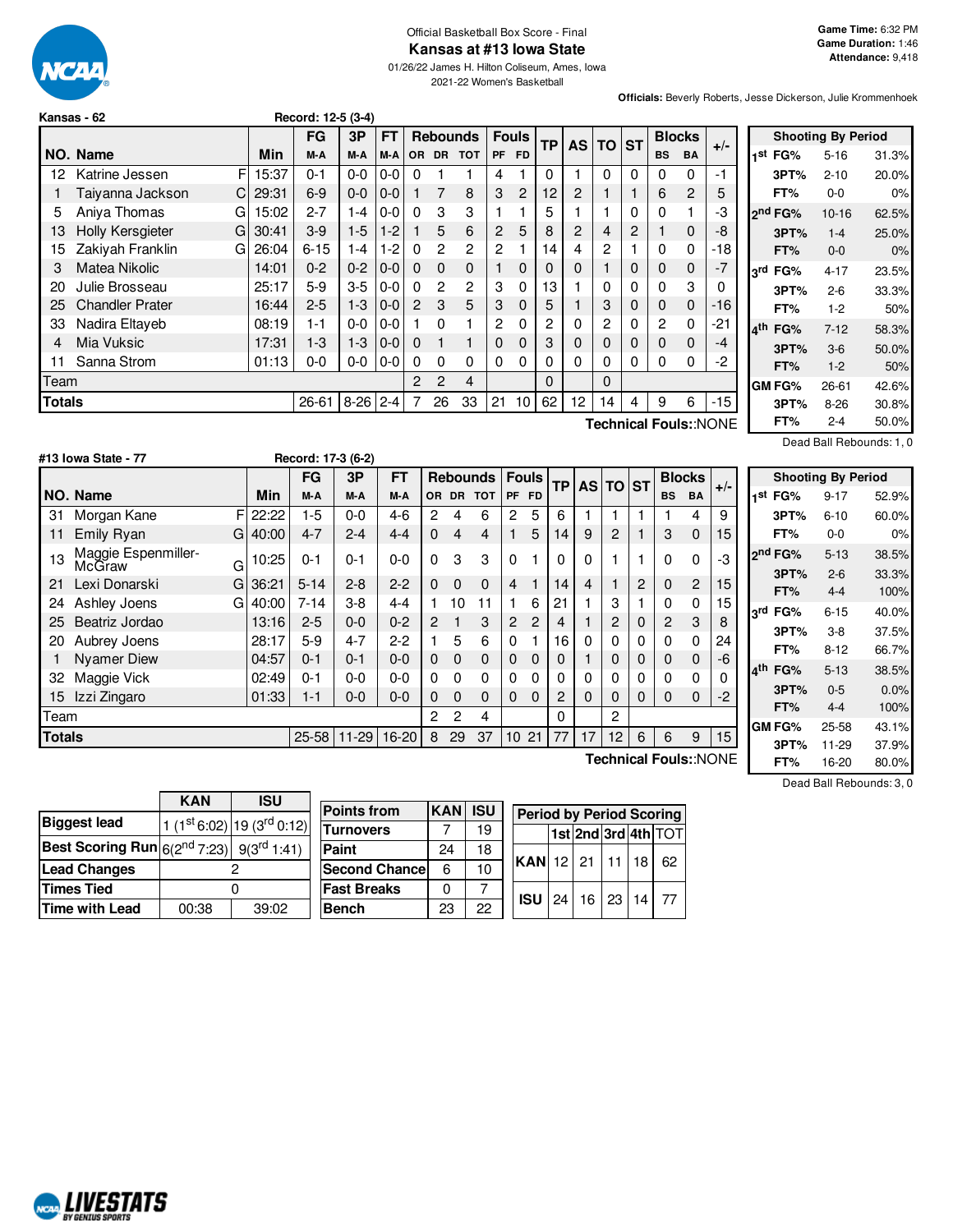

#### Official Basketball Box Score - Final **Kansas at #13 Iowa State**

01/26/22 James H. Hilton Coliseum, Ames, Iowa 2021-22 Women's Basketball

**Officials:** Beverly Roberts, Jesse Dickerson, Julie Krommenhoek

|               | Kansas - 62            |   |       | Record: 12-5 (3-4) |          |         |                |                 |                |                |           |           |                |                |           |                |           |       |
|---------------|------------------------|---|-------|--------------------|----------|---------|----------------|-----------------|----------------|----------------|-----------|-----------|----------------|----------------|-----------|----------------|-----------|-------|
|               |                        |   |       | <b>FG</b>          | 3P       | FT      |                | <b>Rebounds</b> |                | <b>Fouls</b>   |           | <b>TP</b> | <b>AS</b>      | <b>TO</b>      | <b>ST</b> | <b>Blocks</b>  |           | $+/-$ |
|               | NO. Name               |   | Min   | M-A                | M-A      | M-A     | <b>OR</b>      | <b>DR</b>       | <b>TOT</b>     | PF             | <b>FD</b> |           |                |                |           | <b>BS</b>      | <b>BA</b> |       |
| 12            | Katrine Jessen         | F | 15:37 | $0 - 1$            | $0-0$    | $0 - 0$ | 0              |                 |                | 4              |           | 0         |                | 0              | 0         | 0              | $\Omega$  | -1    |
|               | Taiyanna Jackson       | C | 29:31 | $6-9$              | $0 - 0$  | $0-0$   |                | 7               | 8              | 3              | 2         | 12        | 2              | 1              |           | 6              | 2         | 5     |
| 5             | Aniva Thomas           | G | 15:02 | $2 - 7$            | $1 - 4$  | $0-0$   | $\Omega$       | 3               | 3              |                |           | 5         |                |                | 0         | $\Omega$       |           | -3    |
| 13            | Holly Kersgieter       | G | 30:41 | $3-9$              | $1-5$    | $1-2$   |                | 5               | 6              | $\overline{2}$ | 5         | 8         | $\overline{2}$ | 4              | 2         |                | 0         | -8    |
| 15            | Zakiyah Franklin       | G | 26:04 | $6 - 15$           | $1 - 4$  | $1 - 2$ | $\Omega$       | $\overline{2}$  | $\overline{2}$ | 2              |           | 14        | 4              | 2              |           | 0              | 0         | -18   |
| 3             | Matea Nikolic          |   | 14:01 | $0 - 2$            | $0 - 2$  | $0 - 0$ | $\Omega$       | $\mathbf 0$     | $\mathbf{0}$   |                | 0         | 0         | 0              | 1              | 0         | $\mathbf 0$    | $\Omega$  | $-7$  |
| 20            | Julie Brosseau         |   | 25:17 | $5-9$              | $3-5$    | $0 - 0$ | $\Omega$       | $\overline{2}$  | $\overline{2}$ | 3              | 0         | 13        |                | 0              | 0         | $\mathbf{0}$   | 3         | 0     |
| 25            | <b>Chandler Prater</b> |   | 16:44 | $2 - 5$            | $1 - 3$  | $0-0$   | $\overline{2}$ | 3               | 5              | 3              | 0         | 5         |                | 3              | 0         | $\mathbf 0$    | $\Omega$  | -16   |
| 33            | Nadira Eltaveb         |   | 08:19 | 1-1                | $0-0$    | $0 - 0$ |                | $\Omega$        | 1              | 2              | 0         | 2         | 0              | $\overline{2}$ | 0         | $\overline{c}$ | 0         | -21   |
| 4             | Mia Vuksic             |   | 17:31 | $1-3$              | $1 - 3$  | $0-0$   | $\Omega$       | 1               | 1              | 0              | 0         | 3         | 0              | 0              | 0         | 0              | $\Omega$  | -4    |
| 11            | Sanna Strom            |   | 01:13 | $0 - 0$            | $0-0$    | $0 - 0$ | 0              | 0               | 0              | 0              | 0         | 0         | 0              | 0              | 0         | 0              | 0         | -2    |
| Team          |                        |   |       |                    |          |         | 2              | 2               | 4              |                |           | 0         |                | 0              |           |                |           |       |
| <b>Totals</b> |                        |   |       | 26-61              | $8 - 26$ | $2 - 4$ |                | 26              | 33             | 21             | 10        | 62        | 12             | 14             | 4         | 9              | 6         | -15   |
|               | Technical Fouls::NONE  |   |       |                    |          |         |                |                 |                |                |           |           |                |                |           |                |           |       |

|                     | <b>Shooting By Period</b> |       |
|---------------------|---------------------------|-------|
| 1 <sup>st</sup> FG% | $5 - 16$                  | 31.3% |
| 3PT%                | $2 - 10$                  | 20.0% |
| FT%                 | 0-0                       | 0%    |
| ond FG%             | $10 - 16$                 | 62.5% |
| 3PT%                | $1 - 4$                   | 25.0% |
| FT%                 | $0 - 0$                   | 0%    |
| 3rd FG%             | 4-17                      | 23.5% |
| 3PT%                | $2 - 6$                   | 33.3% |
| FT%                 | $1-2$                     | 50%   |
| 4 <sup>th</sup> FG% | $7-12$                    | 58.3% |
| 3PT%                | $3-6$                     | 50.0% |
| FT%                 | $1-2$                     | 50%   |
| GM FG%              | $26 - 61$                 | 42.6% |
| 3PT%                | $8 - 26$                  | 30.8% |
| FT%                 | $2 - 4$                   | 50.0% |

Dead Ball Rebounds: 1, 0

|               | #13 Iowa State - 77           |   |       |           | Record: 17-3 (6-2) |           |                |          |                 |                |                |          |    |          |   |           |               |                       |                                         |
|---------------|-------------------------------|---|-------|-----------|--------------------|-----------|----------------|----------|-----------------|----------------|----------------|----------|----|----------|---|-----------|---------------|-----------------------|-----------------------------------------|
|               |                               |   |       | <b>FG</b> | 3P                 | <b>FT</b> |                |          | <b>Rebounds</b> |                | <b>Fouls</b>   | TP.      |    | AS TO ST |   |           | <b>Blocks</b> |                       | Shoo                                    |
|               | NO. Name                      |   | Min   | M-A       | M-A                | M-A       |                |          | OR DR TOT       |                | PF FD          |          |    |          |   | <b>BS</b> | <b>BA</b>     | $+/-$                 | FG%<br>⊣st                              |
| 31            | Morgan Kane                   |   | 22:22 | 1-5       | $0 - 0$            | 4-6       | $\overline{2}$ | 4        | 6               | $\overline{2}$ | 5              | 6        |    |          |   |           | 4             | 9                     | 3PT <sub>9</sub>                        |
| 11            | Emily Ryan                    | G | 40:00 | $4 - 7$   | $2 - 4$            | $4 - 4$   | 0              | 4        | 4               |                | 5              | 14       | 9  | 2        |   | 3         | $\mathbf 0$   | 15                    | FT%                                     |
| 13            | Maggie Espenmiller-<br>McGraw | G | 10:25 | $0 - 1$   | $0 - 1$            | $0 - 0$   | 0              | 3        | 3               | $\Omega$       |                | $\Omega$ | 0  |          |   | $\Omega$  | 0             | -3                    | 2 <sup>nd</sup> FG%<br>3PT <sup>o</sup> |
| 21            | Lexi Donarski                 | G | 36:21 | $5 - 14$  | $2 - 8$            | $2 - 2$   | $\Omega$       | $\Omega$ | $\Omega$        | 4              |                | 14       | 4  |          | 2 | $\Omega$  | 2             | 15                    | FT%                                     |
| 24            | Ashley Joens                  | G | 40:00 | $7 - 14$  | $3 - 8$            | $4 - 4$   |                | 10       | 11              |                | 6              | 21       |    | 3        |   | 0         | 0             | 15                    | FG%                                     |
| 25            | Beatriz Jordao                |   | 13:16 | $2 - 5$   | $0 - 0$            | $0 - 2$   | $\mathbf{P}$   |          | 3               | $\overline{2}$ | $\overline{2}$ | 4        |    | 2        | 0 | 2         | 3             | 8                     | 3 <sup>rd</sup>                         |
| 20            | Aubrey Joens                  |   | 28:17 | $5-9$     | $4 - 7$            | $2-2$     |                | 5        | 6               | $\Omega$       |                | 16       | 0  | 0        | 0 | 0         | 0             | 24                    | 3PT <sup>o</sup>                        |
|               | <b>Nyamer Diew</b>            |   | 04:57 | $0 - 1$   | $0 - 1$            | $0 - 0$   | 0              | 0        | $\mathbf{0}$    | $\Omega$       | $\Omega$       | 0        |    | 0        | 0 | 0         | $\mathbf 0$   | -6                    | FT%                                     |
| 32            | Maggie Vick                   |   | 02:49 | $0 - 1$   | $0-0$              | 0-0       | 0              | 0        | 0               | $\Omega$       | 0              | 0        | 0  | 0        | 0 | 0         | $\mathbf{0}$  | 0                     | $\mathbf{A}^{\dagger}$ h<br>FG%         |
| 15            | Izzi Zingaro                  |   | 01:33 | 1-1       | $0 - 0$            | $0-0$     | 0              | 0        | $\Omega$        | $\Omega$       | $\Omega$       | 2        | 0  | 0        | 0 | $\Omega$  | $\Omega$      | -2                    | 3PT <sup>o</sup>                        |
| Team          |                               |   |       |           |                    |           | $\overline{2}$ | 2        | 4               |                |                | 0        |    | 2        |   |           |               |                       | FT%                                     |
| <b>Totals</b> |                               |   |       | $25 - 58$ | $11-29$            | $16 - 20$ | 8              | 29       | 37              | 10 21          |                | 77       | 17 | 12       | 6 | 6         | 9             | 15 <sub>15</sub>      | GM FG%<br>3PT <sup>o</sup>              |
|               |                               |   |       |           |                    |           |                |          |                 |                |                |          |    |          |   |           |               | Technical Fouls::NONE | FT%                                     |

**Shooting By Period st FG%** 9-17 52.9% **3PT%** 6-10 60.0% **FT%** 0-0 0% **nd FG%** 5-13 38.5% **3PT%** 2-6 33.3% **FT%** 4-4 100% **rd FG%** 6-15 40.0% **3PT%** 3-8 37.5% **FT%** 8-12 66.7% **th FG%** 5-13 38.5% **3PT%** 0-5 0.0% **FT%** 4-4 100% **GM FG%** 25-58 43.1% **3PT%** 11-29 37.9% **FT%** 16-20 80.0%

|                                                                  | <b>KAN</b> | <b>ISU</b>                     |        |
|------------------------------------------------------------------|------------|--------------------------------|--------|
| <b>Biggest lead</b>                                              |            | 1 $(1st 6:02)$ 19 $(3rd 0:12)$ | P<br>т |
| <b>Best Scoring Run</b> $6(2^{nd} 7:23)$ 9(3 <sup>rd</sup> 1:41) |            |                                | P      |
| <b>Lead Changes</b>                                              |            |                                | S      |
| <b>Times Tied</b>                                                |            |                                | F      |
| Time with Lead                                                   | 00:38      | 39:02                          | в      |

| <b>Points from</b>    | <b>KAN ISU</b> |    | <b>Period by Period Scoring</b>     |  |  |  |  |                 |  |  |
|-----------------------|----------------|----|-------------------------------------|--|--|--|--|-----------------|--|--|
| Turnovers             |                | 19 |                                     |  |  |  |  | 1st2nd3rd4thTOT |  |  |
| Paint                 | 24             | 18 |                                     |  |  |  |  |                 |  |  |
| <b>Second Chancel</b> | 6              | 10 | KAN 12 21 11 18                     |  |  |  |  | 62              |  |  |
| <b>Fast Breaks</b>    |                |    | <b>ISU</b>   24   16   23   14   77 |  |  |  |  |                 |  |  |
| Bench                 | 23             | 22 |                                     |  |  |  |  |                 |  |  |

Dead Ball Rebounds: 3, 0

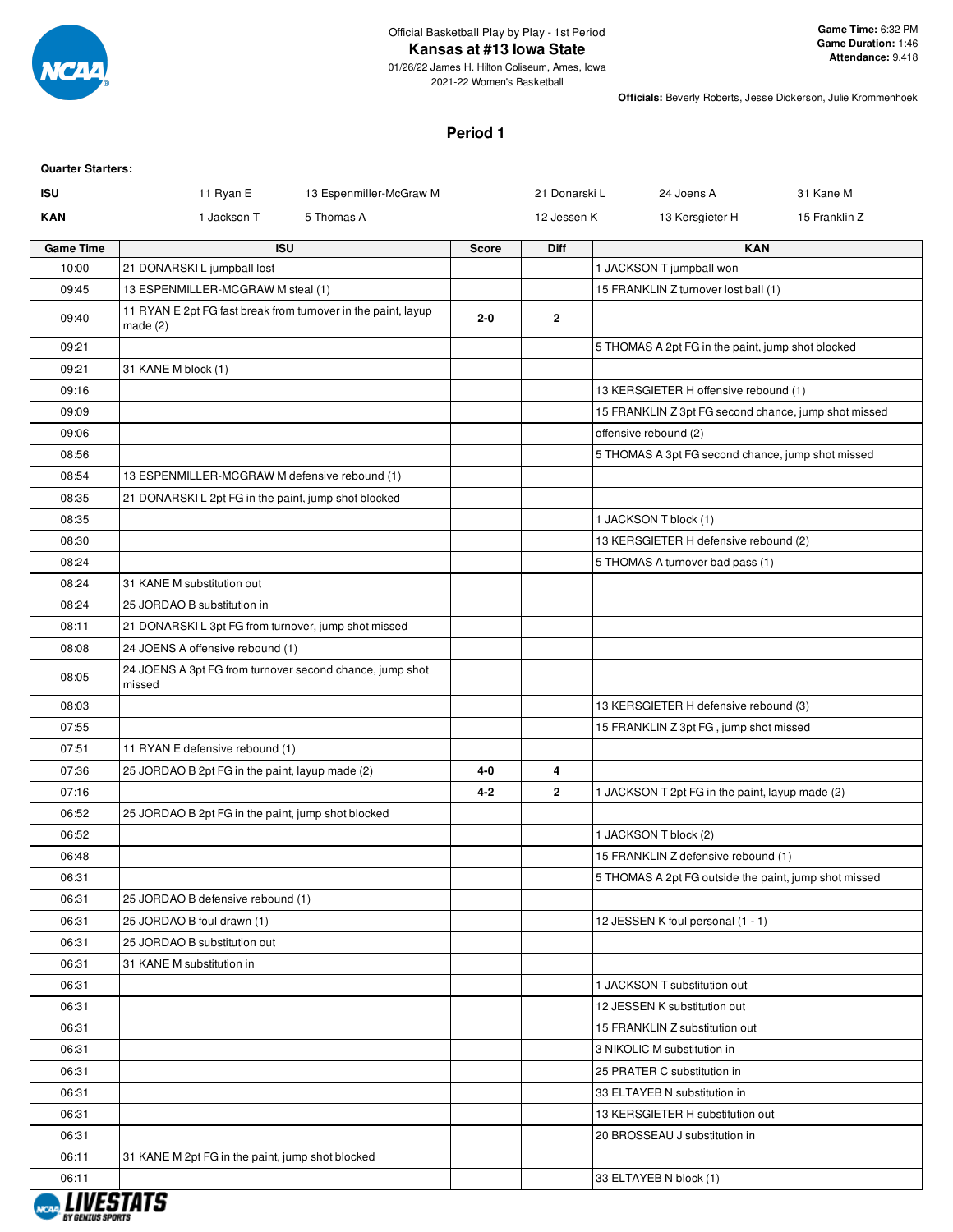

# **Kansas at #13 Iowa State**

01/26/22 James H. Hilton Coliseum, Ames, Iowa 2021-22 Women's Basketball

**Officials:** Beverly Roberts, Jesse Dickerson, Julie Krommenhoek

# **Period 1**

## **Quarter Starters:**

| ISU              | 11 Ryan E<br>13 Espenmiller-McGraw M                               |              | 21 Donarski L  | 24 Joens A                                                 | 31 Kane M     |
|------------------|--------------------------------------------------------------------|--------------|----------------|------------------------------------------------------------|---------------|
| <b>KAN</b>       | 1 Jackson T<br>5 Thomas A                                          |              | 12 Jessen K    | 13 Kersgieter H                                            | 15 Franklin Z |
| <b>Game Time</b> | <b>ISU</b>                                                         | <b>Score</b> | Diff           | <b>KAN</b>                                                 |               |
| 10:00            | 21 DONARSKI L jumpball lost                                        |              |                | 1 JACKSON T jumpball won                                   |               |
| 09:45            | 13 ESPENMILLER-MCGRAW M steal (1)                                  |              |                | 15 FRANKLIN Z turnover lost ball (1)                       |               |
| 09:40            | 11 RYAN E 2pt FG fast break from turnover in the paint, layup      | $2 - 0$      | $\overline{2}$ |                                                            |               |
| 09:21            | made $(2)$                                                         |              |                | 5 THOMAS A 2pt FG in the paint, jump shot blocked          |               |
| 09:21            | 31 KANE M block (1)                                                |              |                |                                                            |               |
| 09:16            |                                                                    |              |                | 13 KERSGIETER H offensive rebound (1)                      |               |
| 09:09            |                                                                    |              |                | 15 FRANKLIN Z 3pt FG second chance, jump shot missed       |               |
| 09:06            |                                                                    |              |                | offensive rebound (2)                                      |               |
| 08:56            |                                                                    |              |                | 5 THOMAS A 3pt FG second chance, jump shot missed          |               |
| 08:54            | 13 ESPENMILLER-MCGRAW M defensive rebound (1)                      |              |                |                                                            |               |
| 08:35            | 21 DONARSKIL 2pt FG in the paint, jump shot blocked                |              |                |                                                            |               |
| 08:35            |                                                                    |              |                | 1 JACKSON T block (1)                                      |               |
| 08:30            |                                                                    |              |                | 13 KERSGIETER H defensive rebound (2)                      |               |
| 08:24            |                                                                    |              |                | 5 THOMAS A turnover bad pass (1)                           |               |
| 08:24            | 31 KANE M substitution out                                         |              |                |                                                            |               |
| 08:24            | 25 JORDAO B substitution in                                        |              |                |                                                            |               |
| 08:11            | 21 DONARSKI L 3pt FG from turnover, jump shot missed               |              |                |                                                            |               |
| 08:08            | 24 JOENS A offensive rebound (1)                                   |              |                |                                                            |               |
| 08:05            | 24 JOENS A 3pt FG from turnover second chance, jump shot<br>missed |              |                |                                                            |               |
| 08:03            |                                                                    |              |                | 13 KERSGIETER H defensive rebound (3)                      |               |
| 07:55            |                                                                    |              |                | 15 FRANKLIN Z 3pt FG, jump shot missed                     |               |
| 07:51            | 11 RYAN E defensive rebound (1)                                    |              |                |                                                            |               |
| 07:36            | 25 JORDAO B 2pt FG in the paint, layup made (2)                    | 4-0          | 4              |                                                            |               |
| 07:16            |                                                                    | $4 - 2$      | $\mathbf{2}$   | 1 JACKSON T 2pt FG in the paint, layup made (2)            |               |
| 06:52            | 25 JORDAO B 2pt FG in the paint, jump shot blocked                 |              |                |                                                            |               |
| 06:52            |                                                                    |              |                | 1 JACKSON T block (2)                                      |               |
| 06:48            |                                                                    |              |                | 15 FRANKLIN Z defensive rebound (1)                        |               |
| 06:31            |                                                                    |              |                | 5 THOMAS A 2pt FG outside the paint, jump shot missed      |               |
| 06:31            | 25 JORDAO B defensive rebound (1)                                  |              |                |                                                            |               |
| 06:31            | 25 JORDAO B foul drawn (1)                                         |              |                | 12 JESSEN K foul personal (1 - 1)                          |               |
| 06:31            | 25 JORDAO B substitution out                                       |              |                |                                                            |               |
| 06:31            | 31 KANE M substitution in                                          |              |                |                                                            |               |
| 06:31            |                                                                    |              |                | 1 JACKSON T substitution out                               |               |
| 06:31            |                                                                    |              |                | 12 JESSEN K substitution out                               |               |
| 06:31            |                                                                    |              |                | 15 FRANKLIN Z substitution out                             |               |
| 06:31<br>06:31   |                                                                    |              |                | 3 NIKOLIC M substitution in<br>25 PRATER C substitution in |               |
| 06:31            |                                                                    |              |                | 33 ELTAYEB N substitution in                               |               |
| 06:31            |                                                                    |              |                | 13 KERSGIETER H substitution out                           |               |
| 06:31            |                                                                    |              |                | 20 BROSSEAU J substitution in                              |               |
| 06:11            | 31 KANE M 2pt FG in the paint, jump shot blocked                   |              |                |                                                            |               |
| 06:11            |                                                                    |              |                | 33 ELTAYEB N block (1)                                     |               |
|                  |                                                                    |              |                |                                                            |               |

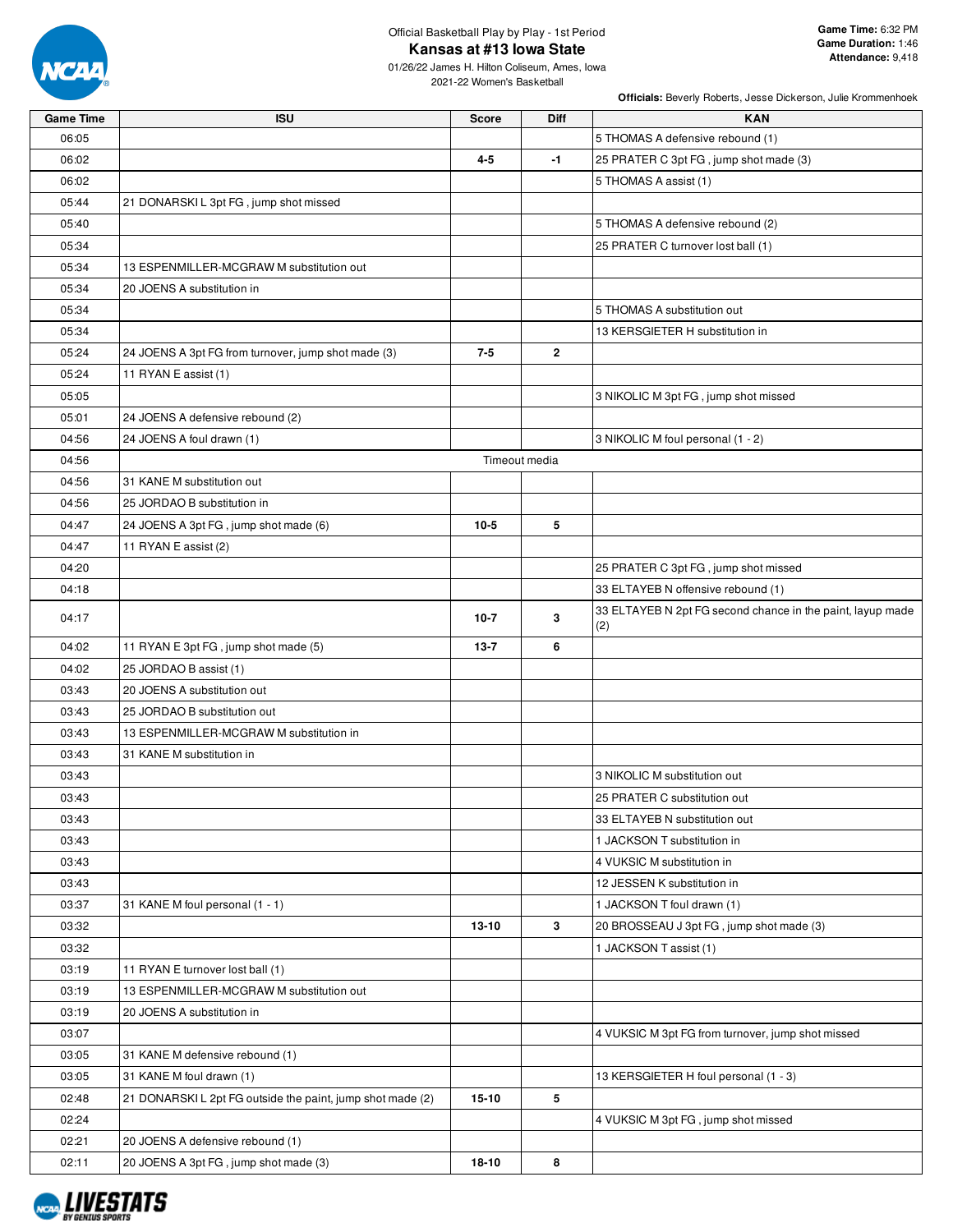

# Official Basketball Play by Play - 1st Period **Kansas at #13 Iowa State**

01/26/22 James H. Hilton Coliseum, Ames, Iowa 2021-22 Women's Basketball

| <b>Game Time</b> | <b>ISU</b>                                                | <b>Score</b> | <b>Diff</b>   | <b>KAN</b>                                                 |
|------------------|-----------------------------------------------------------|--------------|---------------|------------------------------------------------------------|
| 06:05            |                                                           |              |               | 5 THOMAS A defensive rebound (1)                           |
| 06:02            |                                                           | $4 - 5$      | $-1$          | 25 PRATER C 3pt FG, jump shot made (3)                     |
| 06:02            |                                                           |              |               | 5 THOMAS A assist (1)                                      |
| 05:44            | 21 DONARSKIL 3pt FG, jump shot missed                     |              |               |                                                            |
| 05:40            |                                                           |              |               | 5 THOMAS A defensive rebound (2)                           |
| 05:34            |                                                           |              |               | 25 PRATER C turnover lost ball (1)                         |
| 05:34            | 13 ESPENMILLER-MCGRAW M substitution out                  |              |               |                                                            |
| 05:34            | 20 JOENS A substitution in                                |              |               |                                                            |
| 05:34            |                                                           |              |               | 5 THOMAS A substitution out                                |
| 05:34            |                                                           |              |               | 13 KERSGIETER H substitution in                            |
| 05:24            | 24 JOENS A 3pt FG from turnover, jump shot made (3)       | $7 - 5$      | $\mathbf{2}$  |                                                            |
| 05:24            | 11 RYAN E assist (1)                                      |              |               |                                                            |
| 05:05            |                                                           |              |               | 3 NIKOLIC M 3pt FG, jump shot missed                       |
| 05:01            | 24 JOENS A defensive rebound (2)                          |              |               |                                                            |
| 04:56            | 24 JOENS A foul drawn (1)                                 |              |               | 3 NIKOLIC M foul personal (1 - 2)                          |
| 04:56            |                                                           |              | Timeout media |                                                            |
| 04:56            | 31 KANE M substitution out                                |              |               |                                                            |
| 04:56            | 25 JORDAO B substitution in                               |              |               |                                                            |
| 04:47            | 24 JOENS A 3pt FG, jump shot made (6)                     | $10-5$       | 5             |                                                            |
| 04:47            | 11 RYAN E assist (2)                                      |              |               |                                                            |
| 04:20            |                                                           |              |               | 25 PRATER C 3pt FG, jump shot missed                       |
| 04:18            |                                                           |              |               | 33 ELTAYEB N offensive rebound (1)                         |
|                  |                                                           |              |               | 33 ELTAYEB N 2pt FG second chance in the paint, layup made |
| 04:17            |                                                           | $10-7$       | 3             | (2)                                                        |
| 04:02            | 11 RYAN E 3pt FG, jump shot made (5)                      | $13 - 7$     | 6             |                                                            |
| 04:02            | 25 JORDAO B assist (1)                                    |              |               |                                                            |
| 03:43            | 20 JOENS A substitution out                               |              |               |                                                            |
| 03:43            | 25 JORDAO B substitution out                              |              |               |                                                            |
| 03:43            | 13 ESPENMILLER-MCGRAW M substitution in                   |              |               |                                                            |
| 03:43            | 31 KANE M substitution in                                 |              |               |                                                            |
| 03:43            |                                                           |              |               | 3 NIKOLIC M substitution out                               |
| 03:43            |                                                           |              |               | 25 PRATER C substitution out                               |
| 03:43            |                                                           |              |               | 33 ELTAYEB N substitution out                              |
| 03:43            |                                                           |              |               | 1 JACKSON T substitution in                                |
| 03:43            |                                                           |              |               | 4 VUKSIC M substitution in                                 |
| 03:43            |                                                           |              |               | 12 JESSEN K substitution in                                |
| 03:37            | 31 KANE M foul personal (1 - 1)                           |              |               | 1 JACKSON T foul drawn (1)                                 |
| 03:32            |                                                           | 13-10        | 3             | 20 BROSSEAU J 3pt FG, jump shot made (3)                   |
| 03:32            |                                                           |              |               | 1 JACKSON T assist (1)                                     |
| 03:19            | 11 RYAN E turnover lost ball (1)                          |              |               |                                                            |
| 03:19            | 13 ESPENMILLER-MCGRAW M substitution out                  |              |               |                                                            |
| 03:19            | 20 JOENS A substitution in                                |              |               |                                                            |
| 03:07            |                                                           |              |               | 4 VUKSIC M 3pt FG from turnover, jump shot missed          |
| 03:05            | 31 KANE M defensive rebound (1)                           |              |               |                                                            |
| 03:05            | 31 KANE M foul drawn (1)                                  |              |               | 13 KERSGIETER H foul personal (1 - 3)                      |
| 02:48            | 21 DONARSKIL 2pt FG outside the paint, jump shot made (2) | $15 - 10$    | 5             |                                                            |
| 02:24            |                                                           |              |               | 4 VUKSIC M 3pt FG, jump shot missed                        |
| 02:21            | 20 JOENS A defensive rebound (1)                          |              |               |                                                            |
| 02:11            | 20 JOENS A 3pt FG, jump shot made (3)                     | 18-10        | 8             |                                                            |
|                  |                                                           |              |               |                                                            |

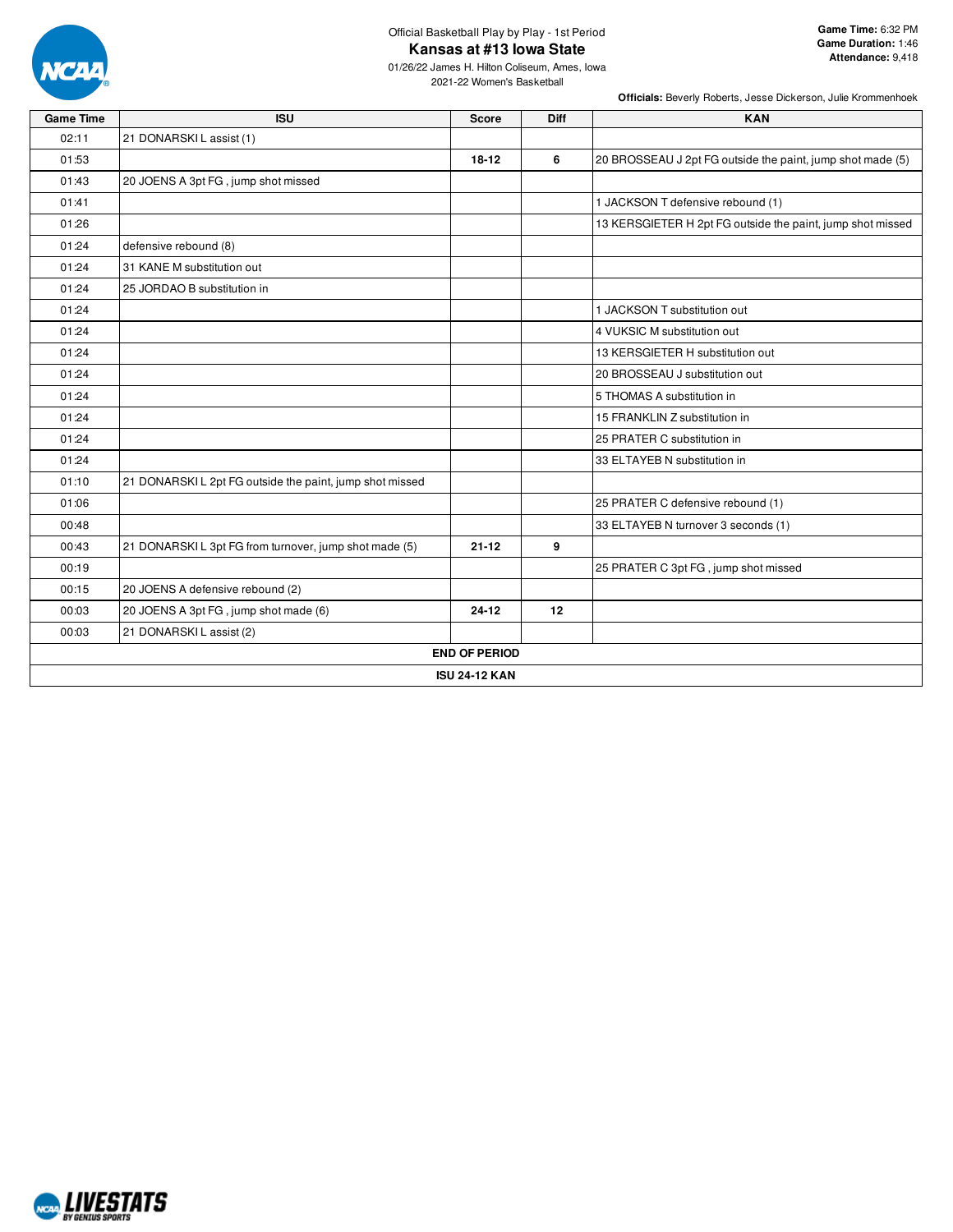

## Official Basketball Play by Play - 1st Period **Kansas at #13 Iowa State**

01/26/22 James H. Hilton Coliseum, Ames, Iowa 2021-22 Women's Basketball

| <b>Game Time</b> | <b>ISU</b>                                               | <b>Score</b>         | Diff | <b>KAN</b>                                                 |  |  |  |  |  |  |
|------------------|----------------------------------------------------------|----------------------|------|------------------------------------------------------------|--|--|--|--|--|--|
| 02:11            | 21 DONARSKI L assist (1)                                 |                      |      |                                                            |  |  |  |  |  |  |
| 01:53            |                                                          | $18 - 12$            | 6    | 20 BROSSEAU J 2pt FG outside the paint, jump shot made (5) |  |  |  |  |  |  |
| 01:43            | 20 JOENS A 3pt FG, jump shot missed                      |                      |      |                                                            |  |  |  |  |  |  |
| 01:41            |                                                          |                      |      | 1 JACKSON T defensive rebound (1)                          |  |  |  |  |  |  |
| 01:26            |                                                          |                      |      | 13 KERSGIETER H 2pt FG outside the paint, jump shot missed |  |  |  |  |  |  |
| 01:24            | defensive rebound (8)                                    |                      |      |                                                            |  |  |  |  |  |  |
| 01:24            | 31 KANE M substitution out                               |                      |      |                                                            |  |  |  |  |  |  |
| 01:24            | 25 JORDAO B substitution in                              |                      |      |                                                            |  |  |  |  |  |  |
| 01:24            |                                                          |                      |      | 1 JACKSON T substitution out                               |  |  |  |  |  |  |
| 01:24            |                                                          |                      |      | 4 VUKSIC M substitution out                                |  |  |  |  |  |  |
| 01:24            |                                                          |                      |      | 13 KERSGIETER H substitution out                           |  |  |  |  |  |  |
| 01:24            |                                                          |                      |      | 20 BROSSEAU J substitution out                             |  |  |  |  |  |  |
| 01:24            |                                                          |                      |      | 5 THOMAS A substitution in                                 |  |  |  |  |  |  |
| 01:24            |                                                          |                      |      | 15 FRANKLIN Z substitution in                              |  |  |  |  |  |  |
| 01:24            |                                                          |                      |      | 25 PRATER C substitution in                                |  |  |  |  |  |  |
| 01:24            |                                                          |                      |      | 33 ELTAYEB N substitution in                               |  |  |  |  |  |  |
| 01:10            | 21 DONARSKI L 2pt FG outside the paint, jump shot missed |                      |      |                                                            |  |  |  |  |  |  |
| 01:06            |                                                          |                      |      | 25 PRATER C defensive rebound (1)                          |  |  |  |  |  |  |
| 00:48            |                                                          |                      |      | 33 ELTAYEB N turnover 3 seconds (1)                        |  |  |  |  |  |  |
| 00:43            | 21 DONARSKIL 3pt FG from turnover, jump shot made (5)    | $21 - 12$            | 9    |                                                            |  |  |  |  |  |  |
| 00:19            |                                                          |                      |      | 25 PRATER C 3pt FG, jump shot missed                       |  |  |  |  |  |  |
| 00:15            | 20 JOENS A defensive rebound (2)                         |                      |      |                                                            |  |  |  |  |  |  |
| 00:03            | 20 JOENS A 3pt FG, jump shot made (6)                    | $24 - 12$            | 12   |                                                            |  |  |  |  |  |  |
| 00:03            | 21 DONARSKI L assist (2)                                 |                      |      |                                                            |  |  |  |  |  |  |
|                  |                                                          | <b>END OF PERIOD</b> |      |                                                            |  |  |  |  |  |  |
|                  | <b>ISU 24-12 KAN</b>                                     |                      |      |                                                            |  |  |  |  |  |  |

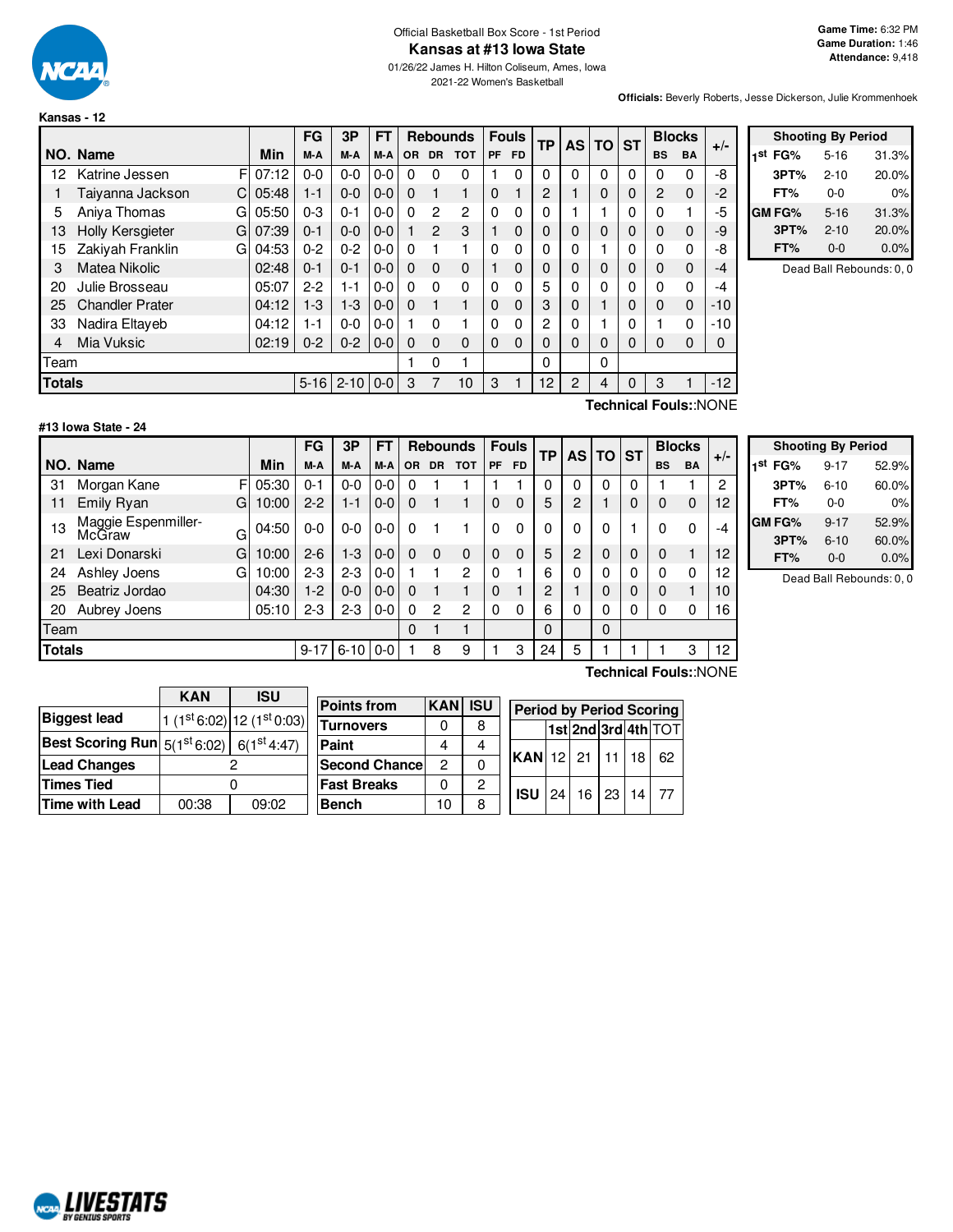

#### Official Basketball Box Score - 1st Period **Kansas at #13 Iowa State**

01/26/22 James H. Hilton Coliseum, Ames, Iowa 2021-22 Women's Basketball

**Officials:** Beverly Roberts, Jesse Dickerson, Julie Krommenhoek

|               |                        |       | FG       | 3P       | FT      |           | <b>Rebounds</b> |            |             | <b>Fouls</b> | ТP       | <b>AS TO</b> |          | $\overline{\phantom{a}}$ ST |                | <b>Blocks</b> | $+/-$ |
|---------------|------------------------|-------|----------|----------|---------|-----------|-----------------|------------|-------------|--------------|----------|--------------|----------|-----------------------------|----------------|---------------|-------|
|               | NO. Name               | Min   | M-A      | M-A      | M-A     | <b>OR</b> | <b>DR</b>       | <b>TOT</b> | <b>PF</b>   | <b>FD</b>    |          |              |          |                             | <b>BS</b>      | <b>BA</b>     |       |
| 12            | F<br>Katrine Jessen    | 07:12 | $0 - 0$  | $0 - 0$  | 0-0     | 0         | 0               | 0          |             | $\Omega$     | $\Omega$ | $\Omega$     | $\Omega$ | $\Omega$                    | 0              | 0             | -8    |
|               | Taiyanna Jackson<br>C  | 05:48 | 1-1      | $0 - 0$  | $0 - 0$ | $\Omega$  | 1               | 1          | $\mathbf 0$ |              | 2        |              | 0        | $\Omega$                    | $\overline{2}$ | $\Omega$      | $-2$  |
| 5             | Aniva Thomas<br>G      | 05:50 | $0 - 3$  | $0 - 1$  | $0 - 0$ | $\Omega$  | $\mathbf{2}$    | 2          | 0           | 0            | $\Omega$ |              |          | 0                           | 0              |               | -5    |
| 13            | Holly Kersgieter<br>G  | 07:39 | 0-1      | $0 - 0$  | $0 - 0$ |           | $\overline{2}$  | 3          |             | $\Omega$     | 0        | 0            | $\Omega$ | 0                           | $\Omega$       | $\Omega$      | -9    |
| 15            | Zakiyah Franklin<br>G  | 04:53 | $0 - 2$  | $0 - 2$  | $0-0$   | 0         |                 |            | 0           | $\Omega$     | 0        | 0            |          | 0                           | $\Omega$       | $\Omega$      | -8    |
| 3             | Matea Nikolic          | 02:48 | $0 - 1$  | $0 - 1$  | $0 - 0$ | $\Omega$  | $\Omega$        | $\Omega$   |             | $\Omega$     | 0        | $\Omega$     | $\Omega$ | $\Omega$                    | $\Omega$       | $\Omega$      | $-4$  |
| 20            | Julie Brosseau         | 05:07 | $2-2$    | $1 - 1$  | $0-0$   | $\Omega$  | $\Omega$        | 0          | $\Omega$    | 0            | 5        | 0            | 0        | 0                           | $\Omega$       | $\Omega$      | -4    |
| 25            | <b>Chandler Prater</b> | 04:12 | $1 - 3$  | $1 - 3$  | $0-0$   | $\Omega$  | 1               | 1          | $\Omega$    | $\Omega$     | 3        | 0            |          | $\Omega$                    | $\Omega$       | 0             | $-10$ |
| 33            | Nadira Eltayeb         | 04:12 | 1-1      | $0 - 0$  | $0-0$   |           | $\Omega$        |            | 0           | $\Omega$     | 2        | 0            |          |                             |                | $\Omega$      | $-10$ |
| 4             | Mia Vuksic             | 02:19 | $0 - 2$  | $0 - 2$  | $0-0$   | $\Omega$  | $\Omega$        | 0          | $\Omega$    | $\Omega$     | $\Omega$ | $\Omega$     | $\Omega$ | $\Omega$                    | $\Omega$       | $\Omega$      | 0     |
| Team          |                        |       |          |          |         |           | 0               |            |             |              | 0        |              | 0        |                             |                |               |       |
| <b>Totals</b> |                        |       | $5 - 16$ | $2 - 10$ | $0-0$   | 3         | 7               | 10         | 3           |              | 12       | 2            | 4        | $\Omega$                    | 3              |               | $-12$ |

|     |        | <b>Shooting By Period</b> |       |
|-----|--------|---------------------------|-------|
| 1st | FG%    | $5 - 16$                  | 31.3% |
|     | 3PT%   | $2 - 10$                  | 20.0% |
|     | FT%    | $0 - 0$                   | 0%    |
|     | GM FG% | $5 - 16$                  | 31.3% |
|     | 3PT%   | $2 - 10$                  | 20.0% |
|     | FT%    | $0 - 0$                   | 0.0%  |

Dead Ball Rebounds: 0, 0

### **#13 Iowa State - 24**

F 05:30 G 10:00 G  $04:50$ G 10:00 G 10:00 **NO.** Name Min **FG 3P FT Rebounds Fouls TP AS TO ST**  $\begin{bmatrix} \mathsf{FG} \end{bmatrix}$   $\begin{bmatrix} \mathsf{3P} \end{bmatrix}$   $\begin{bmatrix} \mathsf{FT} \end{bmatrix}$   $\begin{bmatrix} \mathsf{Rebounds} \end{bmatrix}$   $\begin{bmatrix} \mathsf{F} \end{bmatrix}$   $\begin{bmatrix} \mathsf{F} \end{bmatrix}$   $\begin{bmatrix} \mathsf{TP} \end{bmatrix}$   $\begin{bmatrix} \mathsf{AS} \end{bmatrix}$   $\begin{bmatrix} \mathsf{ST} \end{bmatrix}$   $\begin{bmatrix} \mathsf{BlockS} \ \mathsf{BA} \end{bmatrix}$  + 31 Morgan Kane F 05:30 | 0-1 | 0-0 | 0-0 | 0 1 1 | 1 | 1 | 0 | 0 | 0 | 0 | 1 1 | 2 11 Emily Ryan G | 10:00 | 2-2 | 1-1 | 0-0 | 0 | 1 | 1 | 0 | 0 | 5 | 2 | 1 | 0 | 0 | 0 | 12 13 Maggie Espenmiller-<br>McGraw 04:50 | 0-0 | 0-0 | 0-0 | 0 | 0 | 1 | 0 0 | 0 | 0 | 0 | 0 | 1 | 0 0 | -4 21 Lexi Donarski G | 10:00 | 2-6 | 1-3 | 0-0 | 0 0 0 0 0 0 0 | 5 | 2 | 0 | 0 | 0 0 1 | 12 24 Ashley Joens G | 10:00 | 2-3 | 2-3 | 0-0 | 1 | 1 | 2 | 0 | 1 | 6 | 0 | 0 | 0 | 0 | 0 | 12 25 Beatriz Jordao (04:30 | 1-2 | 0-0 | 0-0 | 0  $\rightarrow$  1 | 0  $\rightarrow$  1 | 2 | 1 | 0 | 0 | 0  $\rightarrow$  1 | 10 20 Aubrey Joens 20 05:10 2-3 2-3 0-0 0 2 2 0 0 6 0 0 0 0 0 0 16 Team 0 1 1 0 0 **Totals** 9-17 6-10 0-0 1 8 9 1 3 24 5 1 1 1 3 12

|  |  | Technical Fouls::NONE |
|--|--|-----------------------|
|--|--|-----------------------|

| 3PT%                     | $6 - 10$ | 60.0% |  |  |  |  |  |  |
|--------------------------|----------|-------|--|--|--|--|--|--|
| FT%                      | $0 - 0$  | $0\%$ |  |  |  |  |  |  |
| <b>GM FG%</b>            | $9 - 17$ | 52.9% |  |  |  |  |  |  |
| 3PT%                     | $6 - 10$ | 60.0% |  |  |  |  |  |  |
| FT%                      | $0 - 0$  | 0.0%  |  |  |  |  |  |  |
| Dead Ball Rebounds: 0, 0 |          |       |  |  |  |  |  |  |

**Shooting By Period 1 st FG%** 9-17 52.9%

|                                                               | <b>KAN</b> | <b>ISU</b>                     |                    |
|---------------------------------------------------------------|------------|--------------------------------|--------------------|
|                                                               |            |                                | <b>Points from</b> |
| <b>Biggest lead</b>                                           |            | 1 $(1st 6:02)$ 12 $(1st 0:03)$ |                    |
|                                                               |            |                                | <b>Turnovers</b>   |
| Best Scoring Run $ 5(1^{\text{st}}6.02) 6(1^{\text{st}}4.47)$ |            |                                | Paint              |
| <b>Lead Changes</b>                                           |            |                                | <b>Second Chan</b> |
| Times Tied                                                    |            |                                | <b>Fast Breaks</b> |
| Time with Lead                                                | 00:38      | 09:02                          | <b>Bench</b>       |

**Points from KAN ISU Turnovers** 0 8 **Paint** | 4 | 4 **Second Chance** 2 0 **Fast Breaks** | 0 | 2 **Bench** 10 8 **Period by Period Scoring 1st 2nd 3rd 4th** TOT **KAN** 12 21 11 18 62 **ISU** 24 16 23 14 77

**Technical Fouls:**:NONE

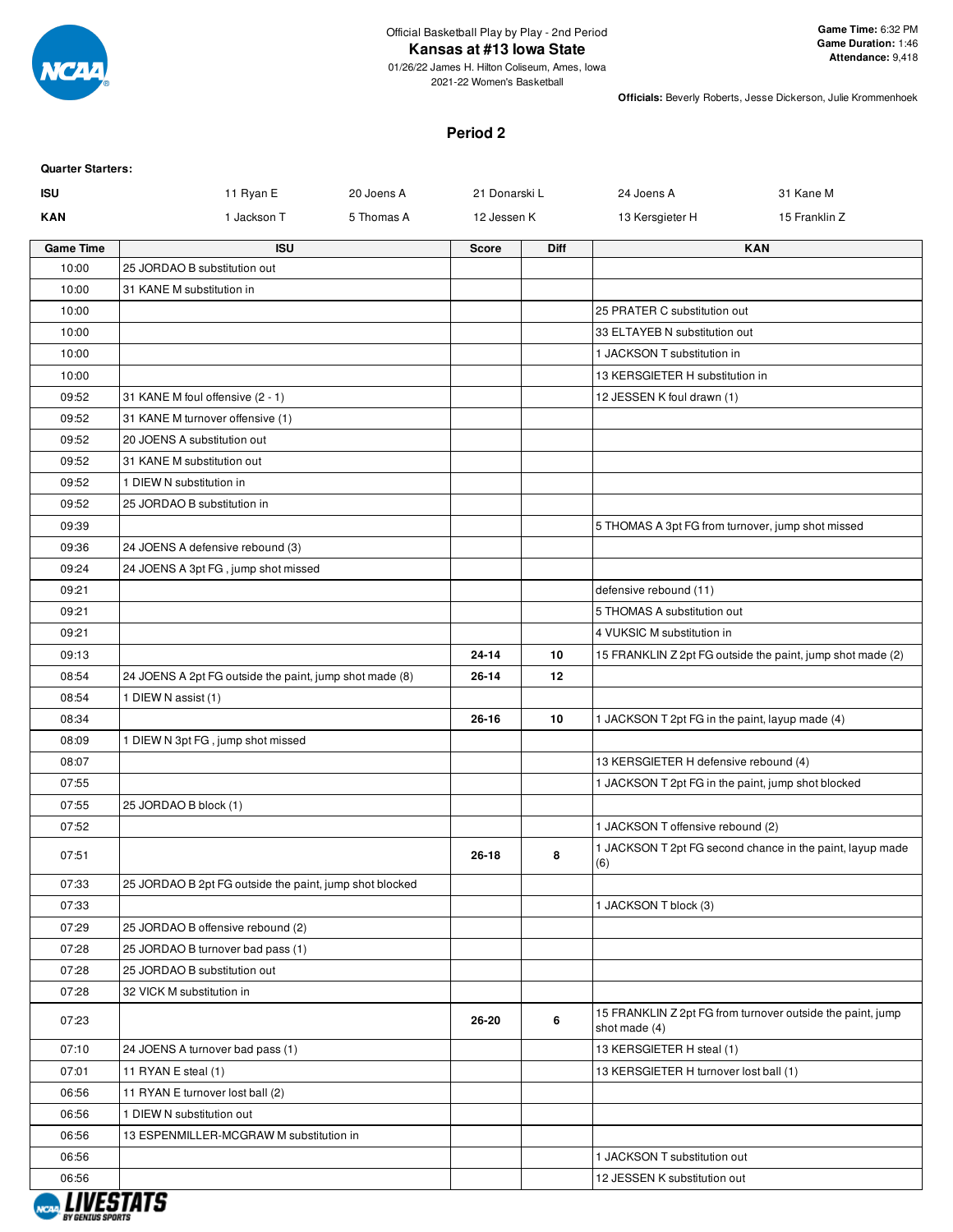

2021-22 Women's Basketball

**Officials:** Beverly Roberts, Jesse Dickerson, Julie Krommenhoek

#### **Period 2**

| <b>ISU</b>       | 11 Ryan E                                               | 20 Joens A | 21 Donarski L |      | 24 Joens A                                         | 31 Kane M                                                  |
|------------------|---------------------------------------------------------|------------|---------------|------|----------------------------------------------------|------------------------------------------------------------|
| <b>KAN</b>       | 1 Jackson T                                             | 5 Thomas A | 12 Jessen K   |      | 13 Kersgieter H                                    | 15 Franklin Z                                              |
| <b>Game Time</b> | <b>ISU</b>                                              |            | <b>Score</b>  | Diff |                                                    | <b>KAN</b>                                                 |
| 10:00            | 25 JORDAO B substitution out                            |            |               |      |                                                    |                                                            |
| 10:00            | 31 KANE M substitution in                               |            |               |      |                                                    |                                                            |
| 10:00            |                                                         |            |               |      | 25 PRATER C substitution out                       |                                                            |
| 10:00            |                                                         |            |               |      | 33 ELTAYEB N substitution out                      |                                                            |
| 10:00            |                                                         |            |               |      | 1 JACKSON T substitution in                        |                                                            |
| 10:00            |                                                         |            |               |      | 13 KERSGIETER H substitution in                    |                                                            |
| 09:52            | 31 KANE M foul offensive (2 - 1)                        |            |               |      | 12 JESSEN K foul drawn (1)                         |                                                            |
| 09:52            | 31 KANE M turnover offensive (1)                        |            |               |      |                                                    |                                                            |
| 09:52            | 20 JOENS A substitution out                             |            |               |      |                                                    |                                                            |
| 09:52            | 31 KANE M substitution out                              |            |               |      |                                                    |                                                            |
| 09:52            | 1 DIEW N substitution in                                |            |               |      |                                                    |                                                            |
| 09:52            | 25 JORDAO B substitution in                             |            |               |      |                                                    |                                                            |
| 09:39            |                                                         |            |               |      | 5 THOMAS A 3pt FG from turnover, jump shot missed  |                                                            |
| 09:36            | 24 JOENS A defensive rebound (3)                        |            |               |      |                                                    |                                                            |
| 09:24            | 24 JOENS A 3pt FG, jump shot missed                     |            |               |      |                                                    |                                                            |
| 09:21            |                                                         |            |               |      | defensive rebound (11)                             |                                                            |
| 09:21            |                                                         |            |               |      | 5 THOMAS A substitution out                        |                                                            |
| 09:21            |                                                         |            |               |      | 4 VUKSIC M substitution in                         |                                                            |
| 09:13            |                                                         |            | $24 - 14$     | 10   |                                                    | 15 FRANKLIN Z 2pt FG outside the paint, jump shot made (2) |
| 08:54            | 24 JOENS A 2pt FG outside the paint, jump shot made (8) |            | 26-14         | 12   |                                                    |                                                            |
| 08:54            | 1 DIEW N assist (1)                                     |            |               |      |                                                    |                                                            |
| 08:34            |                                                         |            | $26 - 16$     | 10   | 1 JACKSON T 2pt FG in the paint, layup made (4)    |                                                            |
| 08:09            | 1 DIEW N 3pt FG, jump shot missed                       |            |               |      |                                                    |                                                            |
| 08:07            |                                                         |            |               |      | 13 KERSGIETER H defensive rebound (4)              |                                                            |
| 07:55            |                                                         |            |               |      | 1 JACKSON T 2pt FG in the paint, jump shot blocked |                                                            |
| 07:55            | 25 JORDAO B block (1)                                   |            |               |      |                                                    |                                                            |
| 07:52            |                                                         |            |               |      | 1 JACKSON T offensive rebound (2)                  |                                                            |
| 07:51            |                                                         |            | 26-18         | 8    | (6)                                                | 1 JACKSON T 2pt FG second chance in the paint, layup made  |
| 07:33            | 25 JORDAO B 2pt FG outside the paint, jump shot blocked |            |               |      |                                                    |                                                            |
| 07:33            |                                                         |            |               |      | 1 JACKSON T block (3)                              |                                                            |
| 07:29            | 25 JORDAO B offensive rebound (2)                       |            |               |      |                                                    |                                                            |
| 07:28            | 25 JORDAO B turnover bad pass (1)                       |            |               |      |                                                    |                                                            |
| 07:28            | 25 JORDAO B substitution out                            |            |               |      |                                                    |                                                            |
| 07:28            | 32 VICK M substitution in                               |            |               |      |                                                    |                                                            |
| 07:23            |                                                         |            | 26-20         | 6    | shot made (4)                                      | 15 FRANKLIN Z 2pt FG from turnover outside the paint, jump |
| 07:10            | 24 JOENS A turnover bad pass (1)                        |            |               |      | 13 KERSGIETER H steal (1)                          |                                                            |
| 07:01            | 11 RYAN E steal (1)                                     |            |               |      | 13 KERSGIETER H turnover lost ball (1)             |                                                            |
| 06:56            | 11 RYAN E turnover lost ball (2)                        |            |               |      |                                                    |                                                            |
| 06:56            | 1 DIEW N substitution out                               |            |               |      |                                                    |                                                            |
| 06:56            | 13 ESPENMILLER-MCGRAW M substitution in                 |            |               |      |                                                    |                                                            |
| 06:56            |                                                         |            |               |      | 1 JACKSON T substitution out                       |                                                            |
| 06:56            |                                                         |            |               |      | 12 JESSEN K substitution out                       |                                                            |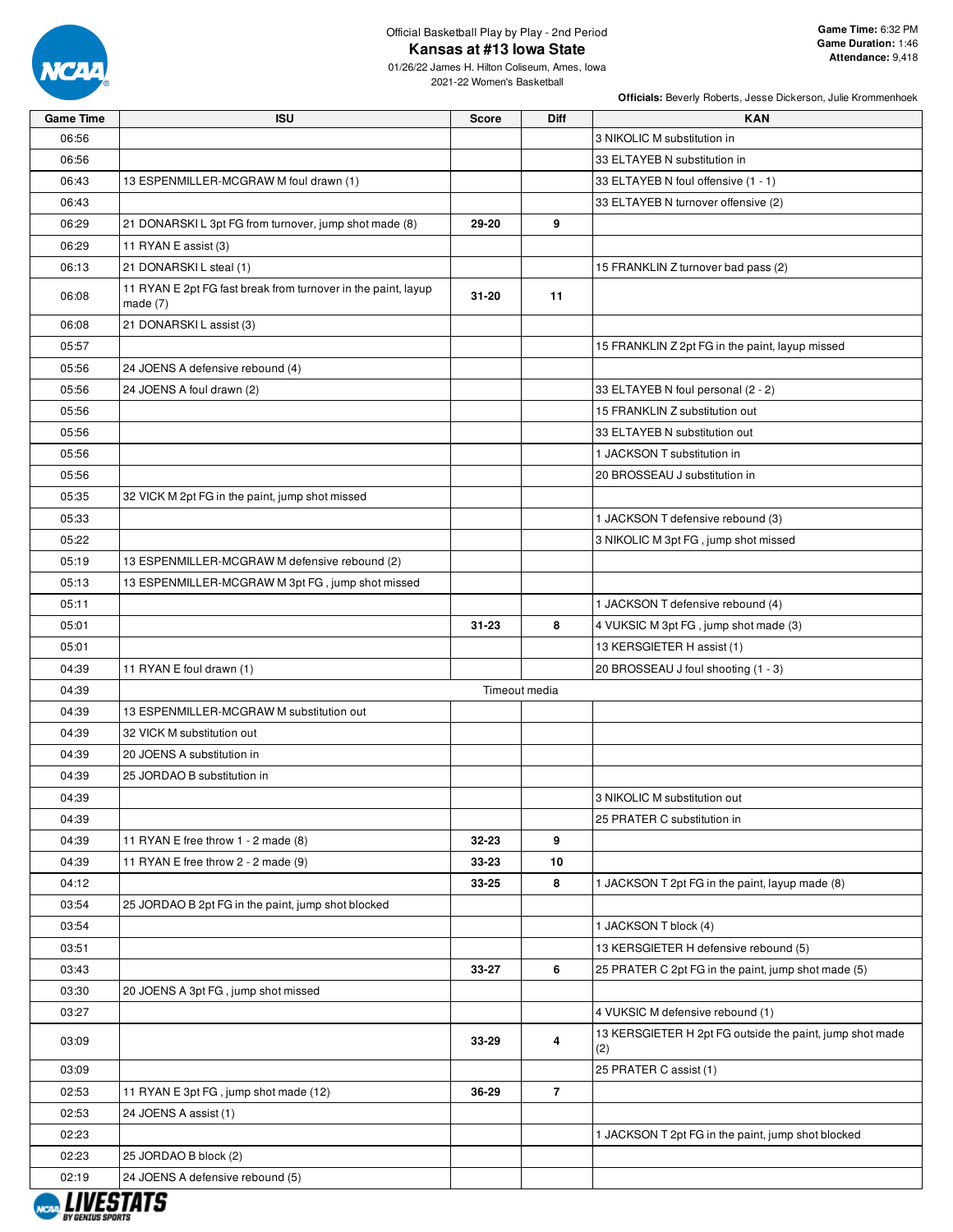

## Official Basketball Play by Play - 2nd Period **Kansas at #13 Iowa State**

01/26/22 James H. Hilton Coliseum, Ames, Iowa 2021-22 Women's Basketball

| <b>Game Time</b>        | <b>ISU</b>                                                                  | <b>Score</b> | Diff           | <b>KAN</b>                                                      |
|-------------------------|-----------------------------------------------------------------------------|--------------|----------------|-----------------------------------------------------------------|
| 06:56                   |                                                                             |              |                | 3 NIKOLIC M substitution in                                     |
| 06:56                   |                                                                             |              |                | 33 ELTAYEB N substitution in                                    |
| 06:43                   | 13 ESPENMILLER-MCGRAW M foul drawn (1)                                      |              |                | 33 ELTAYEB N foul offensive (1 - 1)                             |
| 06:43                   |                                                                             |              |                | 33 ELTAYEB N turnover offensive (2)                             |
| 06:29                   | 21 DONARSKIL 3pt FG from turnover, jump shot made (8)                       | 29-20        | 9              |                                                                 |
| 06:29                   | 11 RYAN E assist (3)                                                        |              |                |                                                                 |
| 06:13                   | 21 DONARSKI L steal (1)                                                     |              |                | 15 FRANKLIN Z turnover bad pass (2)                             |
| 06:08                   | 11 RYAN E 2pt FG fast break from turnover in the paint, layup<br>made $(7)$ | $31 - 20$    | 11             |                                                                 |
| 06:08                   | 21 DONARSKI L assist (3)                                                    |              |                |                                                                 |
| 05:57                   |                                                                             |              |                | 15 FRANKLIN Z 2pt FG in the paint, layup missed                 |
| 05:56                   | 24 JOENS A defensive rebound (4)                                            |              |                |                                                                 |
| 05:56                   | 24 JOENS A foul drawn (2)                                                   |              |                | 33 ELTAYEB N foul personal (2 - 2)                              |
| 05:56                   |                                                                             |              |                | 15 FRANKLIN Z substitution out                                  |
| 05:56                   |                                                                             |              |                | 33 ELTAYEB N substitution out                                   |
| 05:56                   |                                                                             |              |                | 1 JACKSON T substitution in                                     |
| 05:56                   |                                                                             |              |                | 20 BROSSEAU J substitution in                                   |
| 05:35                   | 32 VICK M 2pt FG in the paint, jump shot missed                             |              |                |                                                                 |
| 05:33                   |                                                                             |              |                | 1 JACKSON T defensive rebound (3)                               |
| 05:22                   |                                                                             |              |                | 3 NIKOLIC M 3pt FG, jump shot missed                            |
|                         |                                                                             |              |                |                                                                 |
| 05:19                   | 13 ESPENMILLER-MCGRAW M defensive rebound (2)                               |              |                |                                                                 |
| 05:13                   | 13 ESPENMILLER-MCGRAW M 3pt FG, jump shot missed                            |              |                |                                                                 |
| 05:11                   |                                                                             |              |                | 1 JACKSON T defensive rebound (4)                               |
| 05:01                   |                                                                             | 31-23        | 8              | 4 VUKSIC M 3pt FG, jump shot made (3)                           |
| 05:01                   |                                                                             |              |                | 13 KERSGIETER H assist (1)                                      |
| 04:39                   | 11 RYAN E foul drawn (1)                                                    |              |                | 20 BROSSEAU J foul shooting (1 - 3)                             |
| 04:39                   |                                                                             |              | Timeout media  |                                                                 |
| 04:39                   | 13 ESPENMILLER-MCGRAW M substitution out                                    |              |                |                                                                 |
| 04:39                   | 32 VICK M substitution out                                                  |              |                |                                                                 |
| 04:39                   | 20 JOENS A substitution in                                                  |              |                |                                                                 |
| 04:39                   | 25 JORDAO B substitution in                                                 |              |                |                                                                 |
| 04:39                   |                                                                             |              |                | 3 NIKOLIC M substitution out                                    |
| 04:39                   |                                                                             |              |                | 25 PRATER C substitution in                                     |
| 04:39                   | 11 RYAN E free throw 1 - 2 made (8)                                         | 32-23        | 9              |                                                                 |
| 04:39                   | 11 RYAN E free throw 2 - 2 made (9)                                         | 33-23        | 10             |                                                                 |
| 04:12                   |                                                                             | 33-25        | 8              | 1 JACKSON T 2pt FG in the paint, layup made (8)                 |
| 03:54                   | 25 JORDAO B 2pt FG in the paint, jump shot blocked                          |              |                |                                                                 |
| 03:54                   |                                                                             |              |                | 1 JACKSON T block (4)                                           |
| 03:51                   |                                                                             |              |                | 13 KERSGIETER H defensive rebound (5)                           |
| 03:43                   |                                                                             | 33-27        | 6              | 25 PRATER C 2pt FG in the paint, jump shot made (5)             |
| 03:30                   | 20 JOENS A 3pt FG, jump shot missed                                         |              |                |                                                                 |
| 03:27                   |                                                                             |              |                | 4 VUKSIC M defensive rebound (1)                                |
| 03:09                   |                                                                             | 33-29        | 4              | 13 KERSGIETER H 2pt FG outside the paint, jump shot made<br>(2) |
| 03:09                   |                                                                             |              |                | 25 PRATER C assist (1)                                          |
| 02:53                   | 11 RYAN E 3pt FG, jump shot made (12)                                       | 36-29        | $\overline{7}$ |                                                                 |
| 02:53                   | 24 JOENS A assist (1)                                                       |              |                |                                                                 |
| 02:23                   |                                                                             |              |                | 1 JACKSON T 2pt FG in the paint, jump shot blocked              |
| 02:23                   | 25 JORDAO B block (2)                                                       |              |                |                                                                 |
| 02:19                   | 24 JOENS A defensive rebound (5)                                            |              |                |                                                                 |
|                         |                                                                             |              |                |                                                                 |
| <b>BY GENIUS SPORTS</b> |                                                                             |              |                |                                                                 |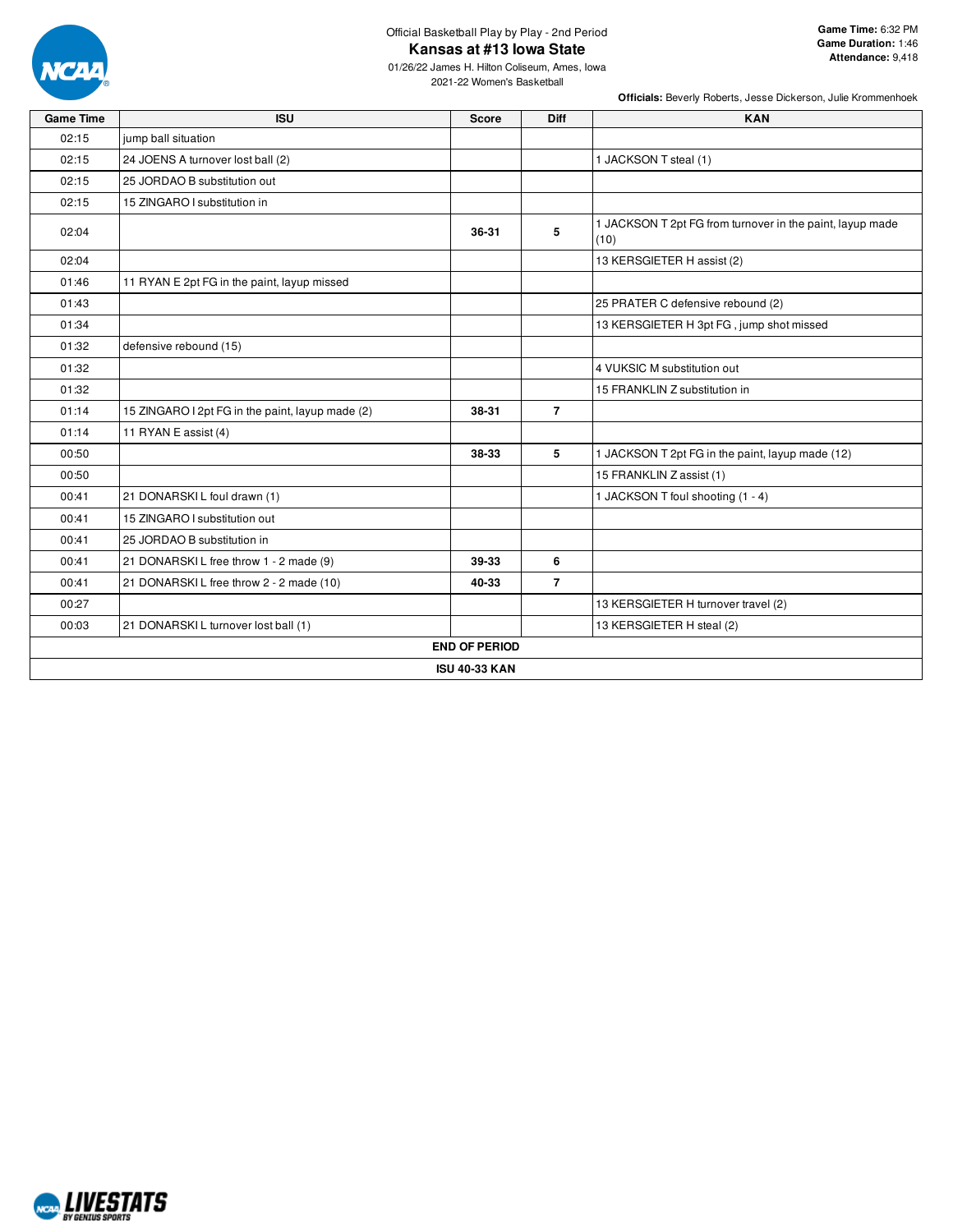

## Official Basketball Play by Play - 2nd Period **Kansas at #13 Iowa State**

01/26/22 James H. Hilton Coliseum, Ames, Iowa 2021-22 Women's Basketball

| <b>Game Time</b> | <b>ISU</b>                                       | <b>Score</b>         | Diff           | <b>KAN</b>                                                        |
|------------------|--------------------------------------------------|----------------------|----------------|-------------------------------------------------------------------|
| 02:15            | jump ball situation                              |                      |                |                                                                   |
| 02:15            | 24 JOENS A turnover lost ball (2)                |                      |                | 1 JACKSON T steal (1)                                             |
| 02:15            | 25 JORDAO B substitution out                     |                      |                |                                                                   |
| 02:15            | 15 ZINGARO I substitution in                     |                      |                |                                                                   |
| 02:04            |                                                  | 36-31                | 5              | 1 JACKSON T 2pt FG from turnover in the paint, layup made<br>(10) |
| 02:04            |                                                  |                      |                | 13 KERSGIETER H assist (2)                                        |
| 01:46            | 11 RYAN E 2pt FG in the paint, layup missed      |                      |                |                                                                   |
| 01:43            |                                                  |                      |                | 25 PRATER C defensive rebound (2)                                 |
| 01:34            |                                                  |                      |                | 13 KERSGIETER H 3pt FG, jump shot missed                          |
| 01:32            | defensive rebound (15)                           |                      |                |                                                                   |
| 01:32            |                                                  |                      |                | 4 VUKSIC M substitution out                                       |
| 01:32            |                                                  |                      |                | 15 FRANKLIN Z substitution in                                     |
| 01:14            | 15 ZINGARO I 2pt FG in the paint, layup made (2) | 38-31                | $\overline{7}$ |                                                                   |
| 01:14            | 11 RYAN E assist (4)                             |                      |                |                                                                   |
| 00:50            |                                                  | 38-33                | 5              | 1 JACKSON T 2pt FG in the paint, layup made (12)                  |
| 00:50            |                                                  |                      |                | 15 FRANKLIN Z assist (1)                                          |
| 00:41            | 21 DONARSKI L foul drawn (1)                     |                      |                | 1 JACKSON T foul shooting (1 - 4)                                 |
| 00:41            | 15 ZINGARO I substitution out                    |                      |                |                                                                   |
| 00:41            | 25 JORDAO B substitution in                      |                      |                |                                                                   |
| 00:41            | 21 DONARSKIL free throw 1 - 2 made (9)           | 39-33                | 6              |                                                                   |
| 00:41            | 21 DONARSKIL free throw 2 - 2 made (10)          | 40-33                | $\overline{7}$ |                                                                   |
| 00:27            |                                                  |                      |                | 13 KERSGIETER H turnover travel (2)                               |
| 00:03            | 21 DONARSKI L turnover lost ball (1)             |                      |                | 13 KERSGIETER H steal (2)                                         |
|                  |                                                  | <b>END OF PERIOD</b> |                |                                                                   |
|                  |                                                  | <b>ISU 40-33 KAN</b> |                |                                                                   |

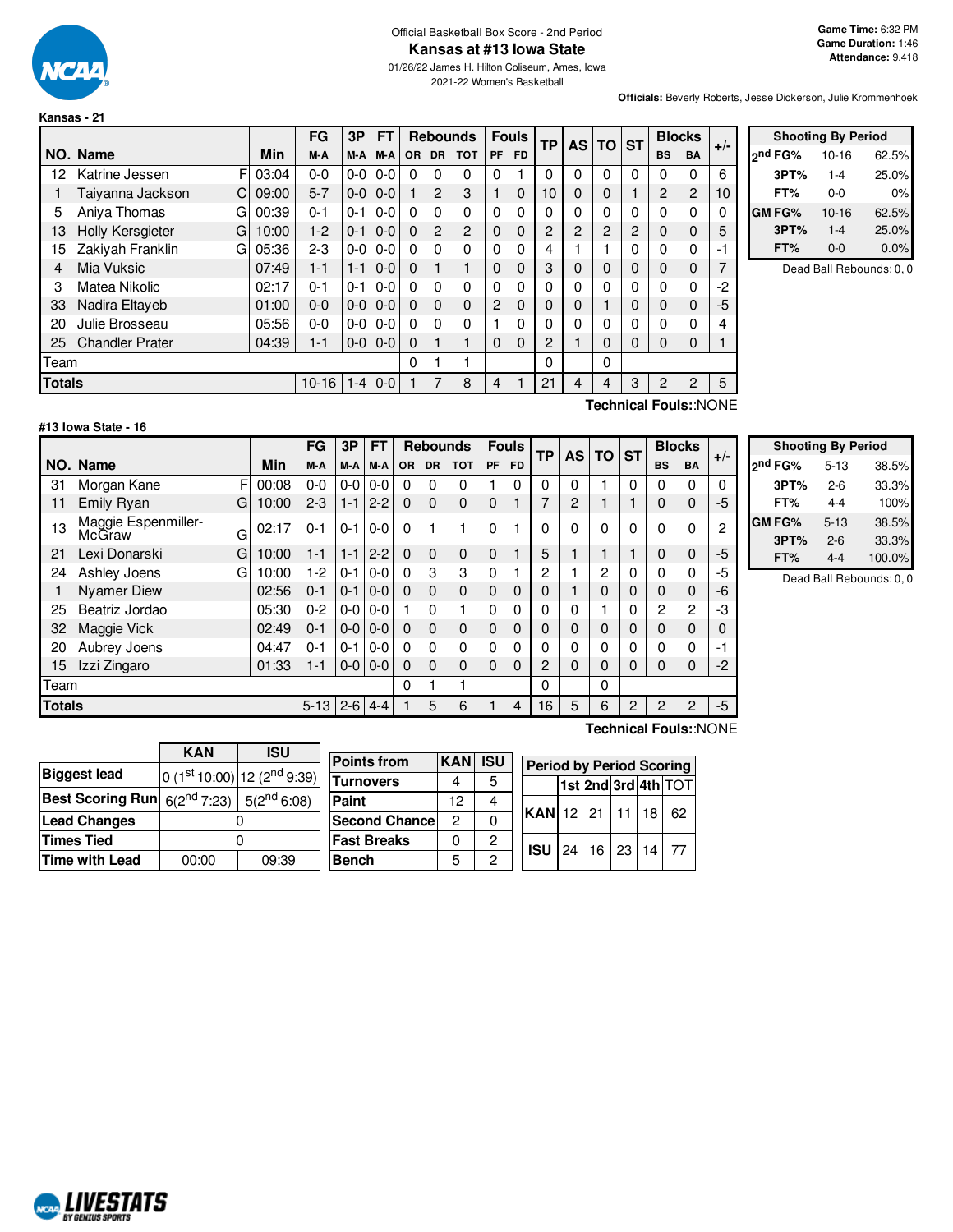

#### Official Basketball Box Score - 2nd Period **Kansas at #13 Iowa State**

01/26/22 James H. Hilton Coliseum, Ames, Iowa 2021-22 Women's Basketball

**Officials:** Beverly Roberts, Jesse Dickerson, Julie Krommenhoek

|               |                              |       | FG        | 3Р      | <b>FT</b> |          | <b>Rebounds</b> |                |                | <b>Fouls</b> | ТP             | <b>AS</b>      | <b>TO</b>      | <b>ST</b> | <b>Blocks</b>        |                | $+/-$ |
|---------------|------------------------------|-------|-----------|---------|-----------|----------|-----------------|----------------|----------------|--------------|----------------|----------------|----------------|-----------|----------------------|----------------|-------|
|               | NO. Name                     | Min   | M-A       | M-A     | M-A       | OR.      | <b>DR</b>       | <b>TOT</b>     | <b>PF</b>      | <b>FD</b>    |                |                |                |           | <b>BS</b>            | <b>BA</b>      |       |
| 12            | F<br>Katrine Jessen          | 03:04 | $0 - 0$   | $0-0$   | $0-0$     | 0        | 0               | 0              | 0              |              | 0              | 0              | 0              | 0         | 0                    | 0              | 6     |
|               | Taiyanna Jackson<br>C.       | 09:00 | $5 - 7$   | $0-0$   | $0 - 0$   |          | $\overline{2}$  | 3              |                | 0            | 10             | 0              | 0              |           | $\overline{2}$       | $\overline{2}$ | 10    |
| 5             | Aniva Thomas<br>G            | 00:39 | $0 - 1$   | $0 - 1$ | $0-0$     | $\Omega$ | 0               | 0              | $\mathbf{0}$   | 0            | 0              | 0              | 0              | 0         | $\Omega$             | 0              | 0     |
| 13            | <b>Holly Kersgieter</b><br>G | 10:00 | $1-2$     | $0 - 1$ | $0 - 0$   | $\Omega$ | $\mathcal{P}$   | $\overline{2}$ | $\mathbf 0$    | 0            | 2              | $\overline{2}$ | $\overline{2}$ | 2         | $\mathbf 0$          | $\Omega$       | 5     |
| 15            | Zakiyah Franklin<br>G        | 05:36 | $2 - 3$   | $0-0$   | $0 - 0$   | $\Omega$ | 0               | 0              | $\mathbf{0}$   | 0            | 4              |                |                | 0         | 0                    | $\Omega$       | -1    |
| 4             | Mia Vuksic                   | 07:49 | $1 - 1$   | $1 - 1$ | $0 - 0$   | $\Omega$ | 1               |                | $\Omega$       | 0            | 3              | 0              | 0              | 0         | $\mathbf 0$          | $\Omega$       | 7     |
| 3             | Matea Nikolic                | 02:17 | $0 - 1$   | $0 - 1$ | $0-0$     | $\Omega$ | 0               | 0              | $\Omega$       | 0            | 0              | 0              | 0              | 0         | 0                    | $\Omega$       | -2    |
| 33            | Nadira Eltayeb               | 01:00 | $0 - 0$   | $0-0$   | $0 - 0$   | $\Omega$ | $\Omega$        | 0              | $\overline{c}$ | 0            | 0              | 0              |                | 0         | 0                    | $\Omega$       | -5    |
| 20            | Julie Brosseau               | 05:56 | $0 - 0$   | $0-0$   | $0 - 0$   | $\Omega$ | 0               | 0              |                | 0            | 0              | 0              | 0              | 0         | 0                    | $\Omega$       | 4     |
| 25            | <b>Chandler Prater</b>       | 04:39 | $1 - 1$   | $0-0$   | $0 - 0$   | 0        |                 |                | $\Omega$       | 0            | $\overline{2}$ |                | 0              | 0         | 0                    | $\Omega$       |       |
| Team          |                              |       |           |         |           | 0        |                 |                |                |              | 0              |                | 0              |           |                      |                |       |
| <b>Totals</b> |                              |       | $10 - 16$ | $1 - 4$ | $0 - 0$   |          |                 | 8              | 4              |              | 21             | 4              | 4              | 3         | 2                    | $\overline{c}$ | 5     |
|               |                              |       |           |         |           |          |                 |                |                |              |                |                |                |           | エンストックスオリティングス いりくいじ |                |       |



Dead Ball Rebounds: 0, 0

## **#13 Iowa State - 16**

**Technical Fouls:**:NONE

|               |                                    |       | FG       | 3P      | <b>FT</b> |           | <b>Rebounds</b> |            |             |           |          | <b>Fouls</b> | <b>TP</b>      | <b>AS</b> | ТО             | <b>ST</b>      | <b>Blocks</b> |  | $+/-$ |
|---------------|------------------------------------|-------|----------|---------|-----------|-----------|-----------------|------------|-------------|-----------|----------|--------------|----------------|-----------|----------------|----------------|---------------|--|-------|
|               | NO. Name                           | Min   | M-A      | M-A     | M-A       | <b>OR</b> | <b>DR</b>       | <b>TOT</b> | <b>PF</b>   | <b>FD</b> |          |              |                |           | <b>BS</b>      | <b>BA</b>      |               |  |       |
| 31            | F<br>Morgan Kane                   | 00:08 | $0 - 0$  | $0-0$   | $0-0$     | 0         | 0               | 0          |             | 0         | $\Omega$ | 0            |                | 0         | $\Omega$       | $\Omega$       | 0             |  |       |
| 11            | Emily Ryan<br>G                    | 10:00 | $2 - 3$  | $1 - 1$ | $2 - 2$   | $\Omega$  | $\Omega$        | $\Omega$   | 0           |           |          | 2            |                |           | 0              | $\Omega$       | -5            |  |       |
| 13            | Maggie Espenmiller-<br>McGraw<br>G | 02:17 | $0 - 1$  | $0 - 1$ | $0-0$     | 0         |                 |            | 0           |           | $\Omega$ |              | 0              | 0         | 0              | $\Omega$       | 2             |  |       |
| 21            | Lexi Donarski<br>G                 | 10:00 | $1 - 1$  | $1 - 1$ | $2 - 2$   | $\Omega$  | $\Omega$        | $\Omega$   | $\mathbf 0$ |           | 5        |              |                |           | 0              | $\Omega$       | $-5$          |  |       |
| 24            | Ashley Joens<br>G                  | 10:00 | $1 - 2$  | $0 - 1$ | $0-0$     | 0         | 3               | 3          | 0           |           | 2        |              | $\overline{2}$ | 0         | 0              | $\Omega$       | -5            |  |       |
|               | <b>Nyamer Diew</b>                 | 02:56 | $0 - 1$  | $0 - 1$ | $0-0$     | 0         | $\Omega$        | $\Omega$   | 0           | $\Omega$  | $\Omega$ |              | 0              | 0         | 0              | $\Omega$       | -6            |  |       |
| 25            | Beatriz Jordao                     | 05:30 | $0 - 2$  | $0-0$   | $0 - 0$   |           | $\Omega$        |            | 0           | 0         | 0        |              |                | 0         | $\overline{2}$ | $\overline{c}$ | -3            |  |       |
| 32            | Maggie Vick                        | 02:49 | $0 - 1$  | $0-0$   | $0-0$     | 0         | $\Omega$        | $\Omega$   | 0           | $\Omega$  | 0        | 0            | 0              | 0         | 0              | $\Omega$       | 0             |  |       |
| 20            | Aubrey Joens                       | 04:47 | $0 - 1$  | $0 - 1$ | $0 - 0$   | 0         | $\Omega$        | 0          | 0           | 0         | $\Omega$ |              | 0              | 0         | $\Omega$       | $\Omega$       | -1            |  |       |
| 15            | Izzi Zingaro                       | 01:33 | $1 - 1$  | $0 - 0$ | $0 - 0$   | 0         | $\Omega$        | $\Omega$   | 0           | 0         | 2        | 0            | 0              | 0         | 0              | $\Omega$       | -2            |  |       |
| Team          |                                    |       |          |         |           | 0         |                 |            |             |           | 0        |              | 0              |           |                |                |               |  |       |
| <b>Totals</b> |                                    |       | $5 - 13$ | $2 - 6$ | $4 - 4$   |           | 5               | 6          |             | 4         | 16       | 5            | 6              | 2         | 2              | 2              | -5            |  |       |

| <b>Shooting By Period</b> |          |        |  |  |  |  |  |  |  |
|---------------------------|----------|--------|--|--|--|--|--|--|--|
| 2 <sup>nd</sup> FG%       | $5 - 13$ | 38.5%  |  |  |  |  |  |  |  |
| 3PT%                      | 2-6      | 33.3%  |  |  |  |  |  |  |  |
| FT%                       | 4-4      | 100%   |  |  |  |  |  |  |  |
| GM FG%                    | $5 - 13$ | 38.5%  |  |  |  |  |  |  |  |
| 3PT%                      | $2 - 6$  | 33.3%  |  |  |  |  |  |  |  |
| FT%                       | 4-4      | 100.0% |  |  |  |  |  |  |  |

Dead Ball Rebounds: 0, 0

|                                                             | KAN<br>ISU     |                                 |  |  |  |  |  |
|-------------------------------------------------------------|----------------|---------------------------------|--|--|--|--|--|
| <b>Biggest lead</b>                                         |                | $ 0 (1st 10:00) 12 (2nd 9:39) $ |  |  |  |  |  |
| <b>Best Scoring Run</b> $6(2^{nd} 7:23)$ 5( $2^{nd} 6:08$ ) |                |                                 |  |  |  |  |  |
| <b>Lead Changes</b>                                         |                |                                 |  |  |  |  |  |
| <b>Times Tied</b>                                           |                |                                 |  |  |  |  |  |
| <b>Time with Lead</b>                                       | 00:00<br>09:39 |                                 |  |  |  |  |  |

| <b>Points from</b>   | <b>KAN</b> | <b>ISU</b> | Period     |
|----------------------|------------|------------|------------|
| <b>Turnovers</b>     | 4          | 5          |            |
| Paint                | 12         | 4          |            |
| <b>Second Chance</b> | 2          | 0          | <b>KAN</b> |
| <b>Fast Breaks</b>   | 0          | 2          | <b>ISU</b> |
| <b>Bench</b>         | 5          | 2          |            |

**Technical Fouls:**:NONE

|  |                      | <b>Period by Period Scoring</b> |  |  |  |                     |  |  |  |  |
|--|----------------------|---------------------------------|--|--|--|---------------------|--|--|--|--|
|  |                      |                                 |  |  |  | 1st 2nd 3rd 4th TOT |  |  |  |  |
|  | KAN 12 21 11 18 62   |                                 |  |  |  |                     |  |  |  |  |
|  | $ISU$ 24 16 23 14 77 |                                 |  |  |  |                     |  |  |  |  |

# NCAL LIVESTATS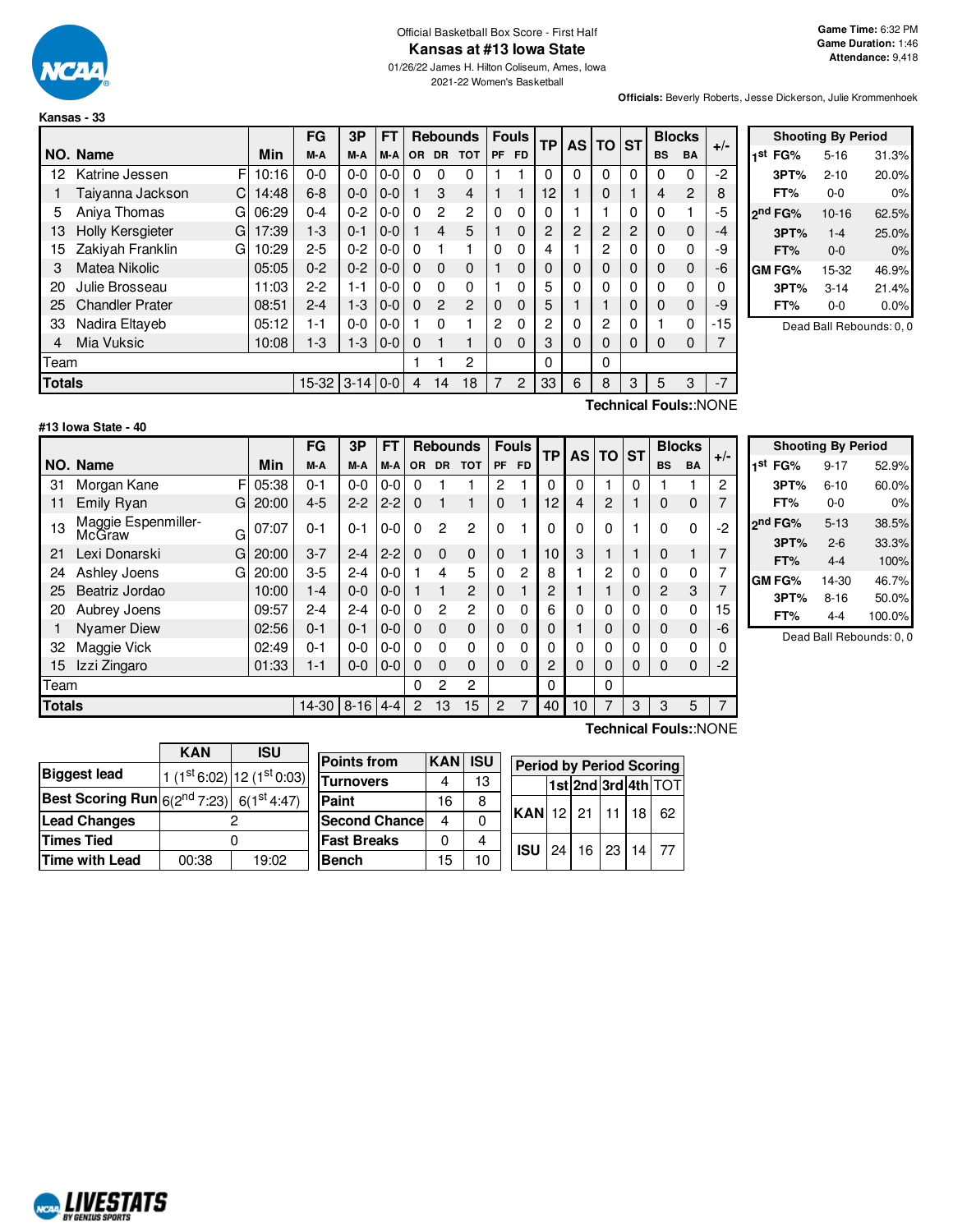

#### Official Basketball Box Score - First Half **Kansas at #13 Iowa State**

01/26/22 James H. Hilton Coliseum, Ames, Iowa 2021-22 Women's Basketball

**Officials:** Beverly Roberts, Jesse Dickerson, Julie Krommenhoek

|               |                              |       | FG      | 3P         | FT      |          |          | <b>Rebounds</b> |    | <b>Fouls</b> | ТP       | AS I     | <b>TO</b>      | ∣sт      |           | <b>Blocks</b>         | $+/-$ |
|---------------|------------------------------|-------|---------|------------|---------|----------|----------|-----------------|----|--------------|----------|----------|----------------|----------|-----------|-----------------------|-------|
|               | NO. Name                     | Min   | M-A     | M-A        | M-A     | OR.      | DR.      | <b>TOT</b>      | PF | <b>FD</b>    |          |          |                |          | <b>BS</b> | <b>BA</b>             |       |
| 12            | F<br>Katrine Jessen          | 10:16 | $0 - 0$ | $0-0$      | $0 - 0$ | 0        | 0        | 0               |    |              | $\Omega$ | 0        | $\Omega$       | $\Omega$ | 0         | 0                     | $-2$  |
|               | Taiyanna Jackson<br>C        | 14:48 | $6 - 8$ | $0 - 0$    | $0 - 0$ |          | 3        | $\overline{4}$  |    |              | 12       |          | 0              |          | 4         | $\overline{2}$        | 8     |
| 5             | Aniva Thomas<br>G            | 06:29 | $0 - 4$ | $0 - 2$    | $0 - 0$ | $\Omega$ | 2        | 2               | 0  | 0            | 0        |          |                | 0        | 0         | 1                     | -5    |
| 13            | <b>Holly Kersgieter</b><br>G | 17:39 | $1 - 3$ | $0 - 1$    | $0 - 0$ |          | 4        | 5               |    | $\Omega$     | 2        | 2        | $\overline{2}$ | 2        | 0         | $\mathbf 0$           | -4    |
| 15            | Zakiyah Franklin<br>G        | 10:29 | $2 - 5$ | $0 - 2$    | $0 - 0$ | 0        |          |                 | 0  | 0            | 4        |          | 2              | 0        | 0         | 0                     | -9    |
| 3             | <b>Matea Nikolic</b>         | 05:05 | $0 - 2$ | $0 - 2$    | $0 - 0$ | $\Omega$ | 0        | $\mathbf 0$     |    | 0            | 0        | 0        | $\Omega$       | $\Omega$ | 0         | $\mathbf 0$           | -6    |
| 20            | Julie Brosseau               | 11:03 | $2-2$   | 1-1        | $0 - 0$ | 0        | $\Omega$ | 0               |    | 0            | 5        | 0        | 0              | 0        | 0         | 0                     |       |
| 25            | <b>Chandler Prater</b>       | 08:51 | $2 - 4$ | $1-3$      | $0 - 0$ | $\Omega$ | 2        | 2               | 0  | 0            | 5        |          |                | $\Omega$ | 0         | $\mathbf 0$           | -9    |
| 33            | Nadira Eltayeb               | 05:12 | $1 - 1$ | $0-0$      | $0 - 0$ |          | 0        |                 | 2  | 0            | 2        | 0        | 2              | 0        |           | 0                     | -15   |
| 4             | Mia Vuksic                   | 10:08 | $1 - 3$ | $1 - 3$    | $0 - 0$ | $\Omega$ |          |                 | 0  | 0            | 3        | $\Omega$ | $\Omega$       | $\Omega$ | 0         | 0                     |       |
| Team          |                              |       |         |            |         |          |          | 2               |    |              | 0        |          | 0              |          |           |                       |       |
| <b>Totals</b> |                              |       | 15-32   | $3-14$ 0-0 |         | 4        | 14       | 18              | 7  | 2            | 33       | 6        | 8              | 3        | 5         | 3                     | $-7$  |
|               |                              |       |         |            |         |          |          |                 |    |              |          |          |                |          |           | Tochnical Foule: NONE |       |

|     |         | <b>Shooting By Period</b> |       |
|-----|---------|---------------------------|-------|
| 1st | FG%     | 5-16                      | 31.3% |
|     | 3PT%    | $2 - 10$                  | 20.0% |
|     | FT%     | $0 - 0$                   | 0%    |
|     | ond FG% | $10 - 16$                 | 62.5% |
|     | 3PT%    | $1 - 4$                   | 25.0% |
|     | FT%     | $0 - 0$                   | 0%    |
|     | GM FG%  | 15-32                     | 46.9% |
|     | 3PT%    | $3 - 14$                  | 21.4% |
|     | FT%     | $0 - 0$                   | 0.0%  |

Dead Ball Rebounds: 0, 0

**#13 Iowa State - 40**

**Technical Fouls:**:NONE

|               |                                    |       | FG      | 3P       | FT      |          |                | <b>Rebounds</b> |              | <b>Fouls</b>   |          |          |          | <b>TP</b> |                | AS TO       |      | <b>ST</b> | <b>Blocks</b> |  | $+/-$ |
|---------------|------------------------------------|-------|---------|----------|---------|----------|----------------|-----------------|--------------|----------------|----------|----------|----------|-----------|----------------|-------------|------|-----------|---------------|--|-------|
|               | NO. Name                           | Min   | M-A     | M-A      | M-A     |          | OR DR          | <b>TOT</b>      | <b>PF</b>    | <b>FD</b>      |          |          |          |           | <b>BS</b>      | <b>BA</b>   |      |           |               |  |       |
| 31            | F<br>Morgan Kane                   | 05:38 | $0 - 1$ | $0-0$    | $0 - 0$ | 0        |                |                 | 2            |                | $\Omega$ | $\Omega$ |          | 0         |                |             | 2    |           |               |  |       |
| 11            | Emily Ryan<br>G                    | 20:00 | $4 - 5$ | $2 - 2$  | $2 - 2$ | $\Omega$ |                | 1               | $\Omega$     |                | 12       | 4        | 2        |           | 0              | $\mathbf 0$ |      |           |               |  |       |
| 13            | Maggie Espenmiller-<br>McGraw<br>G | 07:07 | $0 - 1$ | $0 - 1$  | $0 - 0$ | $\Omega$ | 2              | $\overline{2}$  | $\Omega$     |                | 0        | $\Omega$ | 0        |           | $\Omega$       | 0           | $-2$ |           |               |  |       |
| 21            | Lexi Donarski<br>G                 | 20:00 | $3 - 7$ | $2 - 4$  | $2 - 2$ | $\Omega$ | 0              | 0               | $\mathbf{0}$ |                | 10       | 3        |          |           | 0              |             |      |           |               |  |       |
| 24            | Ashley Joens<br>G                  | 20:00 | $3-5$   | $2 - 4$  | $0 - 0$ |          | 4              | 5               | $\Omega$     | 2              | 8        |          | 2        | $\Omega$  | 0              | 0           |      |           |               |  |       |
| 25            | Beatriz Jordao                     | 10:00 | $1 - 4$ | $0 - 0$  | $0 - 0$ |          |                | 2               | $\Omega$     |                | 2        |          |          | 0         | $\overline{2}$ | 3           |      |           |               |  |       |
| 20            | Aubrey Joens                       | 09:57 | $2 - 4$ | $2 - 4$  | $0 - 0$ | $\Omega$ | $\overline{2}$ | 2               | $\Omega$     | $\Omega$       | 6        | 0        | $\Omega$ | $\Omega$  | 0              | 0           | 15   |           |               |  |       |
|               | <b>Nyamer Diew</b>                 | 02:56 | $0 - 1$ | $0 - 1$  | $0 - 0$ | $\Omega$ | $\Omega$       | $\mathbf 0$     | $\Omega$     | $\Omega$       | 0        |          | 0        | 0         | $\Omega$       | $\mathbf 0$ | -6   |           |               |  |       |
| 32            | Maggie Vick                        | 02:49 | $0 - 1$ | $0 - 0$  | $0 - 0$ | $\Omega$ | $\Omega$       | 0               | $\Omega$     | $\Omega$       | $\Omega$ | 0        | 0        | $\Omega$  | O              | 0           | 0    |           |               |  |       |
| 15            | Izzi Zingaro                       | 01:33 | $1 - 1$ | $0 - 0$  | $0 - 0$ | $\Omega$ | 0              | 0               | $\Omega$     | $\Omega$       | 2        | $\Omega$ | $\Omega$ | $\Omega$  | $\Omega$       | 0           | $-2$ |           |               |  |       |
| Team          |                                    |       |         |          |         | 0        | 2              | 2               |              |                | $\Omega$ |          | $\Omega$ |           |                |             |      |           |               |  |       |
| <b>Totals</b> |                                    |       | 14-30   | $8 - 16$ | $4 - 4$ | 2        | 13             | 15              | 2            | $\overline{7}$ | 40       | 10       |          | 3         | 3              | 5           | 7    |           |               |  |       |

|     | <b>Shooting By Period</b> |          |        |  |  |  |  |  |  |  |  |
|-----|---------------------------|----------|--------|--|--|--|--|--|--|--|--|
| 1st | FG%                       | $9 - 17$ | 52.9%  |  |  |  |  |  |  |  |  |
|     | 3PT%                      | $6 - 10$ | 60.0%  |  |  |  |  |  |  |  |  |
|     | FT%                       | 0-0      | 0%     |  |  |  |  |  |  |  |  |
|     | 2nd FG%                   | $5 - 13$ | 38.5%  |  |  |  |  |  |  |  |  |
|     | 3PT%                      | $2 - 6$  | 33.3%  |  |  |  |  |  |  |  |  |
|     | FT%                       | $4 - 4$  | 100%   |  |  |  |  |  |  |  |  |
|     | GM FG%                    | 14-30    | 46.7%  |  |  |  |  |  |  |  |  |
|     | 3PT%                      | $8 - 16$ | 50.0%  |  |  |  |  |  |  |  |  |
|     | FT%                       | $4 - 4$  | 100.0% |  |  |  |  |  |  |  |  |

Dead Ball Rebounds: 0, 0

|                                                      | <b>KAN</b> | <b>ISU</b>                     |
|------------------------------------------------------|------------|--------------------------------|
| <b>Biggest lead</b>                                  |            | 1 $(1st 6:02)$ 12 $(1st 0:03)$ |
| <b>Best Scoring Run</b> $6(2^{nd} 7:23)$ 6(1st 4:47) |            |                                |
| <b>Lead Changes</b>                                  |            |                                |
| <b>Times Tied</b>                                    |            |                                |
| <b>Time with Lead</b>                                | 00:38      | 19:02                          |

**Points from KAN ISU Turnovers** | 4 | 13 **Paint** | 16 8 **Second Chance** 4 0 **Fast Breaks** 0 4 **Bench** 15 10 **Period by Period Scoring 1st 2nd 3rd 4th** TOT **KAN** 12 21 11 18 62 **ISU** 24 16 23 14 77

**Technical Fouls:**:NONE

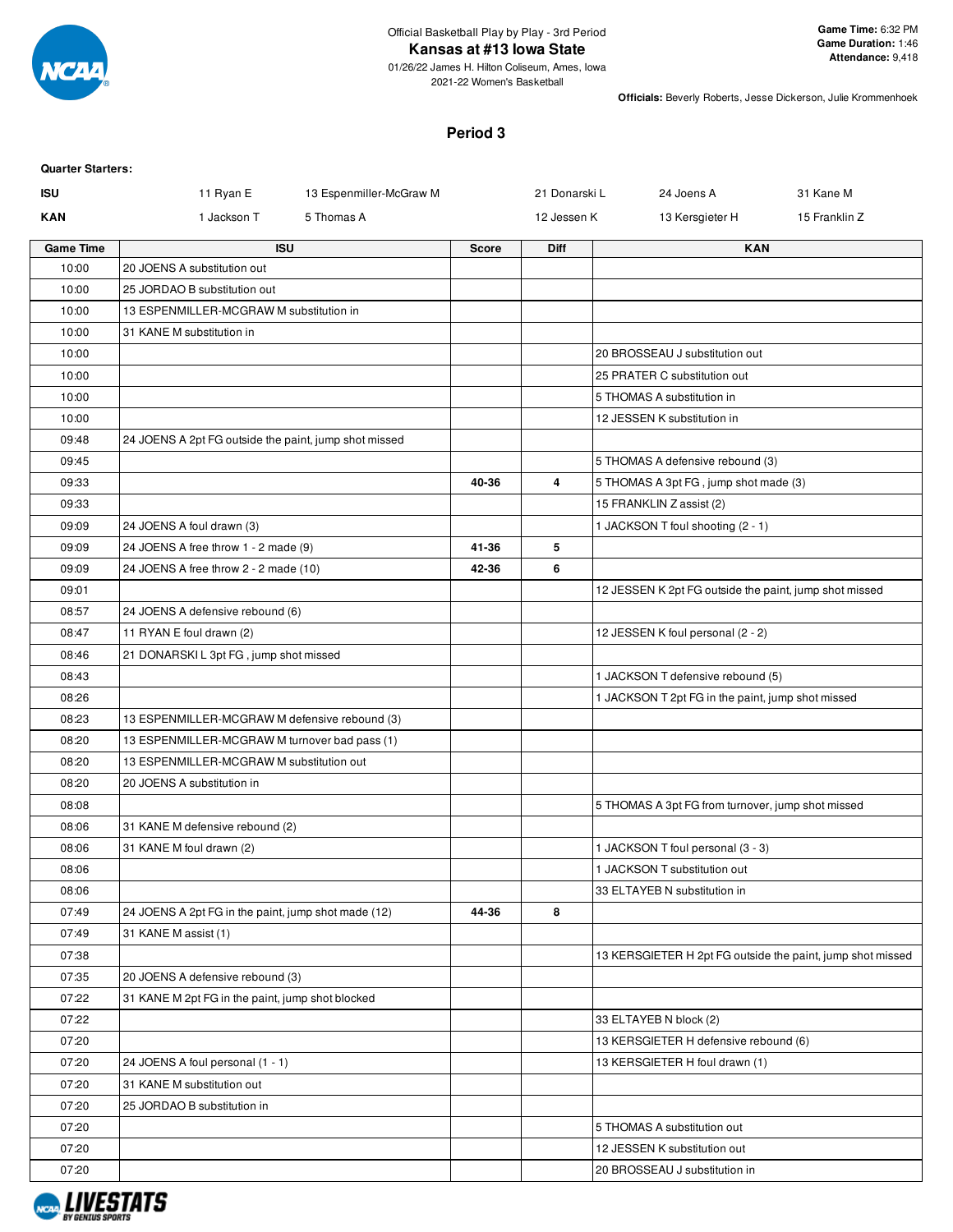

2021-22 Women's Basketball

**Officials:** Beverly Roberts, Jesse Dickerson, Julie Krommenhoek

## **Period 3**

## **Quarter Starters:**

| <b>ISU</b>       | 11 Ryan E<br>13 Espenmiller-McGraw M                  |              | 21 Donarski L | 24 Joens A<br>31 Kane M                                    |
|------------------|-------------------------------------------------------|--------------|---------------|------------------------------------------------------------|
| <b>KAN</b>       | 1 Jackson T<br>5 Thomas A                             |              | 12 Jessen K   | 15 Franklin Z<br>13 Kersgieter H                           |
| <b>Game Time</b> | <b>ISU</b>                                            | <b>Score</b> | <b>Diff</b>   | <b>KAN</b>                                                 |
| 10:00            | 20 JOENS A substitution out                           |              |               |                                                            |
| 10:00            | 25 JORDAO B substitution out                          |              |               |                                                            |
| 10:00            | 13 ESPENMILLER-MCGRAW M substitution in               |              |               |                                                            |
| 10:00            | 31 KANE M substitution in                             |              |               |                                                            |
| 10:00            |                                                       |              |               | 20 BROSSEAU J substitution out                             |
| 10:00            |                                                       |              |               | 25 PRATER C substitution out                               |
| 10:00            |                                                       |              |               | 5 THOMAS A substitution in                                 |
| 10:00            |                                                       |              |               | 12 JESSEN K substitution in                                |
| 09:48            | 24 JOENS A 2pt FG outside the paint, jump shot missed |              |               |                                                            |
| 09:45            |                                                       |              |               | 5 THOMAS A defensive rebound (3)                           |
| 09:33            |                                                       | 40-36        | 4             | 5 THOMAS A 3pt FG, jump shot made (3)                      |
| 09:33            |                                                       |              |               | 15 FRANKLIN Z assist (2)                                   |
| 09:09            | 24 JOENS A foul drawn (3)                             |              |               | 1 JACKSON T foul shooting (2 - 1)                          |
| 09:09            | 24 JOENS A free throw 1 - 2 made (9)                  | 41-36        | 5             |                                                            |
| 09:09            | 24 JOENS A free throw 2 - 2 made (10)                 | 42-36        | 6             |                                                            |
| 09:01            |                                                       |              |               | 12 JESSEN K 2pt FG outside the paint, jump shot missed     |
| 08:57            | 24 JOENS A defensive rebound (6)                      |              |               |                                                            |
| 08:47            | 11 RYAN E foul drawn (2)                              |              |               | 12 JESSEN K foul personal (2 - 2)                          |
| 08:46            | 21 DONARSKI L 3pt FG, jump shot missed                |              |               |                                                            |
| 08:43            |                                                       |              |               | 1 JACKSON T defensive rebound (5)                          |
| 08:26            |                                                       |              |               | 1 JACKSON T 2pt FG in the paint, jump shot missed          |
| 08:23            | 13 ESPENMILLER-MCGRAW M defensive rebound (3)         |              |               |                                                            |
| 08:20            | 13 ESPENMILLER-MCGRAW M turnover bad pass (1)         |              |               |                                                            |
| 08:20            | 13 ESPENMILLER-MCGRAW M substitution out              |              |               |                                                            |
| 08:20            | 20 JOENS A substitution in                            |              |               |                                                            |
| 08:08            |                                                       |              |               | 5 THOMAS A 3pt FG from turnover, jump shot missed          |
| 08:06            | 31 KANE M defensive rebound (2)                       |              |               |                                                            |
| 08:06            | 31 KANE M foul drawn (2)                              |              |               | 1 JACKSON T foul personal (3 - 3)                          |
| 08:06            |                                                       |              |               | 1 JACKSON T substitution out                               |
| 08:06            |                                                       |              |               | 33 ELTAYEB N substitution in                               |
| 07:49            | 24 JOENS A 2pt FG in the paint, jump shot made (12)   | 44-36        | 8             |                                                            |
| 07:49            | 31 KANE M assist (1)                                  |              |               |                                                            |
| 07:38            |                                                       |              |               | 13 KERSGIETER H 2pt FG outside the paint, jump shot missed |
| 07:35            | 20 JOENS A defensive rebound (3)                      |              |               |                                                            |
| 07:22            | 31 KANE M 2pt FG in the paint, jump shot blocked      |              |               |                                                            |
| 07:22            |                                                       |              |               | 33 ELTAYEB N block (2)                                     |
| 07:20            |                                                       |              |               | 13 KERSGIETER H defensive rebound (6)                      |
| 07:20            | 24 JOENS A foul personal (1 - 1)                      |              |               | 13 KERSGIETER H foul drawn (1)                             |
| 07:20            | 31 KANE M substitution out                            |              |               |                                                            |
| 07:20            | 25 JORDAO B substitution in                           |              |               |                                                            |
| 07:20            |                                                       |              |               | 5 THOMAS A substitution out                                |
| 07:20            |                                                       |              |               | 12 JESSEN K substitution out                               |
| 07:20            |                                                       |              |               | 20 BROSSEAU J substitution in                              |

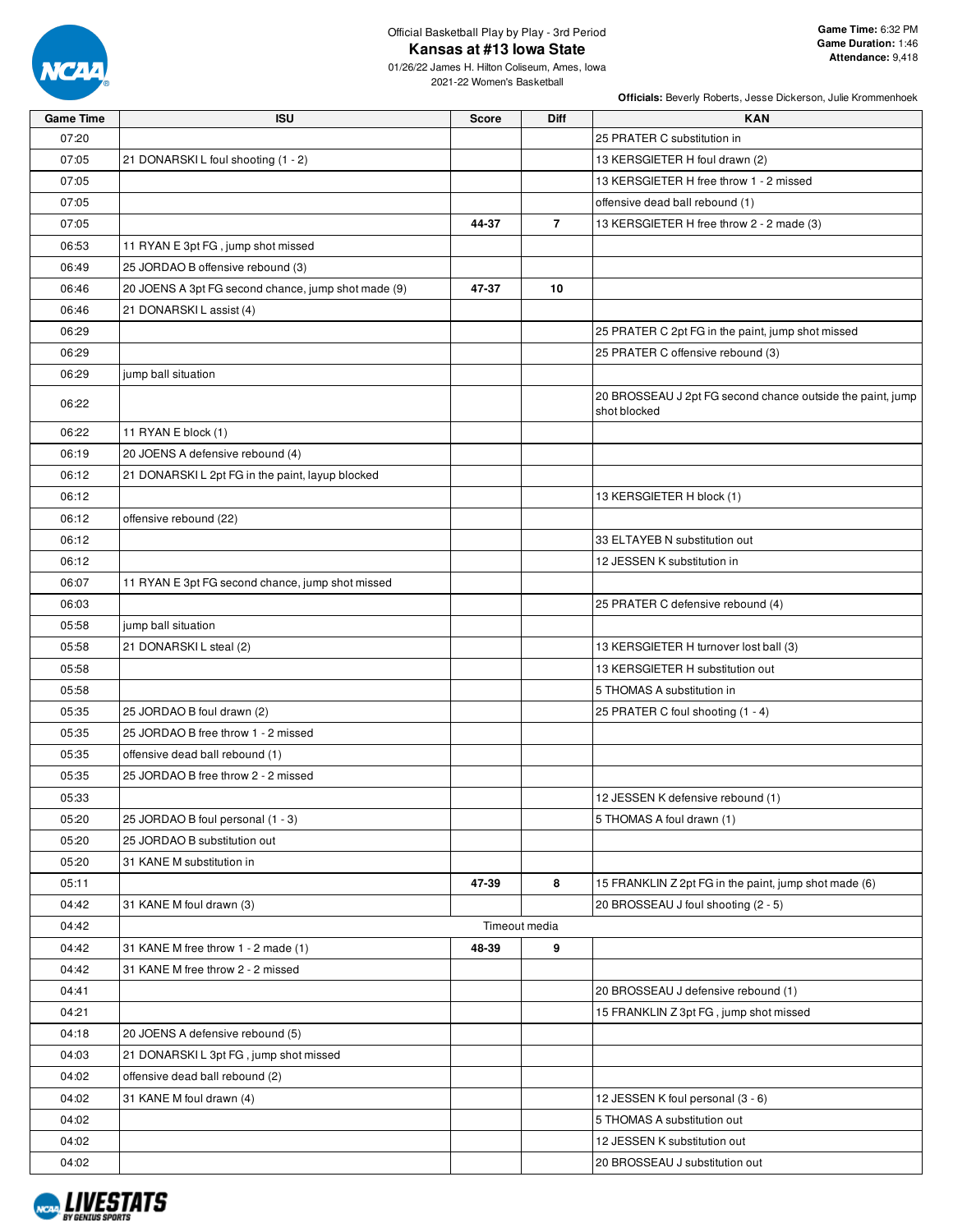

# Official Basketball Play by Play - 3rd Period **Kansas at #13 Iowa State**

01/26/22 James H. Hilton Coliseum, Ames, Iowa 2021-22 Women's Basketball

| <b>Game Time</b> | <b>ISU</b>                                          | <b>Score</b> | Diff           | <b>KAN</b>                                                                 |
|------------------|-----------------------------------------------------|--------------|----------------|----------------------------------------------------------------------------|
| 07:20            |                                                     |              |                | 25 PRATER C substitution in                                                |
| 07:05            | 21 DONARSKIL foul shooting (1 - 2)                  |              |                | 13 KERSGIETER H foul drawn (2)                                             |
| 07:05            |                                                     |              |                | 13 KERSGIETER H free throw 1 - 2 missed                                    |
| 07:05            |                                                     |              |                | offensive dead ball rebound (1)                                            |
| 07:05            |                                                     | 44-37        | $\overline{7}$ | 13 KERSGIETER H free throw 2 - 2 made (3)                                  |
| 06:53            | 11 RYAN E 3pt FG, jump shot missed                  |              |                |                                                                            |
| 06:49            | 25 JORDAO B offensive rebound (3)                   |              |                |                                                                            |
| 06:46            | 20 JOENS A 3pt FG second chance, jump shot made (9) | 47-37        | 10             |                                                                            |
| 06:46            | 21 DONARSKI L assist (4)                            |              |                |                                                                            |
| 06:29            |                                                     |              |                | 25 PRATER C 2pt FG in the paint, jump shot missed                          |
| 06:29            |                                                     |              |                | 25 PRATER C offensive rebound (3)                                          |
| 06:29            | jump ball situation                                 |              |                |                                                                            |
| 06:22            |                                                     |              |                | 20 BROSSEAU J 2pt FG second chance outside the paint, jump<br>shot blocked |
| 06:22            | 11 RYAN E block (1)                                 |              |                |                                                                            |
| 06:19            | 20 JOENS A defensive rebound (4)                    |              |                |                                                                            |
| 06:12            | 21 DONARSKI L 2pt FG in the paint, layup blocked    |              |                |                                                                            |
| 06:12            |                                                     |              |                | 13 KERSGIETER H block (1)                                                  |
| 06:12            | offensive rebound (22)                              |              |                |                                                                            |
| 06:12            |                                                     |              |                | 33 ELTAYEB N substitution out                                              |
| 06:12            |                                                     |              |                | 12 JESSEN K substitution in                                                |
| 06:07            | 11 RYAN E 3pt FG second chance, jump shot missed    |              |                |                                                                            |
| 06:03            |                                                     |              |                | 25 PRATER C defensive rebound (4)                                          |
| 05:58            | jump ball situation                                 |              |                |                                                                            |
| 05:58            | 21 DONARSKI L steal (2)                             |              |                | 13 KERSGIETER H turnover lost ball (3)                                     |
| 05:58            |                                                     |              |                | 13 KERSGIETER H substitution out                                           |
| 05:58            |                                                     |              |                | 5 THOMAS A substitution in                                                 |
| 05:35            | 25 JORDAO B foul drawn (2)                          |              |                | 25 PRATER C foul shooting (1 - 4)                                          |
| 05:35            | 25 JORDAO B free throw 1 - 2 missed                 |              |                |                                                                            |
| 05:35            | offensive dead ball rebound (1)                     |              |                |                                                                            |
| 05:35            | 25 JORDAO B free throw 2 - 2 missed                 |              |                |                                                                            |
| 05:33            |                                                     |              |                | 12 JESSEN K defensive rebound (1)                                          |
| 05:20            | 25 JORDAO B foul personal (1 - 3)                   |              |                | 5 THOMAS A foul drawn (1)                                                  |
| 05:20            | 25 JORDAO B substitution out                        |              |                |                                                                            |
| 05:20            | 31 KANE M substitution in                           |              |                |                                                                            |
| 05:11            |                                                     | 47-39        | 8              | 15 FRANKLIN Z 2pt FG in the paint, jump shot made (6)                      |
| 04:42            | 31 KANE M foul drawn (3)                            |              |                | 20 BROSSEAU J foul shooting (2 - 5)                                        |
| 04:42            |                                                     |              | Timeout media  |                                                                            |
| 04:42            | 31 KANE M free throw 1 - 2 made (1)                 | 48-39        | 9              |                                                                            |
| 04:42            | 31 KANE M free throw 2 - 2 missed                   |              |                |                                                                            |
| 04:41            |                                                     |              |                | 20 BROSSEAU J defensive rebound (1)                                        |
| 04:21            |                                                     |              |                | 15 FRANKLIN Z 3pt FG, jump shot missed                                     |
| 04:18            | 20 JOENS A defensive rebound (5)                    |              |                |                                                                            |
| 04:03            | 21 DONARSKIL 3pt FG, jump shot missed               |              |                |                                                                            |
| 04:02            | offensive dead ball rebound (2)                     |              |                |                                                                            |
| 04:02            | 31 KANE M foul drawn (4)                            |              |                | 12 JESSEN K foul personal (3 - 6)                                          |
| 04:02            |                                                     |              |                | 5 THOMAS A substitution out                                                |
| 04:02            |                                                     |              |                | 12 JESSEN K substitution out                                               |
| 04:02            |                                                     |              |                | 20 BROSSEAU J substitution out                                             |

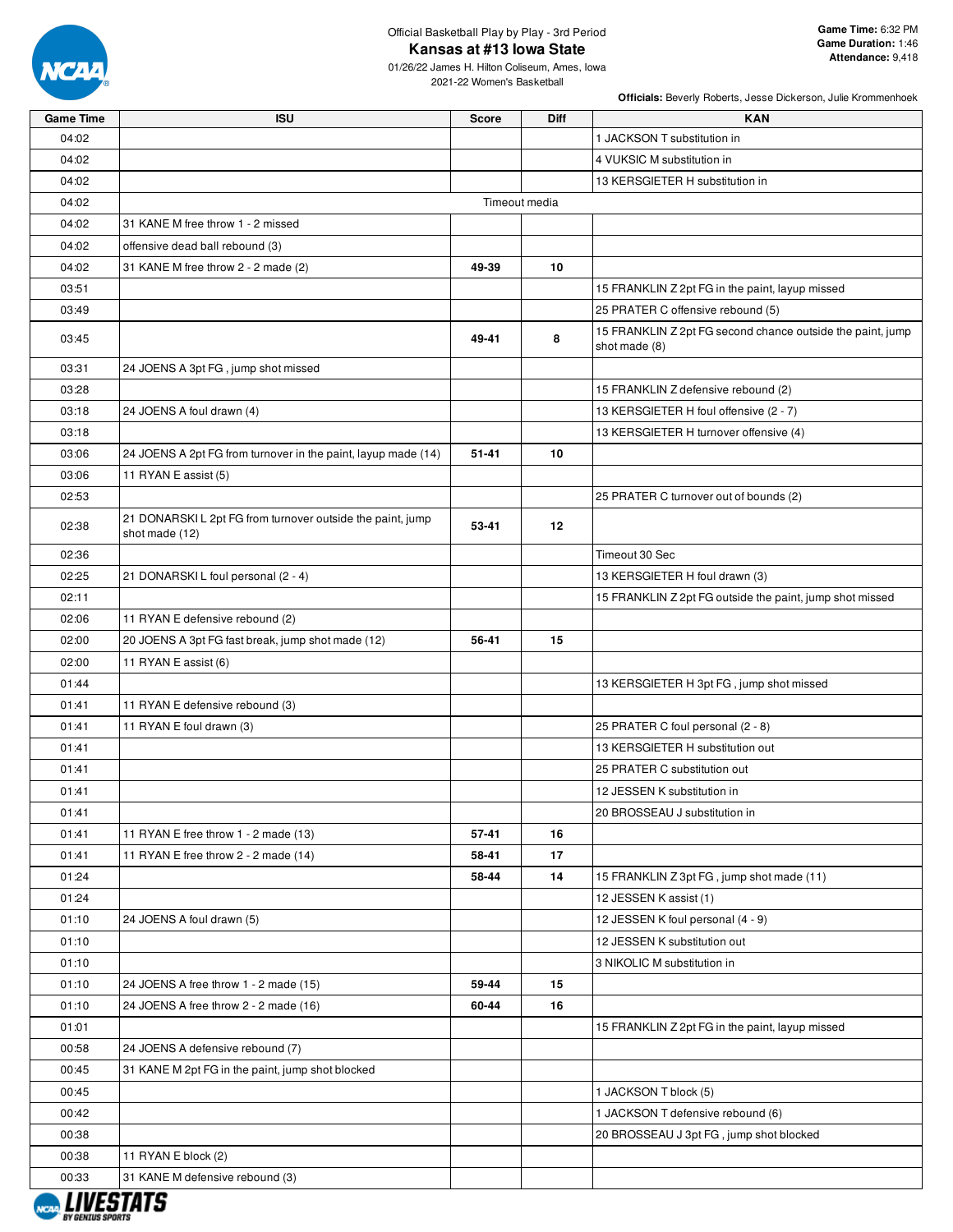

# Official Basketball Play by Play - 3rd Period **Kansas at #13 Iowa State**

01/26/22 James H. Hilton Coliseum, Ames, Iowa 2021-22 Women's Basketball

| <b>Game Time</b>        | <b>ISU</b>                                                                   | <b>Score</b> | <b>Diff</b>   | <b>KAN</b>                                                                  |
|-------------------------|------------------------------------------------------------------------------|--------------|---------------|-----------------------------------------------------------------------------|
| 04:02                   |                                                                              |              |               | 1 JACKSON T substitution in                                                 |
| 04:02                   |                                                                              |              |               | 4 VUKSIC M substitution in                                                  |
| 04:02                   |                                                                              |              |               | 13 KERSGIETER H substitution in                                             |
| 04:02                   |                                                                              |              | Timeout media |                                                                             |
| 04:02                   | 31 KANE M free throw 1 - 2 missed                                            |              |               |                                                                             |
| 04:02                   | offensive dead ball rebound (3)                                              |              |               |                                                                             |
| 04:02                   | 31 KANE M free throw 2 - 2 made (2)                                          | 49-39        | 10            |                                                                             |
| 03:51                   |                                                                              |              |               | 15 FRANKLIN Z 2pt FG in the paint, layup missed                             |
| 03:49                   |                                                                              |              |               | 25 PRATER C offensive rebound (5)                                           |
| 03:45                   |                                                                              | 49-41        | 8             | 15 FRANKLIN Z 2pt FG second chance outside the paint, jump<br>shot made (8) |
| 03:31                   | 24 JOENS A 3pt FG, jump shot missed                                          |              |               |                                                                             |
| 03:28                   |                                                                              |              |               | 15 FRANKLIN Z defensive rebound (2)                                         |
| 03:18                   | 24 JOENS A foul drawn (4)                                                    |              |               | 13 KERSGIETER H foul offensive (2 - 7)                                      |
| 03:18                   |                                                                              |              |               | 13 KERSGIETER H turnover offensive (4)                                      |
| 03:06                   | 24 JOENS A 2pt FG from turnover in the paint, layup made (14)                | $51 - 41$    | 10            |                                                                             |
| 03:06                   | 11 RYAN E assist (5)                                                         |              |               |                                                                             |
| 02:53                   |                                                                              |              |               | 25 PRATER C turnover out of bounds (2)                                      |
| 02:38                   | 21 DONARSKI L 2pt FG from turnover outside the paint, jump<br>shot made (12) | 53-41        | 12            |                                                                             |
| 02:36                   |                                                                              |              |               | Timeout 30 Sec                                                              |
| 02:25                   | 21 DONARSKI L foul personal (2 - 4)                                          |              |               | 13 KERSGIETER H foul drawn (3)                                              |
| 02:11                   |                                                                              |              |               | 15 FRANKLIN Z 2pt FG outside the paint, jump shot missed                    |
| 02:06                   | 11 RYAN E defensive rebound (2)                                              |              |               |                                                                             |
| 02:00                   | 20 JOENS A 3pt FG fast break, jump shot made (12)                            | 56-41        | 15            |                                                                             |
| 02:00                   | 11 RYAN E assist (6)                                                         |              |               |                                                                             |
| 01:44                   |                                                                              |              |               | 13 KERSGIETER H 3pt FG, jump shot missed                                    |
| 01:41                   | 11 RYAN E defensive rebound (3)                                              |              |               |                                                                             |
| 01:41                   | 11 RYAN E foul drawn (3)                                                     |              |               | 25 PRATER C foul personal (2 - 8)                                           |
| 01:41                   |                                                                              |              |               | 13 KERSGIETER H substitution out                                            |
| 01:41                   |                                                                              |              |               | 25 PRATER C substitution out                                                |
| 01:41                   |                                                                              |              |               | 12 JESSEN K substitution in                                                 |
| 01:41                   |                                                                              |              |               | 20 BROSSEAU J substitution in                                               |
| 01:41                   | 11 RYAN E free throw 1 - 2 made (13)                                         | 57-41        | 16            |                                                                             |
| 01:41                   | 11 RYAN E free throw 2 - 2 made (14)                                         | 58-41        | 17            |                                                                             |
| 01:24                   |                                                                              | 58-44        | 14            | 15 FRANKLIN Z 3pt FG, jump shot made (11)                                   |
| 01:24                   |                                                                              |              |               | 12 JESSEN K assist (1)                                                      |
| 01:10                   | 24 JOENS A foul drawn (5)                                                    |              |               | 12 JESSEN K foul personal (4 - 9)                                           |
| 01:10                   |                                                                              |              |               | 12 JESSEN K substitution out                                                |
| 01:10                   |                                                                              |              |               | 3 NIKOLIC M substitution in                                                 |
| 01:10                   | 24 JOENS A free throw 1 - 2 made (15)                                        | 59-44        | 15            |                                                                             |
| 01:10                   | 24 JOENS A free throw 2 - 2 made (16)                                        | 60-44        | 16            |                                                                             |
| 01:01                   |                                                                              |              |               | 15 FRANKLIN Z 2pt FG in the paint, layup missed                             |
| 00:58                   | 24 JOENS A defensive rebound (7)                                             |              |               |                                                                             |
| 00:45                   | 31 KANE M 2pt FG in the paint, jump shot blocked                             |              |               |                                                                             |
| 00:45                   |                                                                              |              |               | 1 JACKSON T block (5)                                                       |
| 00:42                   |                                                                              |              |               | 1 JACKSON T defensive rebound (6)                                           |
| 00:38                   |                                                                              |              |               | 20 BROSSEAU J 3pt FG, jump shot blocked                                     |
| 00:38                   | 11 RYAN E block (2)                                                          |              |               |                                                                             |
| 00:33                   | 31 KANE M defensive rebound (3)                                              |              |               |                                                                             |
| <b>BY GENIUS SPORTS</b> |                                                                              |              |               |                                                                             |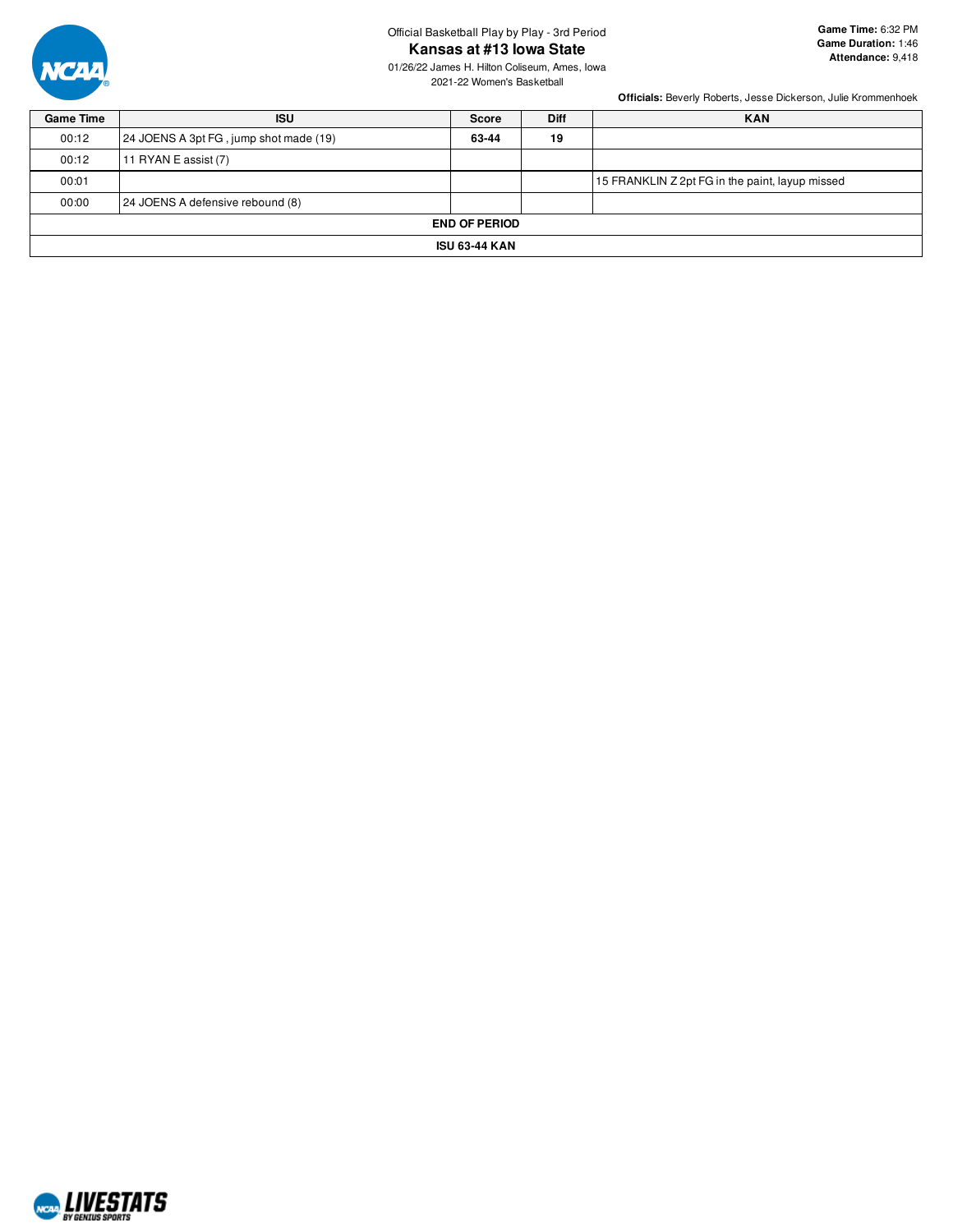

## Official Basketball Play by Play - 3rd Period **Kansas at #13 Iowa State**

01/26/22 James H. Hilton Coliseum, Ames, Iowa 2021-22 Women's Basketball

| <b>Game Time</b> | <b>ISU</b>                             | <b>Score</b> | <b>Diff</b> | <b>KAN</b>                                      |  |  |  |  |  |
|------------------|----------------------------------------|--------------|-------------|-------------------------------------------------|--|--|--|--|--|
| 00:12            | 24 JOENS A 3pt FG, jump shot made (19) | 63-44        | 19          |                                                 |  |  |  |  |  |
| 00:12            | 11 RYAN E assist $(7)$                 |              |             |                                                 |  |  |  |  |  |
| 00:01            |                                        |              |             | 15 FRANKLIN Z 2pt FG in the paint, layup missed |  |  |  |  |  |
| 00:00            | 24 JOENS A defensive rebound (8)       |              |             |                                                 |  |  |  |  |  |
|                  | <b>END OF PERIOD</b>                   |              |             |                                                 |  |  |  |  |  |
|                  | <b>ISU 63-44 KAN</b>                   |              |             |                                                 |  |  |  |  |  |

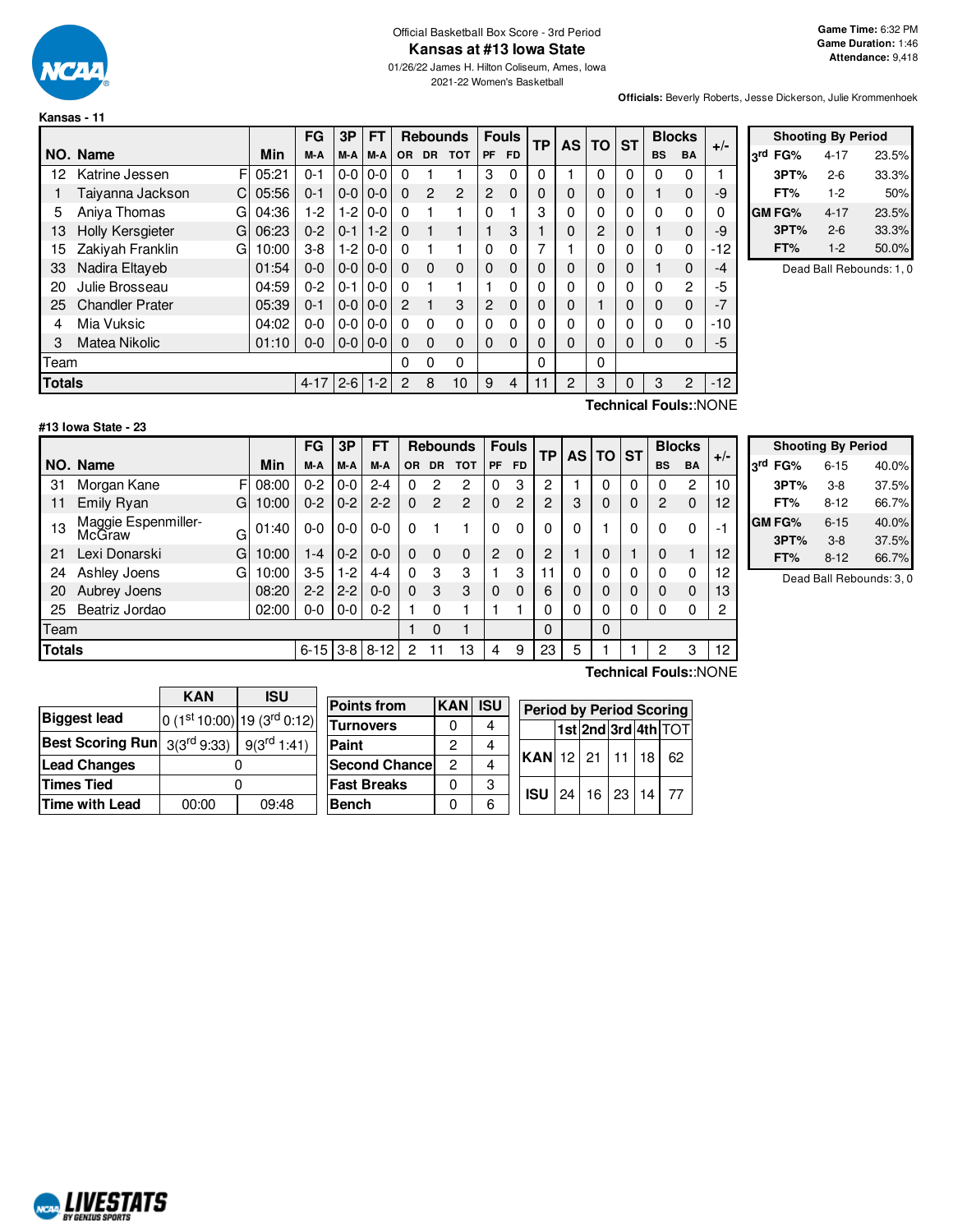

#### Official Basketball Box Score - 3rd Period **Kansas at #13 Iowa State**

01/26/22 James H. Hilton Coliseum, Ames, Iowa 2021-22 Women's Basketball

**Officials:** Beverly Roberts, Jesse Dickerson, Julie Krommenhoek

|               |                              |       | FG       | 3P      | FT      |                |                | <b>Rebounds</b> |           | <b>Fouls</b><br>ТP |   | <b>AS</b> | TO       | <b>ST</b>   |           | <b>Blocks</b>  | $+/-$ |
|---------------|------------------------------|-------|----------|---------|---------|----------------|----------------|-----------------|-----------|--------------------|---|-----------|----------|-------------|-----------|----------------|-------|
|               | NO. Name                     | Min   | M-A      | M-A     | $M-A$   | <b>OR</b>      | <b>DR</b>      | <b>TOT</b>      | <b>PF</b> | <b>FD</b>          |   |           |          |             | <b>BS</b> | <b>BA</b>      |       |
| 12            | F<br>Katrine Jessen          | 05:21 | $0 - 1$  | $0-0$   | $0 - 0$ | $\Omega$       |                |                 | 3         | 0                  | 0 |           | $\Omega$ | 0           | 0         | 0              |       |
|               | Taiyanna Jackson<br>C.       | 05:56 | $0 - 1$  | $0 - 0$ | $0 - 0$ | $\Omega$       | $\overline{2}$ | $\overline{2}$  | 2         | $\mathbf{0}$       | 0 | $\Omega$  | $\Omega$ | $\mathbf 0$ |           | $\Omega$       | -9    |
| 5             | Aniya Thomas<br>G            | 04:36 | 1-2      | $1-2$   | $0 - 0$ | $\Omega$       |                |                 | $\Omega$  |                    | 3 | 0         | 0        | $\Omega$    | 0         | 0              | 0     |
| 13            | <b>Holly Kersgieter</b><br>G | 06:23 | $0 - 2$  | $0 - 1$ | $1-2$   | $\Omega$       |                |                 |           | 3                  |   | 0         | 2        | $\Omega$    |           | $\mathbf{0}$   | -9    |
| 15            | Zakiyah Franklin<br>G        | 10:00 | $3-8$    | $1 - 2$ | $0-0$   | $\Omega$       |                |                 | $\Omega$  | 0                  | 7 |           | $\Omega$ | 0           | 0         | 0              | $-12$ |
| 33            | Nadira Eltayeb               | 01:54 | $0 - 0$  | $0-0$   | $0 - 0$ | $\Omega$       | $\Omega$       | $\Omega$        | $\Omega$  | 0                  | 0 | $\Omega$  | 0        | $\mathbf 0$ |           | $\mathbf{0}$   | $-4$  |
| 20            | Julie Brosseau               | 04:59 | $0 - 2$  | $0 - 1$ | $0 - 0$ | $\Omega$       |                |                 |           | 0                  | 0 | 0         | $\Omega$ | $\Omega$    | 0         | $\overline{2}$ | $-5$  |
| 25            | <b>Chandler Prater</b>       | 05:39 | $0 - 1$  | $0-0$   | $0 - 0$ | 2              |                | 3               | 2         | 0                  | 0 | $\Omega$  |          | $\Omega$    | 0         | $\mathbf{0}$   | $-7$  |
| 4             | Mia Vuksic                   | 04:02 | $0 - 0$  | $0-0$   | $0 - 0$ | $\Omega$       | $\Omega$       | $\mathbf 0$     | $\Omega$  | 0                  | 0 | 0         | $\Omega$ | 0           | 0         | 0              | $-10$ |
| 3             | Matea Nikolic                | 01:10 | $0 - 0$  | $0-0$   | $0 - 0$ | $\Omega$       | $\Omega$       | $\mathbf{0}$    | $\Omega$  | $\mathbf{0}$       | 0 | $\Omega$  | $\Omega$ | $\Omega$    | $\Omega$  | 0              | $-5$  |
| Team          |                              |       |          |         |         | 0              | $\Omega$       | $\Omega$        |           |                    | 0 |           | $\Omega$ |             |           |                |       |
| <b>Totals</b> |                              |       | $4 - 17$ | $2 - 6$ | $1 - 2$ | $\overline{2}$ | 8              | 10              | 9         | 4                  |   | 2         | 3        | 0           | 3         | 2              | $-12$ |

|                 | <b>Shooting By Period</b> |          |       |  |  |  |  |  |  |  |
|-----------------|---------------------------|----------|-------|--|--|--|--|--|--|--|
| <sub>2</sub> rd | FG%                       | $4 - 17$ | 23.5% |  |  |  |  |  |  |  |
|                 | 3PT%                      | $2-6$    | 33.3% |  |  |  |  |  |  |  |
|                 | FT%                       | $1-2$    | 50%   |  |  |  |  |  |  |  |
|                 | GM FG%                    | $4 - 17$ | 23.5% |  |  |  |  |  |  |  |
|                 | 3PT%                      | $2 - 6$  | 33.3% |  |  |  |  |  |  |  |
|                 | FT%                       | $1 - 2$  | 50.0% |  |  |  |  |  |  |  |

Dead Ball Rebounds: 1, 0

## **#13 Iowa State - 23**

F 08:00 G 10:00  $G$  01:40 G 10:00 G 10:00 **NO.** Name Min **FG 3P FT Rebounds Fouls TP AS TO ST**  $\begin{bmatrix} \mathsf{FG} \end{bmatrix}$   $\begin{bmatrix} 3\mathsf{P} \end{bmatrix}$   $\begin{bmatrix} \mathsf{FT} \end{bmatrix}$   $\begin{bmatrix} \mathsf{Re} \end{bmatrix}$   $\begin{bmatrix} \mathsf{P} \end{bmatrix}$   $\begin{bmatrix} \mathsf{F} \end{bmatrix}$   $\begin{bmatrix} \mathsf{TP} \end{bmatrix}$   $\begin{bmatrix} \mathsf{AG} \end{bmatrix}$   $\begin{bmatrix} \mathsf{ST} \end{bmatrix}$   $\begin{bmatrix} \mathsf{BlockS} \ \mathsf{BA} \end{bmatrix}$  31 Morgan Kane F 08:00 | 0-2 | 0-0 | 2-4 | 0 2 2 | 0 3 | 2 | 1 | 0 | 0 | 0 2 | 10 11 Emily Ryan G | 10:00 | 0-2 | 0-2 | 2-2 | 0 2 2 2 | 0 2 | 2 | 3 | 0 | 0 | 2 0 | 12 13 Maggie Espenmiller-<br>McGraw 01:40 0-0 0-0 0-0 0 1 1 0 0 0 0 1 0 0 0 -1 21 Lexi Donarski G | 10:00 | 1-4 | 0-2 | 0-0 | 0 0 0 0 | 2 0 | 2 | 1 | 0 | 1 | 0 1 | 12 24 Ashley Joens G | 10:00 | 3-5 | 1-2 | 4-4 | 0  $\,$  3  $\,$  | 1  $\,$  3  $\,$  | 11 | 0 | 0 | 0 | 0 | 0 | 12 20 Aubrey Joens 20 2-2 2-2 2-2 0-0 0 3 3 0 0 6 0 0 0 0 0 0 13 25 Beatriz Jordao (02:00 0-0 0-0 0-2 1 0 1 1 1 0 0 0 0 0 0 0 2 Team 1 0 1 0 0 **Totals** 6-15 3-8 8-12 2 11 13 4 9 23 5 1 1 2 3 12

| Technical Fouls::NONE |
|-----------------------|
|                       |

| 3PT%                     | 3-8      | 37.5% |  |  |  |  |  |
|--------------------------|----------|-------|--|--|--|--|--|
| FT%                      | 8-12     | 66.7% |  |  |  |  |  |
| GM FG%                   | $6 - 15$ | 40.0% |  |  |  |  |  |
| 3PT%                     | $3 - 8$  | 37.5% |  |  |  |  |  |
| FT%                      | $8 - 12$ | 66.7% |  |  |  |  |  |
| Dead Ball Rebounds: 3, 0 |          |       |  |  |  |  |  |

**Shooting By Period 3 rd FG%** 6-15 40.0%

|                                                                  | KAN   | <b>ISU</b>                 |              |
|------------------------------------------------------------------|-------|----------------------------|--------------|
|                                                                  |       |                            | Point        |
| <b>Biggest lead</b>                                              |       | $0(1st10:00) 19(3rd0:12) $ | <b>Turno</b> |
| <b>Best Scoring Run</b> $3(3^{rd} 9:33)$ 9(3 <sup>rd</sup> 1:41) |       |                            | Paint        |
| <b>Lead Changes</b>                                              |       |                            | <b>Seco</b>  |
| <b>Times Tied</b>                                                |       |                            | Fast I       |
| <b>Time with Lead</b>                                            | 00:00 | 09:48                      | <b>Benc</b>  |

| <b>Points from</b>    | <b>KAN</b> | <b>ISU</b> | <b>Period by Period Scoring</b> |                        |  |  |  |  |                     |
|-----------------------|------------|------------|---------------------------------|------------------------|--|--|--|--|---------------------|
| <b>Turnovers</b>      |            |            |                                 |                        |  |  |  |  | 1st 2nd 3rd 4th TOT |
| Paint                 | 2          |            |                                 |                        |  |  |  |  |                     |
| <b>Second Chancel</b> | 2          |            |                                 | <b>KAN</b> 12 21 11 18 |  |  |  |  | 62                  |
| <b>Fast Breaks</b>    |            | 3          |                                 | SU 24 16 23 14         |  |  |  |  |                     |
| <b>Bench</b>          |            | 6          |                                 |                        |  |  |  |  |                     |

**Technical Fouls:**:NONE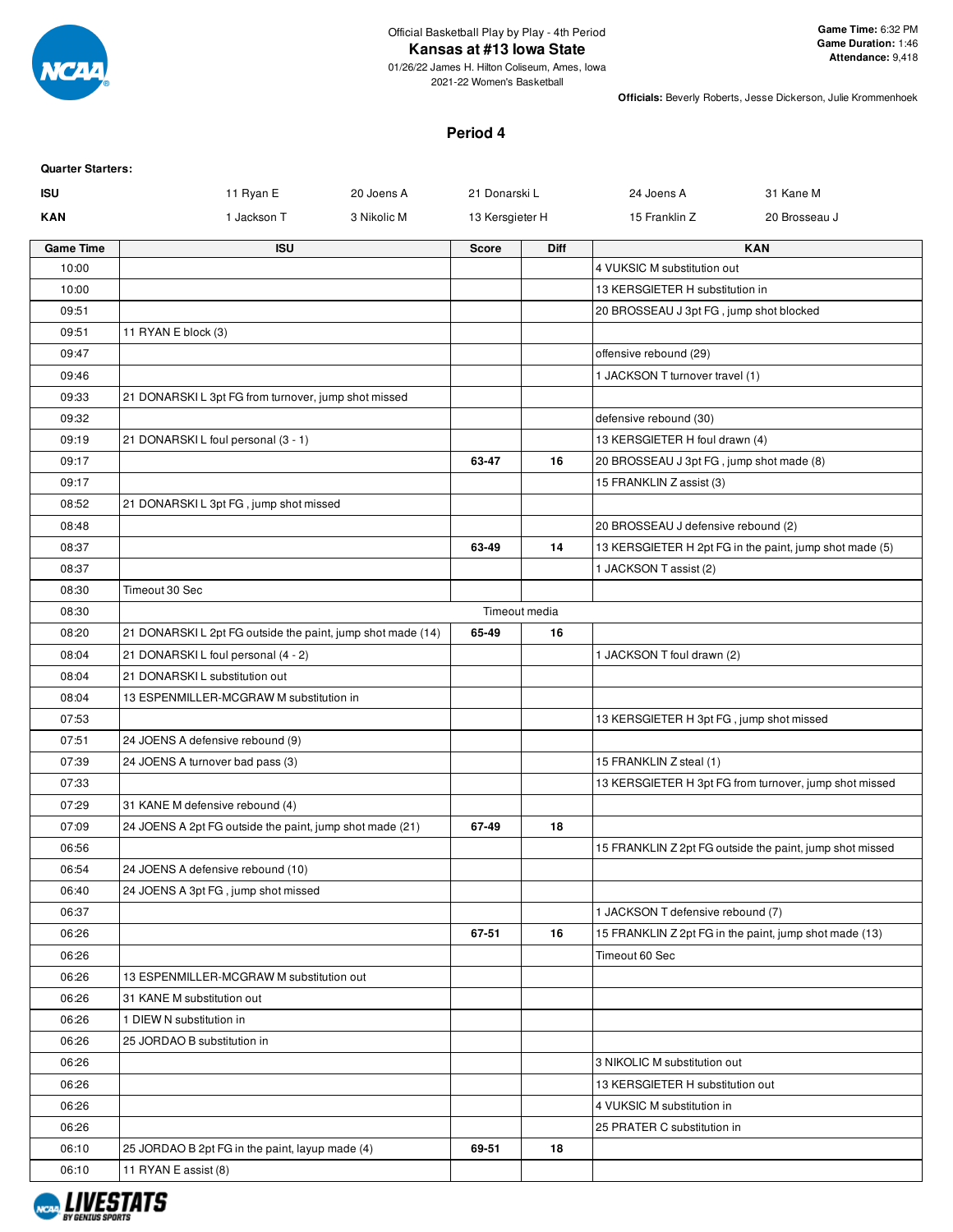

# **Kansas at #13 Iowa State**

01/26/22 James H. Hilton Coliseum, Ames, Iowa 2021-22 Women's Basketball

**Officials:** Beverly Roberts, Jesse Dickerson, Julie Krommenhoek

## **Period 4**

| <b>Quarter Starters:</b> |                                                             |             |                 |               |                                          |                                                          |
|--------------------------|-------------------------------------------------------------|-------------|-----------------|---------------|------------------------------------------|----------------------------------------------------------|
| <b>ISU</b>               | 11 Ryan E                                                   | 20 Joens A  | 21 Donarski L   |               | 24 Joens A                               | 31 Kane M                                                |
| <b>KAN</b>               | 1 Jackson T                                                 | 3 Nikolic M | 13 Kersgieter H |               | 15 Franklin Z                            | 20 Brosseau J                                            |
| <b>Game Time</b>         | <b>ISU</b>                                                  |             | Score           | <b>Diff</b>   |                                          | <b>KAN</b>                                               |
| 10:00                    |                                                             |             |                 |               | 4 VUKSIC M substitution out              |                                                          |
| 10:00                    |                                                             |             |                 |               | 13 KERSGIETER H substitution in          |                                                          |
| 09:51                    |                                                             |             |                 |               | 20 BROSSEAU J 3pt FG, jump shot blocked  |                                                          |
| 09:51                    | 11 RYAN E block (3)                                         |             |                 |               |                                          |                                                          |
| 09:47                    |                                                             |             |                 |               | offensive rebound (29)                   |                                                          |
| 09:46                    |                                                             |             |                 |               | 1 JACKSON T turnover travel (1)          |                                                          |
| 09:33                    | 21 DONARSKI L 3pt FG from turnover, jump shot missed        |             |                 |               |                                          |                                                          |
| 09:32                    |                                                             |             |                 |               | defensive rebound (30)                   |                                                          |
| 09:19                    | 21 DONARSKIL foul personal (3 - 1)                          |             |                 |               | 13 KERSGIETER H foul drawn (4)           |                                                          |
| 09:17                    |                                                             |             | 63-47           | 16            | 20 BROSSEAU J 3pt FG, jump shot made (8) |                                                          |
| 09:17                    |                                                             |             |                 |               | 15 FRANKLIN Z assist (3)                 |                                                          |
| 08:52                    | 21 DONARSKI L 3pt FG, jump shot missed                      |             |                 |               |                                          |                                                          |
| 08:48                    |                                                             |             |                 |               | 20 BROSSEAU J defensive rebound (2)      |                                                          |
| 08:37                    |                                                             |             | 63-49           | 14            |                                          | 13 KERSGIETER H 2pt FG in the paint, jump shot made (5)  |
| 08:37                    |                                                             |             |                 |               | 1 JACKSON T assist (2)                   |                                                          |
| 08:30                    | Timeout 30 Sec                                              |             |                 |               |                                          |                                                          |
| 08:30                    |                                                             |             |                 | Timeout media |                                          |                                                          |
| 08:20                    | 21 DONARSKI L 2pt FG outside the paint, jump shot made (14) |             | 65-49           | 16            |                                          |                                                          |
| 08:04                    | 21 DONARSKI L foul personal (4 - 2)                         |             |                 |               | 1 JACKSON T foul drawn (2)               |                                                          |
| 08:04                    | 21 DONARSKI L substitution out                              |             |                 |               |                                          |                                                          |
| 08:04                    | 13 ESPENMILLER-MCGRAW M substitution in                     |             |                 |               |                                          |                                                          |
| 07:53                    |                                                             |             |                 |               | 13 KERSGIETER H 3pt FG, jump shot missed |                                                          |
| 07:51                    | 24 JOENS A defensive rebound (9)                            |             |                 |               |                                          |                                                          |
| 07:39                    | 24 JOENS A turnover bad pass (3)                            |             |                 |               | 15 FRANKLIN Z steal (1)                  |                                                          |
| 07:33                    |                                                             |             |                 |               |                                          | 13 KERSGIETER H 3pt FG from turnover, jump shot missed   |
| 07:29                    | 31 KANE M defensive rebound (4)                             |             |                 |               |                                          |                                                          |
| 07:09                    | 24 JOENS A 2pt FG outside the paint, jump shot made (21)    |             | 67-49           | 18            |                                          |                                                          |
| 06:56                    |                                                             |             |                 |               |                                          | 15 FRANKLIN Z 2pt FG outside the paint, jump shot missed |
| 06:54                    | 24 JOENS A defensive rebound (10)                           |             |                 |               |                                          |                                                          |
| 06:40                    | 24 JOENS A 3pt FG, jump shot missed                         |             |                 |               |                                          |                                                          |
| 06:37                    |                                                             |             |                 |               | 1 JACKSON T defensive rebound (7)        |                                                          |
| 06:26                    |                                                             |             | 67-51           | 16            |                                          | 15 FRANKLIN Z 2pt FG in the paint, jump shot made (13)   |
| 06:26                    |                                                             |             |                 |               | Timeout 60 Sec                           |                                                          |
| 06:26                    | 13 ESPENMILLER-MCGRAW M substitution out                    |             |                 |               |                                          |                                                          |
| 06:26                    | 31 KANE M substitution out                                  |             |                 |               |                                          |                                                          |
| 06:26                    | 1 DIEW N substitution in                                    |             |                 |               |                                          |                                                          |
| 06:26                    | 25 JORDAO B substitution in                                 |             |                 |               |                                          |                                                          |
| 06:26                    |                                                             |             |                 |               | 3 NIKOLIC M substitution out             |                                                          |
| 06:26                    |                                                             |             |                 |               | 13 KERSGIETER H substitution out         |                                                          |
| 06:26                    |                                                             |             |                 |               | 4 VUKSIC M substitution in               |                                                          |
| 06:26                    |                                                             |             |                 |               | 25 PRATER C substitution in              |                                                          |
| 06:10                    | 25 JORDAO B 2pt FG in the paint, layup made (4)             |             | 69-51           | 18            |                                          |                                                          |
| 06:10                    | 11 RYAN E assist (8)                                        |             |                 |               |                                          |                                                          |

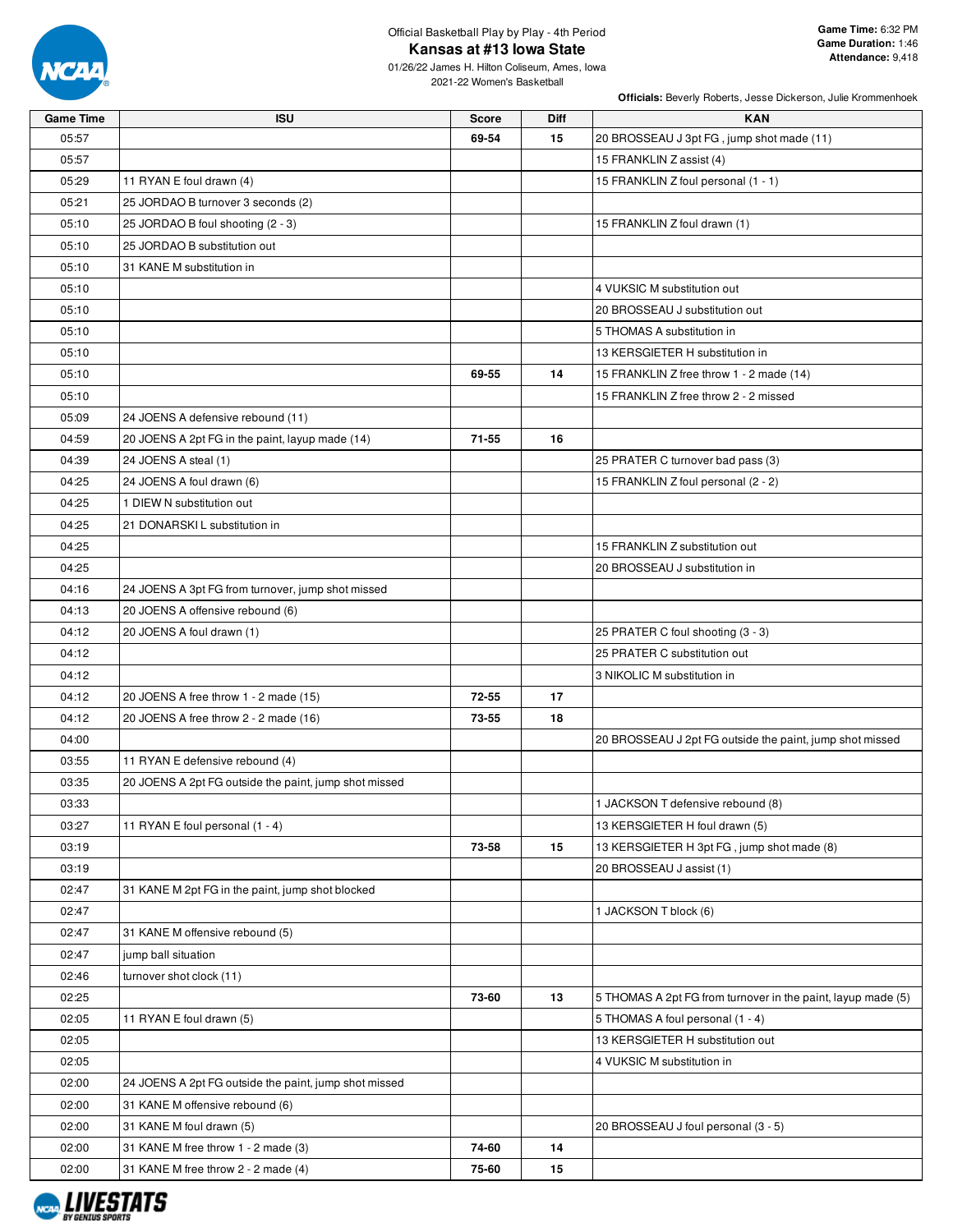

# Official Basketball Play by Play - 4th Period **Kansas at #13 Iowa State**

01/26/22 James H. Hilton Coliseum, Ames, Iowa 2021-22 Women's Basketball

| <b>Game Time</b> | <b>ISU</b>                                            | <b>Score</b> | Diff | <b>KAN</b>                                                   |
|------------------|-------------------------------------------------------|--------------|------|--------------------------------------------------------------|
| 05:57            |                                                       | 69-54        | 15   | 20 BROSSEAU J 3pt FG, jump shot made (11)                    |
| 05:57            |                                                       |              |      | 15 FRANKLIN Z assist (4)                                     |
| 05:29            | 11 RYAN E foul drawn (4)                              |              |      | 15 FRANKLIN Z foul personal (1 - 1)                          |
| 05:21            | 25 JORDAO B turnover 3 seconds (2)                    |              |      |                                                              |
| 05:10            | 25 JORDAO B foul shooting (2 - 3)                     |              |      | 15 FRANKLIN Z foul drawn (1)                                 |
| 05:10            | 25 JORDAO B substitution out                          |              |      |                                                              |
| 05:10            | 31 KANE M substitution in                             |              |      |                                                              |
| 05:10            |                                                       |              |      | 4 VUKSIC M substitution out                                  |
| 05:10            |                                                       |              |      | 20 BROSSEAU J substitution out                               |
| 05:10            |                                                       |              |      | 5 THOMAS A substitution in                                   |
| 05:10            |                                                       |              |      | 13 KERSGIETER H substitution in                              |
| 05:10            |                                                       | 69-55        | 14   | 15 FRANKLIN Z free throw 1 - 2 made (14)                     |
| 05:10            |                                                       |              |      | 15 FRANKLIN Z free throw 2 - 2 missed                        |
| 05:09            | 24 JOENS A defensive rebound (11)                     |              |      |                                                              |
| 04:59            | 20 JOENS A 2pt FG in the paint, layup made (14)       | $71 - 55$    | 16   |                                                              |
| 04:39            | 24 JOENS A steal (1)                                  |              |      | 25 PRATER C turnover bad pass (3)                            |
| 04:25            | 24 JOENS A foul drawn (6)                             |              |      | 15 FRANKLIN Z foul personal (2 - 2)                          |
| 04:25            | 1 DIEW N substitution out                             |              |      |                                                              |
| 04:25            | 21 DONARSKI L substitution in                         |              |      |                                                              |
| 04:25            |                                                       |              |      | 15 FRANKLIN Z substitution out                               |
| 04:25            |                                                       |              |      | 20 BROSSEAU J substitution in                                |
| 04:16            | 24 JOENS A 3pt FG from turnover, jump shot missed     |              |      |                                                              |
| 04:13            | 20 JOENS A offensive rebound (6)                      |              |      |                                                              |
| 04:12            | 20 JOENS A foul drawn (1)                             |              |      | 25 PRATER C foul shooting (3 - 3)                            |
| 04:12            |                                                       |              |      | 25 PRATER C substitution out                                 |
| 04:12            |                                                       |              |      | 3 NIKOLIC M substitution in                                  |
| 04:12            | 20 JOENS A free throw 1 - 2 made (15)                 | 72-55        | 17   |                                                              |
| 04:12            | 20 JOENS A free throw 2 - 2 made (16)                 | 73-55        | 18   |                                                              |
| 04:00            |                                                       |              |      | 20 BROSSEAU J 2pt FG outside the paint, jump shot missed     |
| 03:55            | 11 RYAN E defensive rebound (4)                       |              |      |                                                              |
| 03:35            | 20 JOENS A 2pt FG outside the paint, jump shot missed |              |      |                                                              |
| 03:33            |                                                       |              |      | 1 JACKSON T defensive rebound (8)                            |
| 03:27            | 11 RYAN E foul personal (1 - 4)                       |              |      | 13 KERSGIETER H foul drawn (5)                               |
| 03:19            |                                                       | 73-58        | 15   | 13 KERSGIETER H 3pt FG, jump shot made (8)                   |
| 03:19            |                                                       |              |      | 20 BROSSEAU J assist (1)                                     |
| 02:47            | 31 KANE M 2pt FG in the paint, jump shot blocked      |              |      |                                                              |
| 02:47            |                                                       |              |      | 1 JACKSON T block (6)                                        |
| 02:47            | 31 KANE M offensive rebound (5)                       |              |      |                                                              |
| 02:47            | jump ball situation                                   |              |      |                                                              |
| 02:46            | turnover shot clock (11)                              |              |      |                                                              |
| 02:25            |                                                       | 73-60        | 13   | 5 THOMAS A 2pt FG from turnover in the paint, layup made (5) |
| 02:05            | 11 RYAN E foul drawn (5)                              |              |      | 5 THOMAS A foul personal (1 - 4)                             |
| 02:05            |                                                       |              |      | 13 KERSGIETER H substitution out                             |
| 02:05            |                                                       |              |      | 4 VUKSIC M substitution in                                   |
| 02:00            | 24 JOENS A 2pt FG outside the paint, jump shot missed |              |      |                                                              |
| 02:00            | 31 KANE M offensive rebound (6)                       |              |      |                                                              |
| 02:00            | 31 KANE M foul drawn (5)                              |              |      | 20 BROSSEAU J foul personal (3 - 5)                          |
| 02:00            | 31 KANE M free throw 1 - 2 made (3)                   | 74-60        | 14   |                                                              |
| 02:00            | 31 KANE M free throw 2 - 2 made (4)                   | 75-60        | 15   |                                                              |

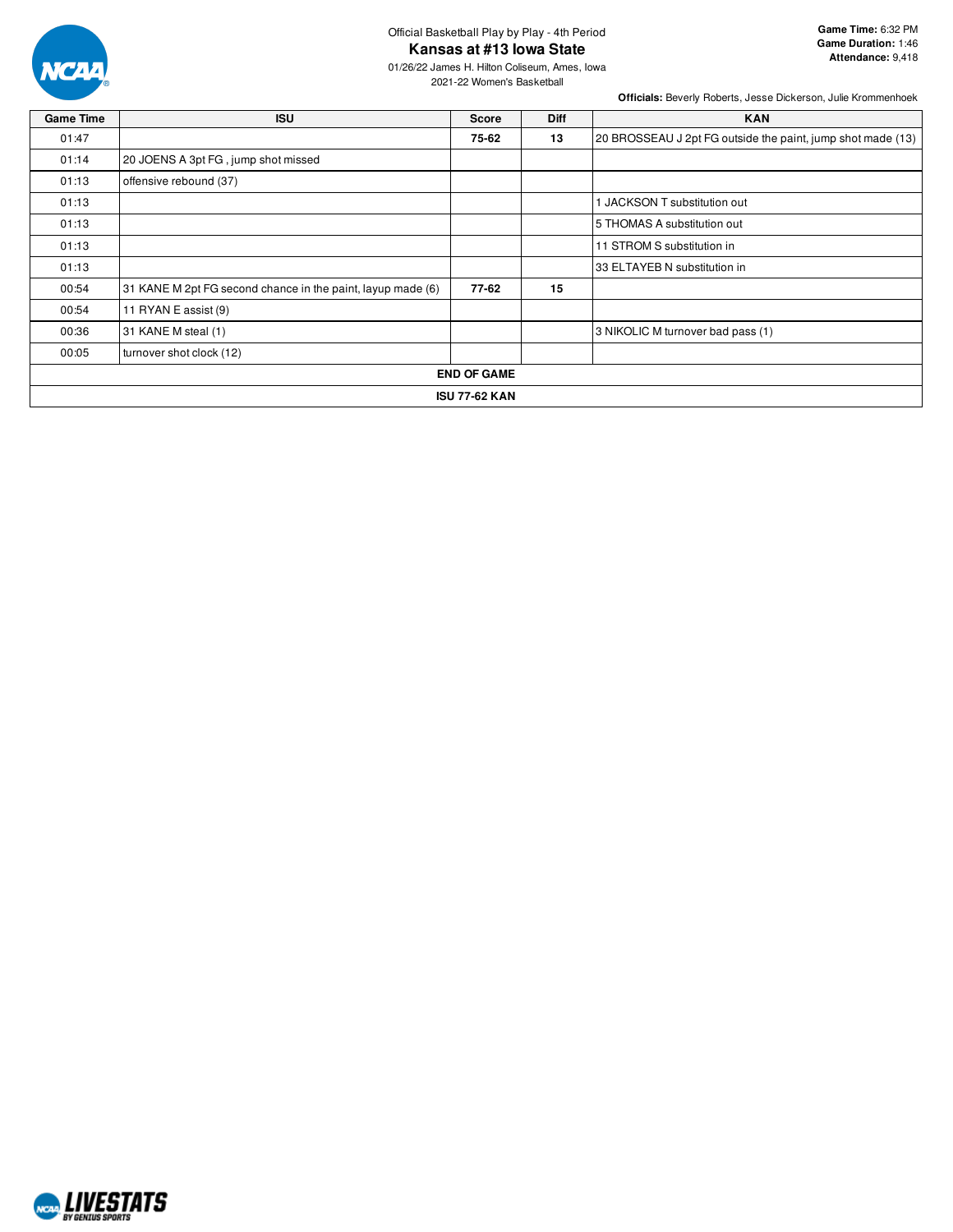

# Official Basketball Play by Play - 4th Period **Kansas at #13 Iowa State**

01/26/22 James H. Hilton Coliseum, Ames, Iowa 2021-22 Women's Basketball

| <b>Game Time</b> | <b>ISU</b>                                                  | Score                | <b>Diff</b> | <b>KAN</b>                                                  |
|------------------|-------------------------------------------------------------|----------------------|-------------|-------------------------------------------------------------|
| 01:47            |                                                             | 75-62                | 13          | 20 BROSSEAU J 2pt FG outside the paint, jump shot made (13) |
| 01:14            | 20 JOENS A 3pt FG, jump shot missed                         |                      |             |                                                             |
| 01:13            | offensive rebound (37)                                      |                      |             |                                                             |
| 01:13            |                                                             |                      |             | 1 JACKSON T substitution out                                |
| 01:13            |                                                             |                      |             | 5 THOMAS A substitution out                                 |
| 01:13            |                                                             |                      |             | 11 STROM S substitution in                                  |
| 01:13            |                                                             |                      |             | 33 ELTAYEB N substitution in                                |
| 00:54            | 31 KANE M 2pt FG second chance in the paint, layup made (6) | 77-62                | 15          |                                                             |
| 00:54            | 11 RYAN E assist (9)                                        |                      |             |                                                             |
| 00:36            | 31 KANE M steal (1)                                         |                      |             | 3 NIKOLIC M turnover bad pass (1)                           |
| 00:05            | turnover shot clock (12)                                    |                      |             |                                                             |
|                  |                                                             | <b>END OF GAME</b>   |             |                                                             |
|                  |                                                             | <b>ISU 77-62 KAN</b> |             |                                                             |

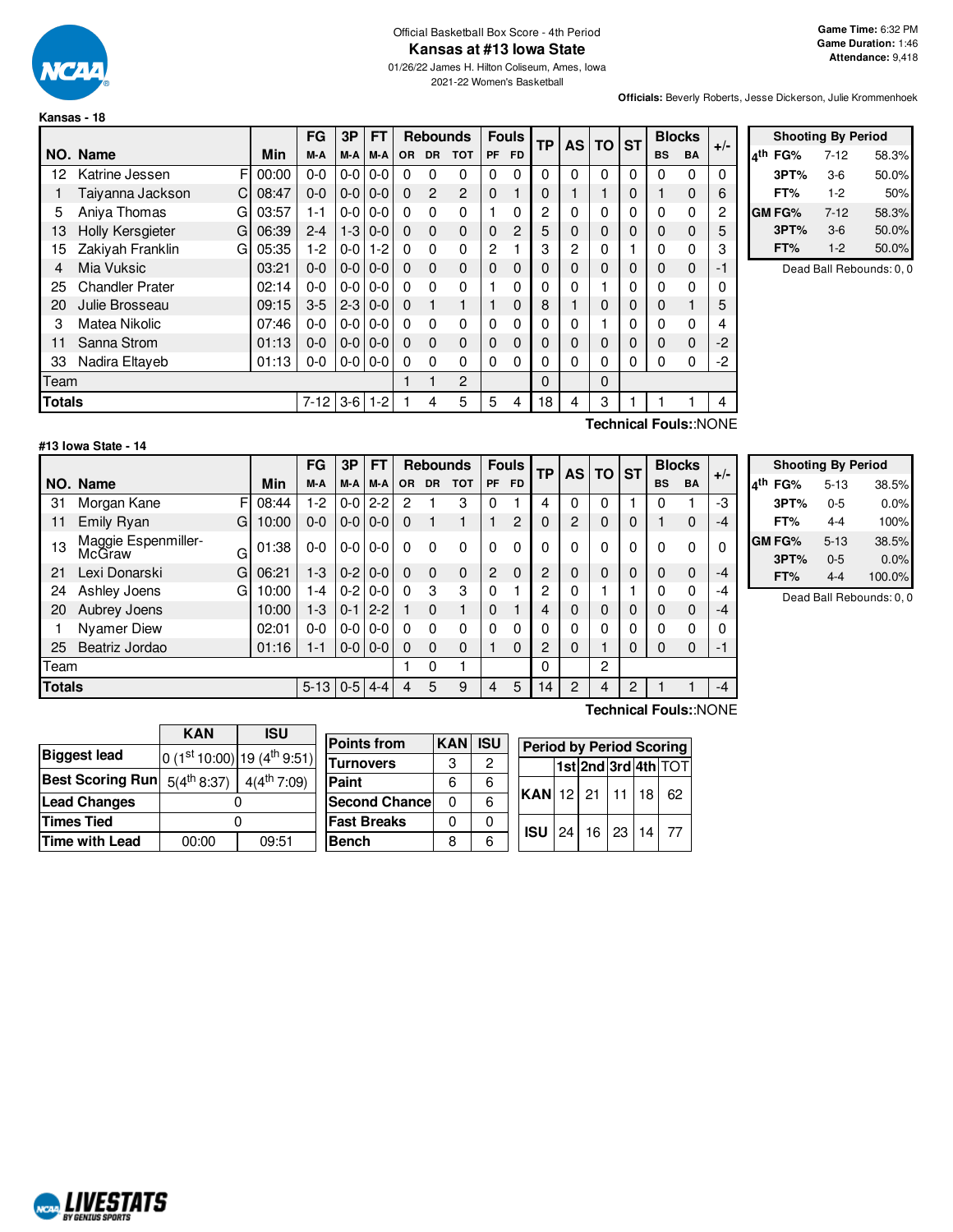

#### Official Basketball Box Score - 4th Period **Kansas at #13 Iowa State**

01/26/22 James H. Hilton Coliseum, Ames, Iowa 2021-22 Women's Basketball

**Shooting By Period 4 th FG%** 7-12 58.3% **3PT%** 3-6 50.0% **FT%** 1-2 50% **GM FG%** 7-12 58.3% **3PT%** 3-6 50.0% **FT%** 1-2 50.0% Dead Ball Rebounds: 0, 0

**Officials:** Beverly Roberts, Jesse Dickerson, Julie Krommenhoek

|               |                              |       | <b>FG</b> | 3P       | <b>FT</b> |           |                | <b>Rebounds</b> |           | <b>Fouls</b> | <b>TP</b> | <b>AS</b> | ΤО | <b>ST</b> |           | <b>Blocks</b>         | $+/-$ |
|---------------|------------------------------|-------|-----------|----------|-----------|-----------|----------------|-----------------|-----------|--------------|-----------|-----------|----|-----------|-----------|-----------------------|-------|
|               | NO. Name                     | Min   | M-A       | M-A      | M-A       | <b>OR</b> | <b>DR</b>      | <b>TOT</b>      | <b>PF</b> | <b>FD</b>    |           |           |    |           | <b>BS</b> | <b>BA</b>             |       |
| 12            | F<br>Katrine Jessen          | 00:00 | $0 - 0$   | $0-0$    | $0-0$     | 0         | 0              | 0               | $\Omega$  | $\Omega$     | 0         | 0         | 0  | $\Omega$  | $\Omega$  | $\Omega$              | 0     |
|               | C<br>Taiyanna Jackson        | 08:47 | $0 - 0$   | $0-0$    | $0-0$     | $\Omega$  | $\overline{2}$ | $\overline{2}$  | $\Omega$  |              | 0         |           |    | 0         |           | $\Omega$              | 6     |
| 5             | Aniya Thomas<br>G            | 03:57 | 1-1       | $0 - 01$ | $0-0$     | $\Omega$  | $\Omega$       | $\Omega$        |           | $\Omega$     | 2         | 0         | 0  | 0         | 0         | $\Omega$              | 2     |
| 13            | <b>Holly Kersgieter</b><br>G | 06:39 | $2 - 4$   | $1-3$    | $0-0$     | $\Omega$  | $\Omega$       | $\mathbf 0$     | $\Omega$  | 2            | 5         | 0         | 0  | 0         | 0         | $\Omega$              | 5     |
| 15            | Zakiyah Franklin<br>G        | 05:35 | $1-2$     | $0-0$    | $1 - 2$   | $\Omega$  | $\Omega$       | 0               | 2         |              | 3         | 2         | 0  |           | 0         | $\Omega$              | 3     |
| 4             | Mia Vuksic                   | 03:21 | $0 - 0$   | $0-0$    | $0 - 0$   | $\Omega$  | $\Omega$       | $\Omega$        | 0         | $\Omega$     | 0         | 0         | 0  | 0         | 0         | $\Omega$              | $-1$  |
| 25            | <b>Chandler Prater</b>       | 02:14 | $0 - 0$   | $0-0$    | $0-0$     | 0         | $\Omega$       | 0               |           | 0            | 0         | 0         |    | $\Omega$  | 0         | $\Omega$              | 0     |
| 20            | Julie Brosseau               | 09:15 | $3-5$     | $2 - 3$  | $0-0$     | $\Omega$  |                | 1               |           | $\mathbf 0$  | 8         |           | 0  | 0         | 0         |                       | 5     |
| 3             | Matea Nikolic                | 07:46 | $0-0$     | $0-0$    | $0-0$     | $\Omega$  | $\Omega$       | 0               | $\Omega$  | $\Omega$     | 0         | 0         |    | 0         | 0         | $\Omega$              | 4     |
| 11            | Sanna Strom                  | 01:13 | $0 - 0$   | $0-0$    | $0-0$     | $\Omega$  | $\Omega$       | $\mathbf 0$     | $\Omega$  | 0            | 0         | $\Omega$  | 0  | 0         | 0         | $\Omega$              | $-2$  |
| 33            | Nadira Eltaveb               | 01:13 | $0-0$     | 0-0      | $0-0$     | $\Omega$  | 0              | 0               | $\Omega$  | $\Omega$     | $\Omega$  | 0         | 0  | 0         | 0         | $\Omega$              | -2    |
| Team          |                              |       |           |          |           |           |                | 2               |           |              | 0         |           | 0  |           |           |                       |       |
| <b>Totals</b> |                              |       | $7 - 12$  | $3-6$    | $1 - 2$   |           | 4              | 5               | 5         | 4            | 18        | 4         | 3  |           |           |                       | 4     |
|               |                              |       |           |          |           |           |                |                 |           |              |           |           |    |           |           | Technical Fouls::NONE |       |

#### **#13 Iowa State - 14**

F  $G$  10:00  $G$  01:38  $G$  06:21 G 10:00 **NO.** Name Min **FG 3P FT Rebounds Fouls TP AS TO ST**  $\begin{bmatrix} \mathsf{FG} \end{bmatrix}$   $\begin{bmatrix} \mathsf{3P} \end{bmatrix}$   $\begin{bmatrix} \mathsf{FT} \end{bmatrix}$   $\begin{bmatrix} \mathsf{Re} \end{bmatrix}$  **R**  $\begin{bmatrix} \mathsf{PPT} \end{bmatrix}$   $\begin{bmatrix} \mathsf{AB} \end{bmatrix}$   $\begin{bmatrix} \mathsf{FT} \end{bmatrix}$   $\begin{bmatrix} \mathsf{AB} \end{bmatrix}$   $\begin{bmatrix} \mathsf{BIC} \end{bmatrix}$   $\begin{bmatrix} \mathsf{BIC} \end{bmatrix}$   $\begin$ 31 Morgan Kane F 08:44 | 1-2 | 0-0 | 2-2 | 2 1 3 | 0 1 | 4 | 0 | 0 | 1 | 0 1 | -3 11 Emily Ryan G | 10:00 | 0-0 | 0-0 | 0-0 | 0 0 1 1 | 1 2 | 0 | 2 | 0 | 0 | 1 0 | -4 <sup>13</sup> Maggie Espenmiller- McGraw 01:38 0-0 0-0 0-0 0 0 0 0 0 0 0 0 0 0 0 0 21 Lexi Donarski G | 06:21 | 1-3 | 0-2 | 0-0 | 0 0 0 | 2 0 | 2 | 0 | 0 | 0 24 Ashley Joens G | 10:00 | 1-4 | 0-2 | 0-0 | 0  $\cdot$  3  $\cdot$  3 | 0  $\cdot$  1 | 2 | 0 | 1 | 1 20 Aubrey Joens 10:00 1-3 0-1 2-2 1 0 1 0 1 4 0 0 0 0 1 Nyamer Diew 02:01 0-0 0-0 0-0 0 0 0 0 0 0 0 0 0 0 0 0 25 Beatriz Jordao | 01:16 | 1-1 | 0-0 | 0-0 | 0 0 0 | 1 0 | 2 | 0 | 1 | 0 | 0 0 | -1 Team 1 0 1 | 0 | | 2 **Totals** 5-13 0-5 4-4 4 5 9 4 5 14 2 4 2 1 1 -4

| <b>Shooting By Period</b> |          |        |  |  |  |  |  |  |  |
|---------------------------|----------|--------|--|--|--|--|--|--|--|
| <sub>4</sub> th<br>FG%    | $5 - 13$ | 38.5%  |  |  |  |  |  |  |  |
| 3PT%                      | $0 - 5$  | 0.0%   |  |  |  |  |  |  |  |
| FT%                       | 4-4      | 100%   |  |  |  |  |  |  |  |
| <b>GMFG%</b>              | $5 - 13$ | 38.5%  |  |  |  |  |  |  |  |
| 3PT%                      | $0 - 5$  | 0.0%   |  |  |  |  |  |  |  |
| FT%                       | 4-4      | 100.0% |  |  |  |  |  |  |  |

Rebounds: 0, 0

|                              | <b>KAN</b> | 15U                                     | <b>Points from</b>   | <b>KAN</b> | <b>ISU</b> |
|------------------------------|------------|-----------------------------------------|----------------------|------------|------------|
| <b>Biggest lead</b>          |            | 0 (1st 10:00) 19 (4 <sup>th</sup> 9:51) |                      |            |            |
|                              |            |                                         | <b>Turnovers</b>     | 3          | 2          |
| Best Scoring Run 5(4th 8:37) |            | $4(4^{\text{th}} 7:09)$                 | Paint                | 6          | 6          |
| <b>Lead Changes</b>          |            |                                         | <b>Second Chance</b> | 0          | 6          |
| <b>Times Tied</b>            |            |                                         | <b>Fast Breaks</b>   | 0          |            |
| <b>Time with Lead</b>        | 00:00      | 09:51                                   | <b>Bench</b>         | 8          | 6          |

**KAN ISU**

Г

**Technical Fouls:**:NONE

**Period by Period Scoring 1st 2nd 3rd 4th** TOT

**KAN** 12 21 11 18 62

**ISU** 24 16 23 14 77

| . . | . . | . . | 3PT%     |
|-----|-----|-----|----------|
| n   | ი   |     | FT%      |
| г   | ი   |     | Dead Bal |
| П   | O   |     |          |
|     |     |     |          |

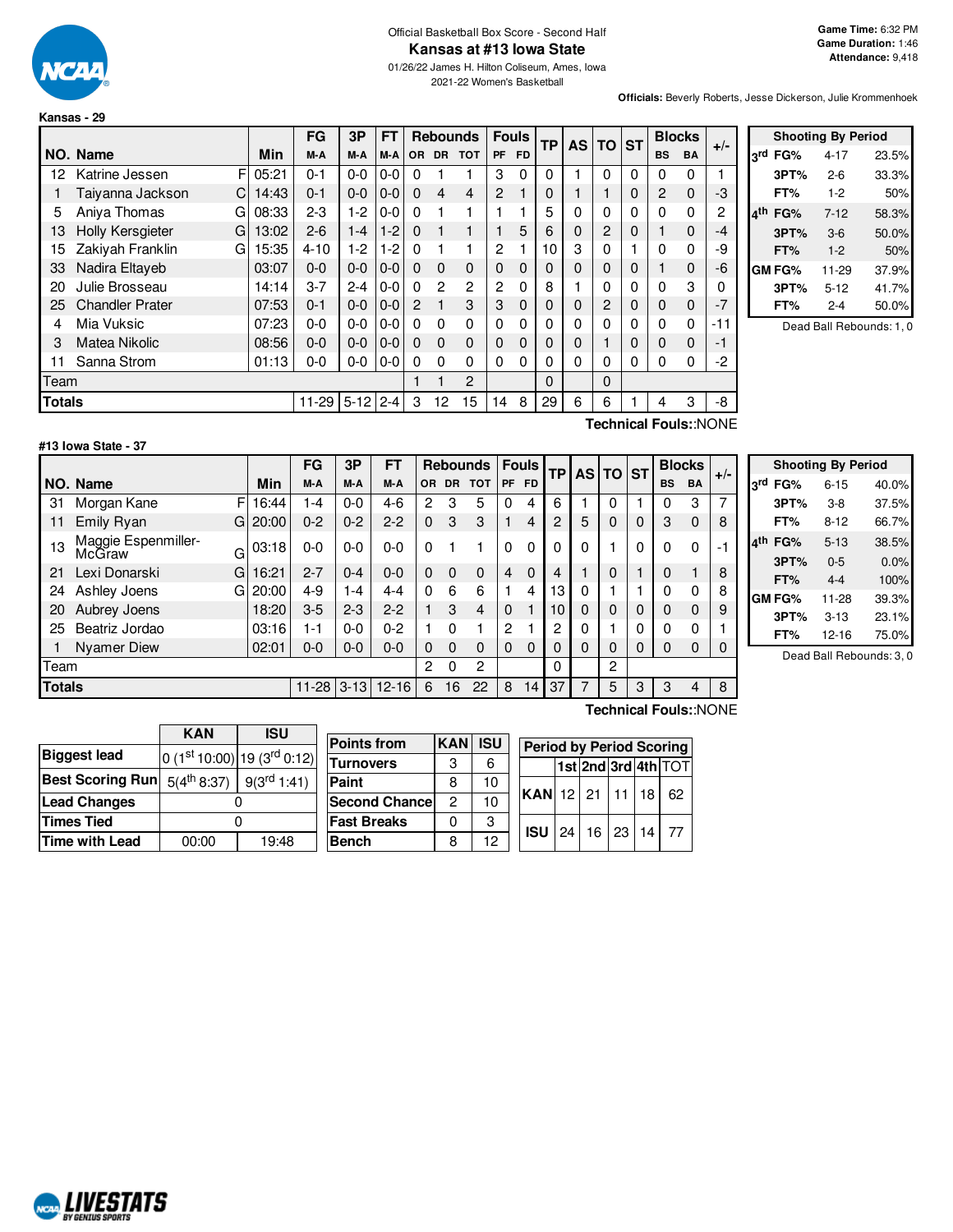

#### Official Basketball Box Score - Second Half **Kansas at #13 Iowa State**

01/26/22 James H. Hilton Coliseum, Ames, Iowa 2021-22 Women's Basketball

**Officials:** Beverly Roberts, Jesse Dickerson, Julie Krommenhoek

|               |                        |       | FG       | 3P       | FT      |                |           | <b>Rebounds</b> | <b>Fouls</b> |     | TP | <b>AS</b> | <b>TO</b> | <b>ST</b> | <b>Blocks</b> |             |                              |
|---------------|------------------------|-------|----------|----------|---------|----------------|-----------|-----------------|--------------|-----|----|-----------|-----------|-----------|---------------|-------------|------------------------------|
|               | NO. Name               | Min   | M-A      | M-A      | M-A     | <b>OR</b>      | <b>DR</b> | <b>TOT</b>      | <b>PF</b>    | FD. |    |           |           |           | <b>BS</b>     | <b>BA</b>   | $+/-$                        |
| 12            | FI<br>Katrine Jessen   | 05:21 | 0-1      | $0 - 0$  | 0-0     | 0              |           |                 | 3            | 0   | 0  | 1         | $\Omega$  | 0         | 0             | 0           |                              |
|               | Taiyanna Jackson<br>C  | 14:43 | 0-1      | $0 - 0$  | $0 - 0$ | $\Omega$       | 4         | $\overline{4}$  | 2            |     | 0  |           |           | 0         | 2             | $\mathbf 0$ | -3                           |
| 5             | Aniva Thomas<br>G      | 08:33 | $2 - 3$  | $1-2$    | 0-0     | $\Omega$       |           |                 |              |     | 5  | 0         | $\Omega$  | 0         | 0             | 0           | 2                            |
| 13            | Holly Kersgieter<br>G  | 13:02 | $2 - 6$  | $1 - 4$  | $1-2$   | $\Omega$       |           |                 |              | 5   | 6  | 0         | 2         | 0         | 1             | $\mathbf 0$ | -4                           |
| 15            | Zakiyah Franklin<br>G  | 15:35 | $4 - 10$ | $1-2$    | 1-2     | $\Omega$       |           |                 | 2            |     | 10 | 3         | $\Omega$  |           | 0             | 0           | -9                           |
| 33            | Nadira Eltaveb         | 03:07 | $0 - 0$  | $0 - 0$  | $0 - 0$ | $\Omega$       | $\Omega$  | $\Omega$        | 0            | 0   | 0  | 0         | 0         | 0         | 1             | $\mathbf 0$ | -6                           |
| 20            | Julie Brosseau         | 14:14 | $3 - 7$  | $2 - 4$  | $0-0$   | $\Omega$       | 2         | 2               | 2            | 0   | 8  |           | 0         | 0         | 0             | 3           | ი                            |
| 25            | <b>Chandler Prater</b> | 07:53 | $0 - 1$  | $0 - 0$  | $0-0$   | $\overline{2}$ |           | 3               | 3            | 0   | 0  | 0         | 2         | 0         | 0             | $\mathbf 0$ | -7                           |
| 4             | Mia Vuksic             | 07:23 | $0 - 0$  | $0 - 0$  | $0-0$   | $\Omega$       | $\Omega$  | 0               | 0            | 0   | 0  | 0         | 0         | 0         | $\Omega$      | 0           | -11                          |
| 3             | <b>Matea Nikolic</b>   | 08:56 | $0 - 0$  | $0 - 0$  | $0-0$   | $\Omega$       | $\Omega$  | $\mathbf 0$     | 0            | 0   | 0  | 0         |           | 0         | 0             | $\mathbf 0$ | -1                           |
| 11            | Sanna Strom            | 01:13 | 0-0      | $0-0$    | $0-0$   | 0              | 0         | 0               | 0            | 0   | 0  | 0         | 0         | 0         | 0             | 0           | -2                           |
| Team          |                        |       |          |          |         |                |           | 2               |              |     | 0  |           | $\Omega$  |           |               |             |                              |
| <b>Totals</b> |                        |       | 11-29    | $5 - 12$ | $2 - 4$ | 3              | 12        | 15              | 14           | 8   | 29 | 6         | 6         |           | 4             | 3           | -8                           |
|               |                        |       |          |          |         |                |           |                 |              |     |    |           |           |           |               |             | <b>Technical Fouls::NONE</b> |

|     |                          | <b>Shooting By Period</b> |       |  |  |  |  |  |
|-----|--------------------------|---------------------------|-------|--|--|--|--|--|
| αrd | FG%                      | $4 - 17$                  | 23.5% |  |  |  |  |  |
|     | 3PT%                     | $2-6$                     | 33.3% |  |  |  |  |  |
|     | FT%                      | $1-2$                     | 50%   |  |  |  |  |  |
| ⊿th | FG%                      | $7 - 12$                  | 58.3% |  |  |  |  |  |
|     | 3PT%                     | $3-6$                     | 50.0% |  |  |  |  |  |
|     | FT%                      | $1 - 2$                   | 50%   |  |  |  |  |  |
|     | <b>GM FG%</b>            | 11-29                     | 37.9% |  |  |  |  |  |
|     | 3PT%                     | $5 - 12$                  | 41.7% |  |  |  |  |  |
|     | FT%                      | $2 - 4$                   | 50.0% |  |  |  |  |  |
|     | Dead Ball Rebounds: 1, 0 |                           |       |  |  |  |  |  |

#### **#13 Iowa State - 37**

F 16:44  $G$  20:00  $G$ 03:18  $G$  16:21 G 20:00 **NO. Name Min FG 3P FT Rebounds Fouls TP AS TO ST**  $\begin{bmatrix} \mathsf{FG} & \mathsf{3P} \\ \mathsf{M-A} & \mathsf{M-A} \end{bmatrix}$  or dr tot  $\begin{bmatrix} \mathsf{F} & \mathsf{F} \end{bmatrix}$   $\begin{bmatrix} \mathsf{F} & \mathsf{F} \end{bmatrix}$   $\begin{bmatrix} \mathsf{AP} & \mathsf{AS} \end{bmatrix}$   $\begin{bmatrix} \mathsf{ST} & \mathsf{BlockS} \\ \mathsf{BS} & \mathsf{BA} \end{bmatrix}$  +/-31 Morgan Kane F 16:44 1-4 0-0 4-6 2 3 5 0 4 6 1 0 1 0 3 7 11 Emily Ryan G 20:00 0-2 0-2 2-2 0 3 3 1 4 2 5 0 0 3 0 8 13 Maggie Espenmiller-<br>McGraw 03:18 | 0-0 | 0-0 | 0-0 | 0  $\,$  1  $\,$  | 0  $\,$  0  $\,$  0  $\,$  0  $\,$  0  $\,$  0  $\,$  1  $\,$  0  $\,$  0  $\,$  0  $\,$  1  $\,$  0  $\,$  0  $\,$  0  $\,$  0  $\,$   $\,$  0  $\,$   $\,$  1  $\,$  0  $\,$  0  $\,$   $\,$  0  $\,$   $\,$  0  $\,$   $\,$  0  $\,$  0 21 Lexi Donarski G | 16:21 | 2-7 | 0-4 | 0-0 | 0 0 0 | 4 0 | 4 | 1 | 0 | 1 | 0 1 | 8 24 Ashley Joens  $G(20:00 \mid 4-9 \mid 1-4 \mid 4-4 \mid 0 \mid 6 \mid 6 \mid 1 \mid 4 \mid 13 \mid 0 \mid 1 \mid 1 \mid 0 \mid 0 \mid 8$ 20 Aubrey Joens 18:20 3-5 2-3 2-2 1 3 4 0 1 10 0 0 0 0 0 9 25 Beatriz Jordao (193:16 1-1 0-0 0-2 1 0 1 2 1 2 0 1 1 0 0 0 1 1 Nyamer Diew 02:01 0-0 0-0 0-0 0 0 0 0 0 0 0 0 0 0 0 0 Team 2 0 2 0 2 **Totals** 11-28 3-13 12-16 6 16 22 8 14 37 7 5 3 3 4 8

|     |        | <b>Shooting By Period</b> |       |
|-----|--------|---------------------------|-------|
| 3rd | FG%    | $6 - 15$                  | 40.0% |
|     | 3PT%   | $3-8$                     | 37.5% |
|     | FT%    | $8 - 12$                  | 66.7% |
| ⊿th | FG%    | $5 - 13$                  | 38.5% |
|     | 3PT%   | $0 - 5$                   | 0.0%  |
|     | FT%    | $4 - 4$                   | 100%  |
|     | GM FG% | 11-28                     | 39.3% |
|     | 3PT%   | $3 - 13$                  | 23.1% |
|     | FT%    | $12 - 16$                 | 75.0% |

Dead Ball Rebounds: 3, 0

|                         | KAN              | ISU                        |  |  |  |  |
|-------------------------|------------------|----------------------------|--|--|--|--|
| <b>Biggest lead</b>     |                  | $0(1st10:00) 19(3rd0:12) $ |  |  |  |  |
| <b>Best Scoring Run</b> | $5(4^{th} 8:37)$ | $9(3^{rd} 1:41)$           |  |  |  |  |
| <b>Lead Changes</b>     |                  |                            |  |  |  |  |
| <b>Times Tied</b>       |                  |                            |  |  |  |  |
| Time with Lead          | 00:00            | 19:48                      |  |  |  |  |

| <b>Points from</b>    | <b>KAN ISU</b> |    | <b>Period by Period Scoring</b> |                           |  |  |  |  |    |  |  |  |  |
|-----------------------|----------------|----|---------------------------------|---------------------------|--|--|--|--|----|--|--|--|--|
| <b>Turnovers</b>      | 3              | 6  |                                 | 1st 2nd 3rd 4th TOT       |  |  |  |  |    |  |  |  |  |
| Paint                 |                | 10 |                                 |                           |  |  |  |  |    |  |  |  |  |
| <b>Second Chancel</b> | 2              | 10 |                                 | KAN  12   21   11   18    |  |  |  |  | 62 |  |  |  |  |
| <b>Fast Breaks</b>    |                | З  |                                 |                           |  |  |  |  |    |  |  |  |  |
| Bench                 | 8              | 12 |                                 | $ISU$   24   16   23   14 |  |  |  |  |    |  |  |  |  |

**Technical Fouls:**:NONE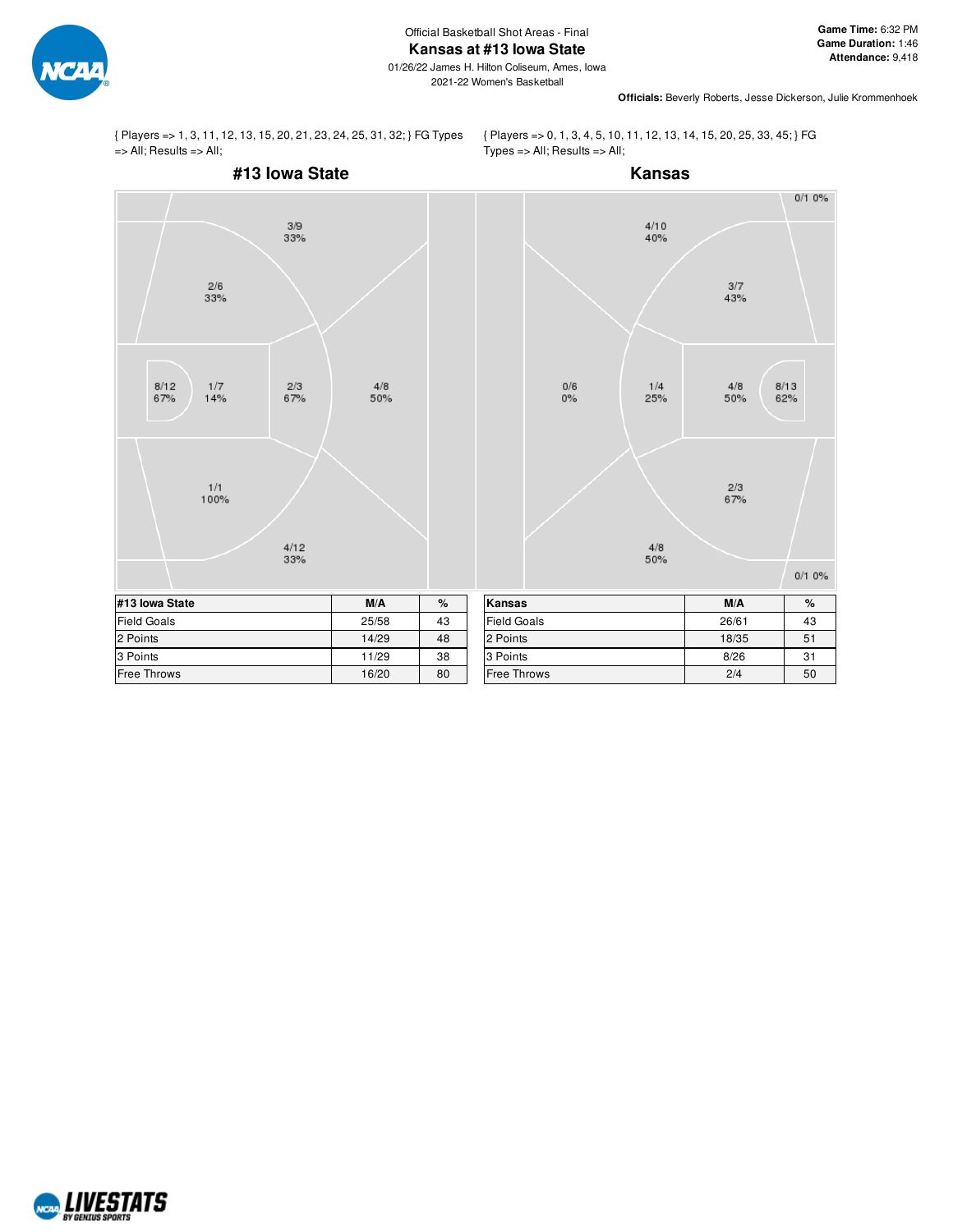



{ Players => 0, 1, 3, 4, 5, 10, 11, 12, 13, 14, 15, 20, 25, 33, 45; } FG  $Types = > All; Results => All;$ 



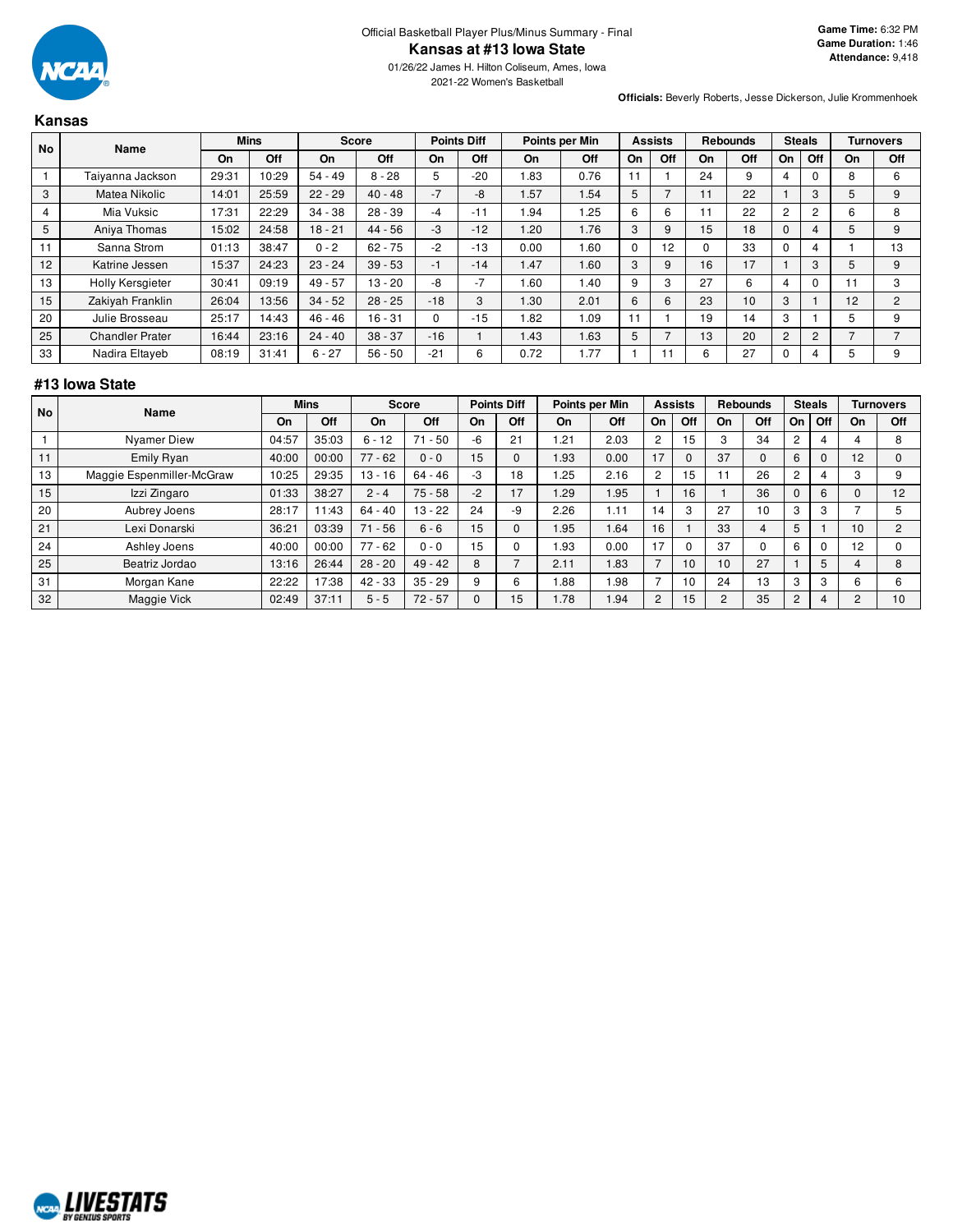

**Officials:** Beverly Roberts, Jesse Dickerson, Julie Krommenhoek

## **Kansas**

| <b>No</b> | Name                   |       | <b>Mins</b> |           | <b>Score</b> | <b>Points Diff</b> |       | Points per Min |      | <b>Assists</b> |     | <b>Rebounds</b> |     | <b>Steals</b>  |     |    | <b>Turnovers</b> |
|-----------|------------------------|-------|-------------|-----------|--------------|--------------------|-------|----------------|------|----------------|-----|-----------------|-----|----------------|-----|----|------------------|
|           |                        | On    | Off         | On        | Off          | On                 | Off   | <b>On</b>      | Off  | On             | Off | On              | Off | On             | Off | On | Off              |
|           | Taiyanna Jackson       | 29:31 | 10:29       | 54 - 49   | $8 - 28$     | 5                  | $-20$ | 1.83           | 0.76 |                |     | 24              | 9   | 4              |     | 8  | 6                |
| 3         | Matea Nikolic          | 14:01 | 25:59       | $22 - 29$ | 40 - 48      | $-7$               | -8    | .57            | 1.54 | 5              |     |                 | 22  |                | 3   | 5  | 9                |
| 4         | Mia Vuksic             | 17:31 | 22:29       | $34 - 38$ | $28 - 39$    | -4                 | $-11$ | .94            | .25  | 6              | 6   |                 | 22  | $\overline{2}$ | 2   | 6  | 8                |
| 5         | Aniya Thomas           | 15:02 | 24:58       | $18 - 21$ | $44 - 56$    | -3                 | $-12$ | 1.20           | 1.76 | 3              | 9   | 15              | 18  | $\Omega$       |     | 5  | 9                |
| 11        | Sanna Strom            | 01:13 | 38:47       | $0 - 2$   | $62 - 75$    | $-2$               | $-13$ | 0.00           | .60  | 0              | 12  | 0               | 33  |                |     |    | 13               |
| 12        | Katrine Jessen         | 15:37 | 24:23       | $23 - 24$ | $39 - 53$    | $-1$               | $-14$ | 1.47           | 1.60 | 3              | 9   | 16              | 17  |                | 3   | 5  | 9                |
| 13        | Holly Kersgieter       | 30:41 | 09:19       | $49 - 57$ | 13 - 20      | -8                 | $-7$  | 1.60           | 1.40 | 9              | 3   | 27              | 6   | 4              |     |    | 3                |
| 15        | Zakiyah Franklin       | 26:04 | 13:56       | $34 - 52$ | $28 - 25$    | $-18$              | 3     | 1.30           | 2.01 | 6              | 6   | 23              | 10  | 3              |     | 12 | $\overline{2}$   |
| 20        | Julie Brosseau         | 25:17 | 14:43       | $46 - 46$ | 16 - 31      | 0                  | $-15$ | 1.82           | 1.09 |                |     | 19              | 14  | 3              |     |    | 9                |
| 25        | <b>Chandler Prater</b> | 16:44 | 23:16       | $24 - 40$ | $38 - 37$    | $-16$              |       | 1.43           | 1.63 | 5              |     | 13              | 20  | 2              | 2   |    |                  |
| 33        | Nadira Eltayeb         | 08:19 | 31:41       | $6 - 27$  | $56 - 50$    | $-21$              | 6     | 0.72           | .77  |                |     | 6               | 27  | $\Omega$       |     | 5  | 9                |

# **#13 Iowa State**

| l No |                           | <b>Mins</b><br>Name |       | <b>Score</b> |           | <b>Points Diff</b> |          | Points per Min |      | <b>Assists</b> |          | <b>Rebounds</b> |     | <b>Steals</b>  |     |    | <b>Turnovers</b> |
|------|---------------------------|---------------------|-------|--------------|-----------|--------------------|----------|----------------|------|----------------|----------|-----------------|-----|----------------|-----|----|------------------|
|      |                           | On                  | Off   | On           | Off       | On                 | Off      | On             | Off  | On             | Off      | On              | Off | On             | Off | On | Off              |
|      | <b>Nyamer Diew</b>        | 04:57               | 35:03 | $6 - 12$     | $71 - 50$ | $-6$               | 21       | .21            | 2.03 | $\overline{c}$ | 15       | 3               | 34  | $\overline{c}$ |     |    | 8                |
| 11   | Emily Ryan                | 40:00               | 00:00 | $77 - 62$    | $0 - 0$   | 15                 | $\Omega$ | l.93           | 0.00 | 17             | $\Omega$ | 37              |     | 6              | O   | 12 | $\Omega$         |
| 13   | Maggie Espenmiller-McGraw | 10:25               | 29:35 | $13 - 16$    | $64 - 46$ | -3                 | 18       | .25            | 2.16 | $\overline{c}$ | 15       | 11              | 26  | $\overline{c}$ |     |    | 9                |
| 15   | Izzi Zingaro              | 01:33               | 38:27 | $2 - 4$      | $75 - 58$ | $-2$               | 17       | <b>1.29</b>    | .95  |                | 16       |                 | 36  | $\mathbf{0}$   | 6   |    | 12               |
| 20   | Aubrey Joens              | 28:17               | 11:43 | $64 - 40$    | $13 - 22$ | 24                 | -9       | 2.26           | 1.11 | 14             | 3        | 27              | 10  | 3              | 3   |    |                  |
| 21   | Lexi Donarski             | 36:21               | 03:39 | $71 - 56$    | $6 - 6$   | 15                 | $\Omega$ | 1.95           | .64  | 16             |          | 33              | 4   | 5              |     | 10 | $\overline{2}$   |
| 24   | Ashley Joens              | 40:00               | 00:00 | $77 - 62$    | $0 - 0$   | 15                 |          | .93            | 0.00 | 17             | 0        | 37              |     | 6              |     | 12 |                  |
| 25   | Beatriz Jordao            | 13:16               | 26:44 | $28 - 20$    | $49 - 42$ | 8                  |          | 2.11           | .83  |                | 10       | 10              | 27  |                | 5   |    | 8                |
| 31   | Morgan Kane               | 22:22               | 17:38 | $42 - 33$    | $35 - 29$ | 9                  | 6        | 88.1           | .98  |                | 10       | 24              | 13  | 3              | 3   | h  | 6                |
| 32   | Maggie Vick               | 02:49               | 37:11 | $5 - 5$      | $72 - 57$ |                    | 15       | 1.78           | 1.94 | $\overline{2}$ | 15       | $\overline{c}$  | 35  | $\overline{2}$ |     |    | 10               |

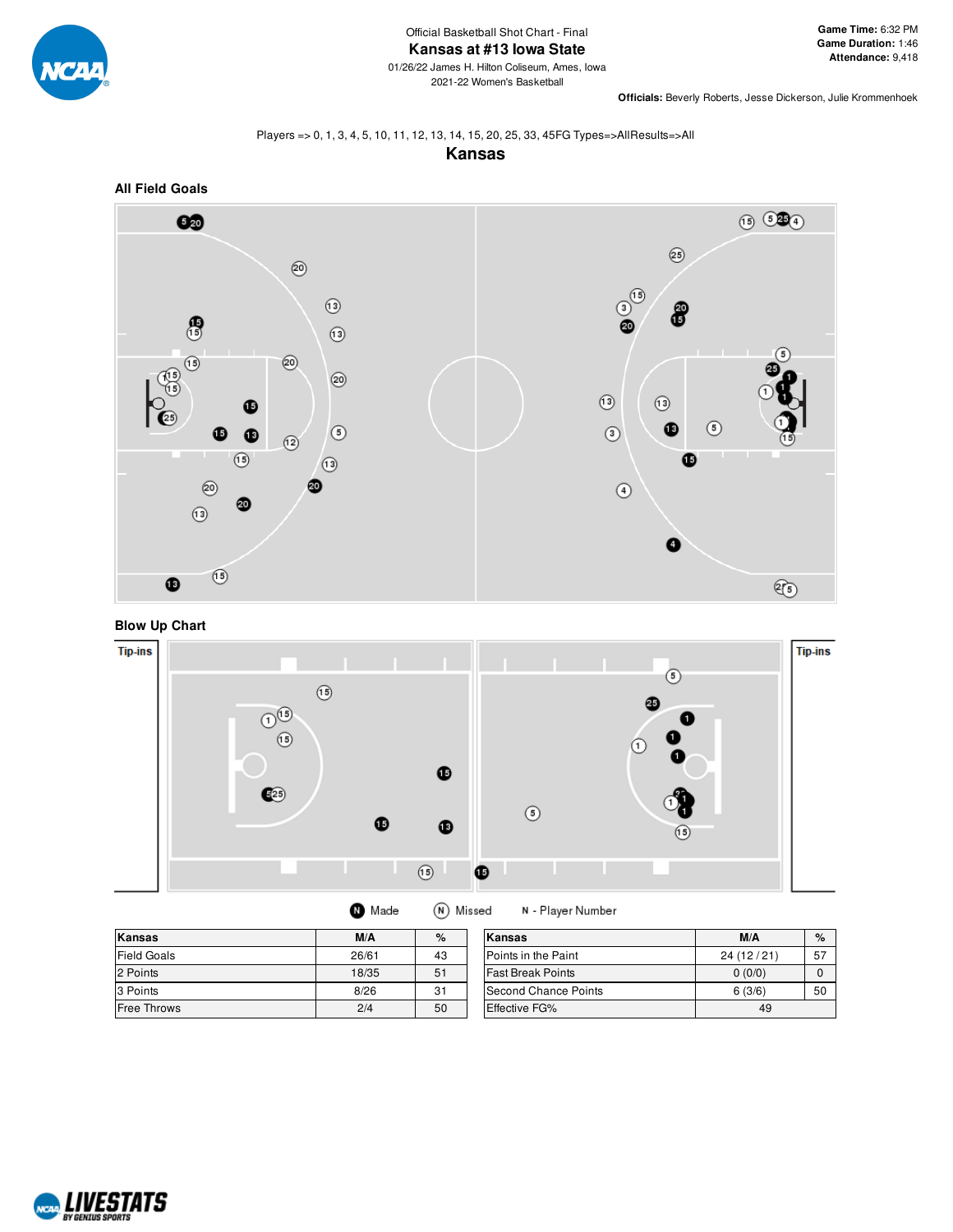

**Officials:** Beverly Roberts, Jesse Dickerson, Julie Krommenhoek

## Players => 0, 1, 3, 4, 5, 10, 11, 12, 13, 14, 15, 20, 25, 33, 45FG Types=>AllResults=>All

**Kansas**



**Blow Up Chart**



| Kansas             | M/A   | $\%$ | Kansas                   | M/A       | %  |
|--------------------|-------|------|--------------------------|-----------|----|
| Field Goals        | 26/61 | 43   | Points in the Paint      | 24(12/21) | 57 |
| 2 Points           | 18/35 | 51   | <b>Fast Break Points</b> | 0(0/0)    |    |
| 3 Points           | 8/26  | 31   | Second Chance Points     | 6(3/6)    | 50 |
| <b>Free Throws</b> | 2/4   | 50   | <b>Effective FG%</b>     | 49        |    |

(N) Missed

N - Player Number

**O** Made

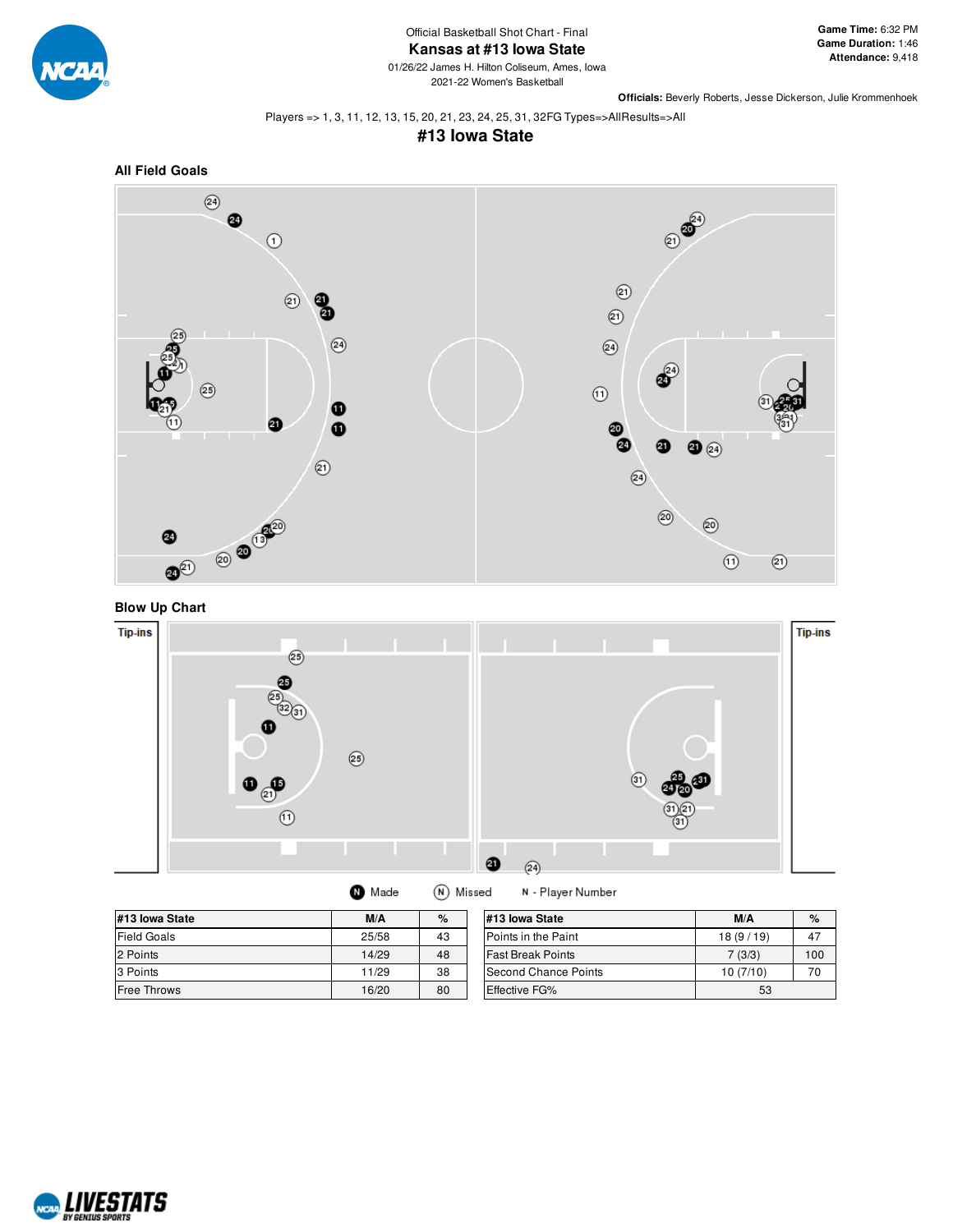

Official Basketball Shot Chart - Final **Kansas at #13 Iowa State**

01/26/22 James H. Hilton Coliseum, Ames, Iowa 2021-22 Women's Basketball

**Officials:** Beverly Roberts, Jesse Dickerson, Julie Krommenhoek

Players => 1, 3, 11, 12, 13, 15, 20, 21, 23, 24, 25, 31, 32FG Types=>AllResults=>All

# **#13 Iowa State**









| N | Made | (N) |
|---|------|-----|
|   |      |     |

N - Player Number

| #13 Iowa State     | M/A   | $\%$ |
|--------------------|-------|------|
| <b>Field Goals</b> | 25/58 | 43   |
| 2 Points           | 14/29 | 48   |
| 3 Points           | 11/29 | 38   |
| <b>Free Throws</b> | 16/20 | 80   |

| #13 lowa State           | M/A      | $\%$ |  |  |  |
|--------------------------|----------|------|--|--|--|
| Points in the Paint      | 18(9/19) |      |  |  |  |
| <b>Fast Break Points</b> | 7(3/3)   | 100  |  |  |  |
| Second Chance Points     | 10(7/10) | 70   |  |  |  |
| <b>Effective FG%</b>     | 53       |      |  |  |  |

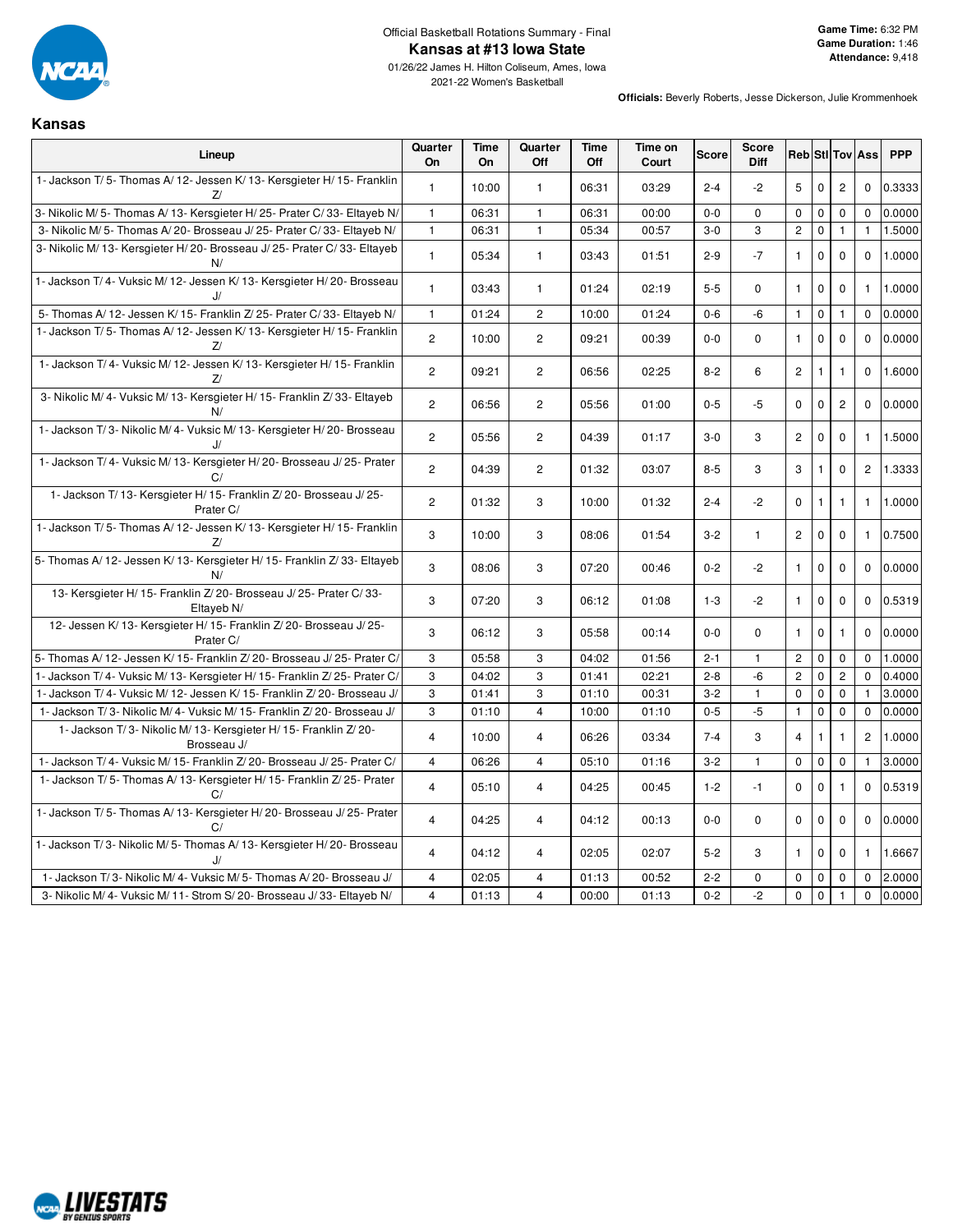

#### Official Basketball Rotations Summary - Final **Kansas at #13 Iowa State**

01/26/22 James H. Hilton Coliseum, Ames, Iowa 2021-22 Women's Basketball

**Officials:** Beverly Roberts, Jesse Dickerson, Julie Krommenhoek

# **Kansas**

| Lineup                                                                           | Quarter<br>On  | <b>Time</b><br><b>On</b> | Quarter<br>Off        | Time<br>Off | Time on<br>Court | <b>Score</b> | <b>Score</b><br><b>Diff</b> |                |              |                | <b>Reb</b> Sti Tov Ass | <b>PPP</b> |
|----------------------------------------------------------------------------------|----------------|--------------------------|-----------------------|-------------|------------------|--------------|-----------------------------|----------------|--------------|----------------|------------------------|------------|
| 1- Jackson T/5- Thomas A/12- Jessen K/13- Kersgieter H/15- Franklin<br>z         | $\mathbf{1}$   | 10:00                    | $\mathbf{1}$          | 06:31       | 03:29            | $2 - 4$      | $-2$                        | 5              | $\mathbf 0$  | $\overline{c}$ | $\mathbf 0$            | 0.3333     |
| 3- Nikolic M/5- Thomas A/13- Kersgieter H/25- Prater C/33- Eltayeb N/            | $\mathbf{1}$   | 06:31                    | $\mathbf{1}$          | 06:31       | 00:00            | $0-0$        | $\mathbf 0$                 | $\mathsf 0$    | $\mathbf 0$  | $\mathbf 0$    | $\mathbf 0$            | 0.0000     |
| 3- Nikolic M/ 5- Thomas A/ 20- Brosseau J/ 25- Prater C/ 33- Eltayeb N/          | $\overline{1}$ | 06:31                    | $\mathbf{1}$          | 05:34       | 00:57            | $3-0$        | 3                           | $\overline{2}$ | $\mathbf 0$  | $\mathbf{1}$   | $\mathbf{1}$           | 1.5000     |
| 3- Nikolic M/ 13- Kersgieter H/ 20- Brosseau J/ 25- Prater C/ 33- Eltayeb<br>N/  | $\mathbf{1}$   | 05:34                    | $\mathbf{1}$          | 03:43       | 01:51            | $2 - 9$      | $-7$                        | $\mathbf{1}$   | $\mathbf 0$  | $\mathbf{0}$   | $\mathbf{0}$           | 1.0000     |
| 1- Jackson T/4- Vuksic M/12- Jessen K/13- Kersgieter H/20- Brosseau<br>J/        | $\mathbf{1}$   | 03:43                    | 1                     | 01:24       | 02:19            | $5-5$        | 0                           | $\mathbf{1}$   | $\pmb{0}$    | $\mathbf 0$    | $\mathbf{1}$           | 1.0000     |
| 5- Thomas A/ 12- Jessen K/ 15- Franklin Z/ 25- Prater C/ 33- Eltayeb N/          | $\mathbf{1}$   | 01:24                    | $\overline{c}$        | 10:00       | 01:24            | $0-6$        | -6                          | $\mathbf{1}$   | $\mathbf 0$  | $\mathbf{1}$   | $\mathbf 0$            | 0.0000     |
| 1- Jackson T/5- Thomas A/12- Jessen K/13- Kersgieter H/15- Franklin<br>z         | $\overline{2}$ | 10:00                    | $\overline{2}$        | 09:21       | 00:39            | $0-0$        | $\mathbf 0$                 | $\mathbf{1}$   | $\mathbf 0$  | $\mathbf 0$    | $\mathbf 0$            | 0.0000     |
| 1- Jackson T/4- Vuksic M/12- Jessen K/13- Kersgieter H/15- Franklin<br>Z         | $\overline{2}$ | 09:21                    | $\mathbf{2}^{\prime}$ | 06:56       | 02:25            | $8 - 2$      | 6                           | $\mathbf{2}$   | 1            | $\mathbf{1}$   | $\mathbf 0$            | 1.6000     |
| 3- Nikolic M/4- Vuksic M/13- Kersgieter H/15- Franklin Z/33- Eltayeb<br>N/       | $\overline{2}$ | 06:56                    | $\mathbf{2}^{\prime}$ | 05:56       | 01:00            | $0 - 5$      | $-5$                        | 0              | 0            | $\overline{c}$ | $\mathbf 0$            | 0.0000     |
| 1- Jackson T/3- Nikolic M/4- Vuksic M/13- Kersgieter H/20- Brosseau<br>J/        | $\mathbf{2}$   | 05:56                    | $\mathbf{2}$          | 04:39       | 01:17            | $3-0$        | 3                           | $\overline{c}$ | $\mathbf 0$  | $\mathbf 0$    | $\mathbf{1}$           | 1.5000     |
| 1- Jackson T/4- Vuksic M/13- Kersgieter H/20- Brosseau J/25- Prater<br>C/        | $\overline{2}$ | 04:39                    | $\overline{2}$        | 01:32       | 03:07            | $8 - 5$      | 3                           | 3              | 1            | $\mathbf 0$    | $\overline{2}$         | 1.3333     |
| 1- Jackson T/13- Kersgieter H/15- Franklin Z/20- Brosseau J/25-<br>Prater C/     | $\overline{2}$ | 01:32                    | 3                     | 10:00       | 01:32            | $2 - 4$      | $-2$                        | $\mathbf 0$    | $\mathbf{1}$ | $\mathbf{1}$   | $\mathbf{1}$           | 1.0000     |
| 1- Jackson T/5- Thomas A/12- Jessen K/13- Kersgieter H/15- Franklin<br>z         | 3              | 10:00                    | 3                     | 08:06       | 01:54            | $3-2$        | $\mathbf{1}$                | $\mathbf{2}$   | $\pmb{0}$    | 0              | $\mathbf{1}$           | 0.7500     |
| 5- Thomas A/ 12- Jessen K/ 13- Kersgieter H/ 15- Franklin Z/ 33- Eltayeb<br>N/   | 3              | 08:06                    | 3                     | 07:20       | 00:46            | $0 - 2$      | $-2$                        | $\mathbf{1}$   | $\mathbf 0$  | $\mathbf 0$    | $\mathbf 0$            | 0.0000     |
| 13- Kersgieter H/15- Franklin Z/20- Brosseau J/25- Prater C/33-<br>Eltayeb N/    | 3              | 07:20                    | 3                     | 06:12       | 01:08            | $1 - 3$      | $-2$                        | $\mathbf{1}$   | $\mathbf 0$  | $\mathbf 0$    | $\Omega$               | 0.5319     |
| 12- Jessen K/ 13- Kersgieter H/ 15- Franklin Z/ 20- Brosseau J/ 25-<br>Prater C/ | 3              | 06:12                    | 3                     | 05:58       | 00:14            | $0 - 0$      | $\mathbf 0$                 | $\mathbf{1}$   | $\mathbf 0$  | $\mathbf{1}$   | $\Omega$               | 0.0000     |
| 5- Thomas A/ 12- Jessen K/ 15- Franklin Z/ 20- Brosseau J/ 25- Prater C/         | 3              | 05:58                    | 3                     | 04:02       | 01:56            | $2 - 1$      | $\mathbf{1}$                | $\overline{c}$ | $\mathsf 0$  | $\mathsf 0$    | $\mathbf 0$            | 1.0000     |
| 1- Jackson T/4- Vuksic M/13- Kersgieter H/15- Franklin Z/25- Prater C/           | 3              | 04:02                    | 3                     | 01:41       | 02:21            | $2 - 8$      | -6                          | $\mathbf 2$    | $\pmb{0}$    | $\mathbf 2$    | $\Omega$               | 0.4000     |
| 1- Jackson T/4- Vuksic M/12- Jessen K/15- Franklin Z/20- Brosseau J/             | 3              | 01:41                    | 3                     | 01:10       | 00:31            | $3 - 2$      | $\mathbf{1}$                | $\mathbf 0$    | $\mathbf 0$  | $\mathbf 0$    |                        | 3.0000     |
| 1- Jackson T/3- Nikolic M/4- Vuksic M/15- Franklin Z/20- Brosseau J/             | 3              | 01:10                    | $\overline{4}$        | 10:00       | 01:10            | $0 - 5$      | $-5$                        | $\mathbf{1}$   | $\mathbf 0$  | $\mathbf 0$    | $\mathbf 0$            | 0.0000     |
| 1- Jackson T/3- Nikolic M/13- Kersgieter H/15- Franklin Z/20-<br>Brosseau J/     | $\overline{4}$ | 10:00                    | 4                     | 06:26       | 03:34            | $7 - 4$      | 3                           | $\overline{4}$ | 1            | 1              | $\overline{c}$         | 1.0000     |
| 1- Jackson T/4- Vuksic M/15- Franklin Z/20- Brosseau J/25- Prater C/             | $\overline{4}$ | 06:26                    | $\overline{4}$        | 05:10       | 01:16            | $3 - 2$      | $\mathbf{1}$                | $\mathbf 0$    | $\pmb{0}$    | $\mathbf 0$    | $\mathbf{1}$           | 3.0000     |
| 1- Jackson T/5- Thomas A/13- Kersgieter H/15- Franklin Z/25- Prater<br>C/        | $\overline{4}$ | 05:10                    | $\overline{4}$        | 04:25       | 00:45            | $1 - 2$      | $-1$                        | $\mathbf 0$    | 0            | $\mathbf{1}$   | $\mathbf 0$            | 0.5319     |
| 1- Jackson T/5- Thomas A/13- Kersgieter H/20- Brosseau J/25- Prater<br>C/        | $\overline{4}$ | 04:25                    | 4                     | 04:12       | 00:13            | $0-0$        | 0                           | 0              | 0            | $\mathbf 0$    | $\mathbf 0$            | 0.0000     |
| 1- Jackson T/3- Nikolic M/5- Thomas A/13- Kersgieter H/20- Brosseau<br>J         | $\overline{4}$ | 04:12                    | $\overline{4}$        | 02:05       | 02:07            | $5 - 2$      | 3                           | $\mathbf{1}$   | $\mathbf 0$  | $\mathbf 0$    | $\mathbf{1}$           | 1.6667     |
| 1- Jackson T/3- Nikolic M/4- Vuksic M/5- Thomas A/20- Brosseau J/                | $\overline{4}$ | 02:05                    | $\overline{4}$        | 01:13       | 00:52            | $2 - 2$      | 0                           | $\mathbf 0$    | $\mathbf 0$  | 0              | $\mathbf 0$            | 2.0000     |
| 3- Nikolic M/4- Vuksic M/11- Strom S/20- Brosseau J/33- Eltayeb N/               | $\overline{4}$ | 01:13                    | $\overline{4}$        | 00:00       | 01:13            | $0 - 2$      | $-2$                        | $\mathsf 0$    | $\pmb{0}$    | $\mathbf{1}$   | $\mathbf 0$            | 0.0000     |

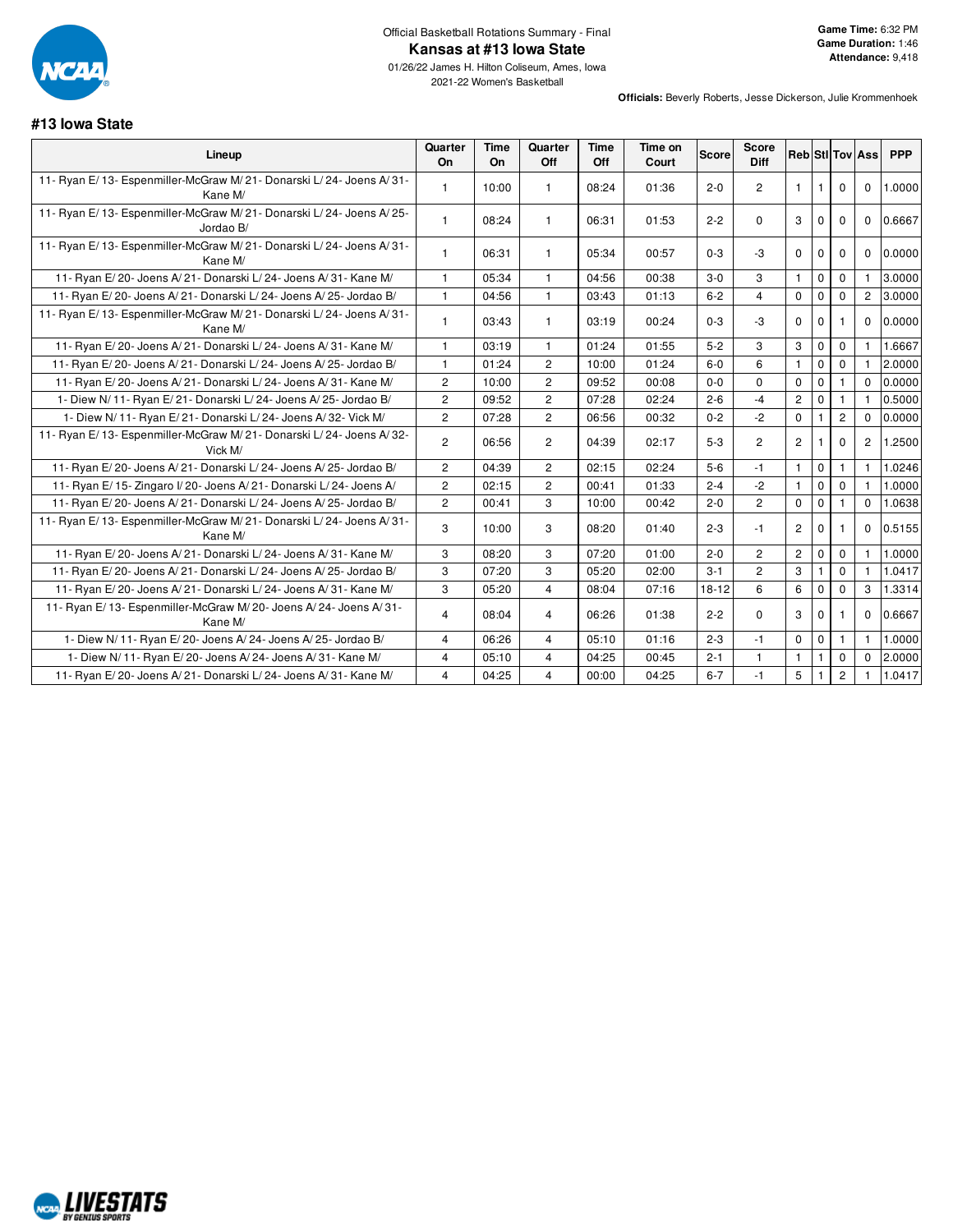

| #13 lowa State                                                                  |                       |            |                         |                    |                  |              |                      |                |              |                |                        |            |
|---------------------------------------------------------------------------------|-----------------------|------------|-------------------------|--------------------|------------------|--------------|----------------------|----------------|--------------|----------------|------------------------|------------|
| Lineup                                                                          | Quarter<br>On         | Time<br>On | Quarter<br>Off          | <b>Time</b><br>Off | Time on<br>Court | <b>Score</b> | <b>Score</b><br>Diff |                |              |                | <b>Reb</b> StilTov Ass | <b>PPP</b> |
| 11- Ryan E/13- Espenmiller-McGraw M/21- Donarski L/24- Joens A/31-<br>Kane M/   | $\mathbf{1}$          | 10:00      | $\overline{1}$          | 08:24              | 01:36            | $2 - 0$      | $\overline{c}$       | $\mathbf{1}$   | $\mathbf{1}$ | $\mathbf 0$    | $\mathbf 0$            | 1.0000     |
| 11- Ryan E/13- Espenmiller-McGraw M/21- Donarski L/24- Joens A/25-<br>Jordao B/ | $\mathbf{1}$          | 08:24      | $\mathbf{1}$            | 06:31              | 01:53            | $2 - 2$      | $\Omega$             | 3              | $\mathbf 0$  | $\mathbf 0$    | $\mathbf{0}$           | 0.6667     |
| 11- Ryan E/13- Espenmiller-McGraw M/21- Donarski L/24- Joens A/31-<br>Kane M/   | $\mathbf{1}$          | 06:31      | $\mathbf{1}$            | 05:34              | 00:57            | $0 - 3$      | -3                   | $\Omega$       | $\Omega$     | $\mathbf 0$    | 0                      | 0.0000     |
| 11- Ryan E/20- Joens A/21- Donarski L/24- Joens A/31- Kane M/                   | 1                     | 05:34      | $\mathbf{1}$            | 04:56              | 00:38            | $3-0$        | 3                    | $\mathbf{1}$   | $\mathbf 0$  | $\mathbf{0}$   | 1                      | 3.0000     |
| 11- Ryan E/20- Joens A/21- Donarski L/24- Joens A/25- Jordao B/                 | $\mathbf{1}$          | 04:56      | $\mathbf{1}$            | 03:43              | 01:13            | $6 - 2$      | $\overline{4}$       | $\mathbf 0$    | $\mathbf 0$  | $\mathbf 0$    | $\overline{2}$         | 3.0000     |
| 11- Ryan E/13- Espenmiller-McGraw M/21- Donarski L/24- Joens A/31-<br>Kane M/   | 1                     | 03:43      | $\mathbf{1}$            | 03:19              | 00:24            | $0 - 3$      | -3                   | $\Omega$       | $\mathbf 0$  | -1             | $\mathbf{0}$           | 0.0000     |
| 11- Ryan E/20- Joens A/21- Donarski L/24- Joens A/31- Kane M/                   | 1                     | 03:19      | $\overline{1}$          | 01:24              | 01:55            | $5 - 2$      | 3                    | 3              | $\mathbf 0$  | $\mathbf 0$    | $\mathbf{1}$           | 1.6667     |
| 11- Ryan E/20- Joens A/21- Donarski L/24- Joens A/25- Jordao B/                 | $\mathbf{1}$          | 01:24      | $\overline{2}$          | 10:00              | 01:24            | $6 - 0$      | 6                    | $\mathbf{1}$   | $\mathbf 0$  | $\mathbf{0}$   | $\mathbf{1}$           | 2.0000     |
| 11- Ryan E/20- Joens A/21- Donarski L/24- Joens A/31- Kane M/                   | $\overline{c}$        | 10:00      | $\overline{2}$          | 09:52              | 00:08            | $0 - 0$      | $\Omega$             | $\mathbf 0$    | $\mathbf 0$  |                | $\Omega$               | 0.0000     |
| 1- Diew N/ 11- Ryan E/ 21- Donarski L/ 24- Joens A/ 25- Jordao B/               | $\mathbf{2}$          | 09:52      | $\overline{2}$          | 07:28              | 02:24            | $2 - 6$      | $-4$                 | $\overline{2}$ | $\mathbf 0$  | 1              | $\mathbf{1}$           | 0.5000     |
| 1- Diew N/ 11- Ryan E/ 21- Donarski L/ 24- Joens A/ 32- Vick M/                 | $\overline{2}$        | 07:28      | $\overline{2}$          | 06:56              | 00:32            | $0 - 2$      | $-2$                 | $\mathbf 0$    | $\mathbf{1}$ | $\overline{c}$ | $\mathbf{0}$           | 0.0000     |
| 11- Ryan E/13- Espenmiller-McGraw M/21- Donarski L/24- Joens A/32-<br>Vick M/   | $\mathbf{2}^{\prime}$ | 06:56      | $\overline{2}$          | 04:39              | 02:17            | $5 - 3$      | $\overline{2}$       | $\overline{2}$ |              | $\mathbf 0$    | $\overline{2}$         | 1.2500     |
| 11- Ryan E/20- Joens A/21- Donarski L/24- Joens A/25- Jordao B/                 | $\overline{c}$        | 04:39      | $\overline{2}$          | 02:15              | 02:24            | $5-6$        | -1                   | $\mathbf{1}$   | $\mathbf 0$  | 1              | $\mathbf{1}$           | 1.0246     |
| 11- Ryan E/15- Zingaro I/20- Joens A/21- Donarski L/24- Joens A/                | $\overline{2}$        | 02:15      | $\overline{2}$          | 00:41              | 01:33            | $2 - 4$      | $-2$                 | $\mathbf{1}$   | $\mathbf 0$  | $\mathbf 0$    | $\mathbf{1}$           | 1.0000     |
| 11- Ryan E/20- Joens A/21- Donarski L/24- Joens A/25- Jordao B/                 | $\overline{c}$        | 00:41      | 3                       | 10:00              | 00:42            | $2 - 0$      | $\overline{c}$       | $\mathbf 0$    | $\mathbf 0$  |                | $\mathbf 0$            | 1.0638     |
| 11- Ryan E/13- Espenmiller-McGraw M/21- Donarski L/24- Joens A/31-<br>Kane M/   | 3                     | 10:00      | 3                       | 08:20              | 01:40            | $2 - 3$      | $-1$                 | $\overline{c}$ | $\Omega$     | 1              | $\mathbf 0$            | 0.5155     |
| 11- Ryan E/20- Joens A/21- Donarski L/24- Joens A/31- Kane M/                   | 3                     | 08:20      | 3                       | 07:20              | 01:00            | $2 - 0$      | $\mathbf{2}$         | $\mathbf{2}$   | $\mathbf 0$  | $\mathbf 0$    | $\mathbf{1}$           | 1.0000     |
| 11- Ryan E/20- Joens A/21- Donarski L/24- Joens A/25- Jordao B/                 | 3                     | 07:20      | 3                       | 05:20              | 02:00            | $3 - 1$      | $\overline{c}$       | 3              | $\mathbf{1}$ | $\Omega$       | $\mathbf{1}$           | 1.0417     |
| 11- Ryan E/20- Joens A/21- Donarski L/24- Joens A/31- Kane M/                   | 3                     | 05:20      | $\overline{\mathbf{4}}$ | 08:04              | 07:16            | $18 - 12$    | 6                    | 6              | $\mathbf 0$  | $\mathbf 0$    | 3                      | 1.3314     |
| 11- Ryan E/13- Espenmiller-McGraw M/20- Joens A/24- Joens A/31-<br>Kane M/      | 4                     | 08:04      | 4                       | 06:26              | 01:38            | $2 - 2$      | 0                    | 3              | $\mathbf 0$  |                | 0                      | 0.6667     |
| 1- Diew N/ 11- Ryan E/ 20- Joens A/ 24- Joens A/ 25- Jordao B/                  | $\overline{4}$        | 06:26      | $\overline{\mathbf{4}}$ | 05:10              | 01:16            | $2 - 3$      | $-1$                 | $\mathsf 0$    | $\pmb{0}$    | $\mathbf{1}$   | $\mathbf{1}$           | 1.0000     |
| 1- Diew N/11- Ryan E/20- Joens A/24- Joens A/31- Kane M/                        | 4                     | 05:10      | $\overline{\mathbf{4}}$ | 04:25              | 00:45            | $2 - 1$      | $\mathbf{1}$         | $\mathbf{1}$   | $\mathbf{1}$ | $\mathbf 0$    | $\mathbf 0$            | 2.0000     |
| 11- Ryan E/20- Joens A/21- Donarski L/24- Joens A/31- Kane M/                   | $\overline{4}$        | 04:25      | 4                       | 00:00              | 04:25            | $6 - 7$      | $-1$                 | 5              |              | $\overline{2}$ | $\mathbf{1}$           | 1.0417     |

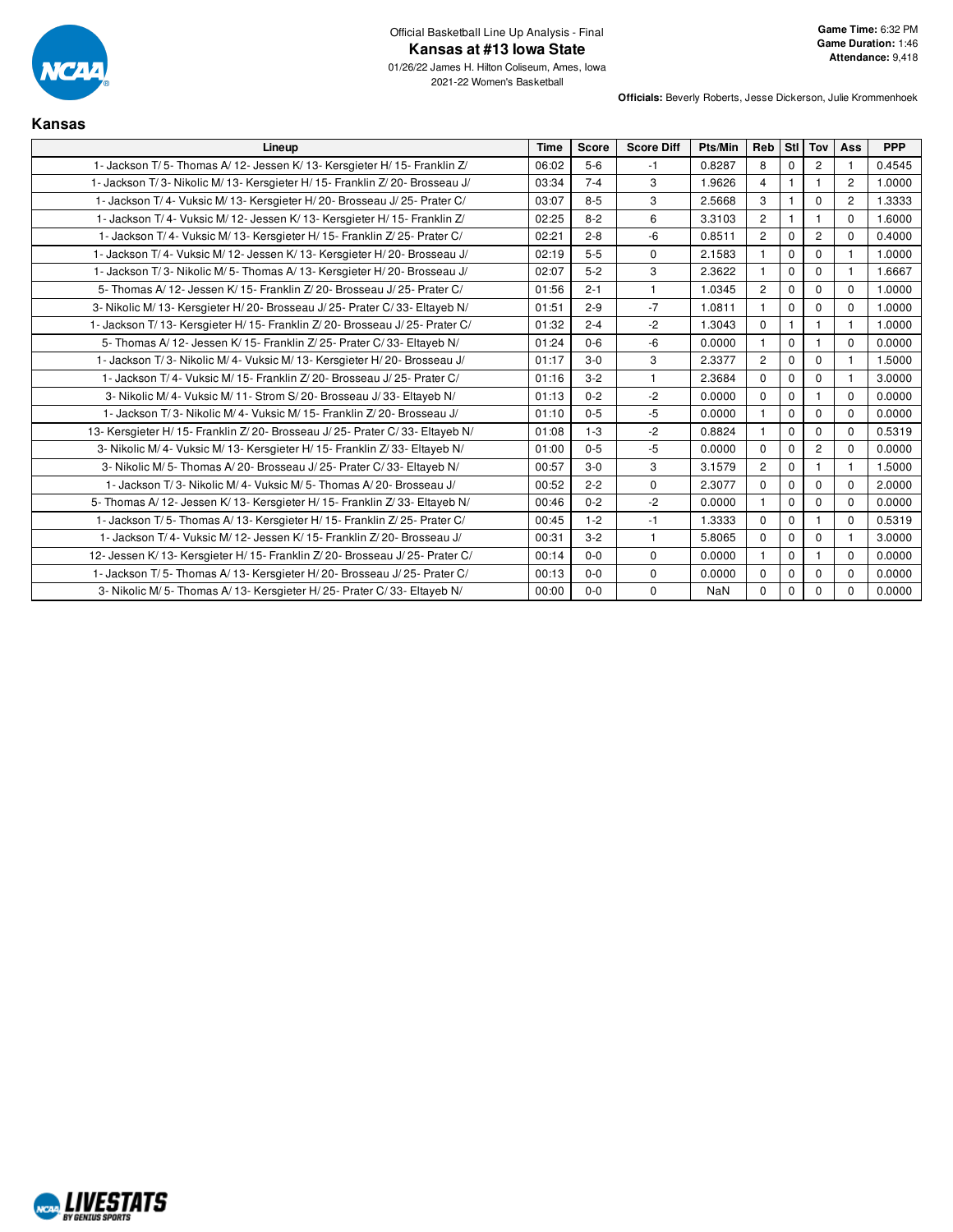

| <b>Kansas</b>                                                                |             |              |                   |            |                |             |                |                |            |
|------------------------------------------------------------------------------|-------------|--------------|-------------------|------------|----------------|-------------|----------------|----------------|------------|
| Lineup                                                                       | <b>Time</b> | <b>Score</b> | <b>Score Diff</b> | Pts/Min    | Reb            | Stl l       | Tov            | Ass            | <b>PPP</b> |
| 1- Jackson T/5- Thomas A/12- Jessen K/13- Kersgieter H/15- Franklin Z/       | 06:02       | $5-6$        | $-1$              | 0.8287     | 8              | $\Omega$    | $\overline{2}$ | $\mathbf{1}$   | 0.4545     |
| 1- Jackson T/3- Nikolic M/13- Kersgieter H/15- Franklin Z/20- Brosseau J/    | 03:34       | $7 - 4$      | 3                 | 1.9626     | $\overline{4}$ | 1           | 1              | $\overline{2}$ | 1.0000     |
| 1- Jackson T/4- Vuksic M/13- Kersgieter H/20- Brosseau J/25- Prater C/       | 03:07       | $8 - 5$      | 3                 | 2.5668     | 3              |             | $\Omega$       | $\overline{2}$ | 1.3333     |
| 1- Jackson T/4- Vuksic M/12- Jessen K/13- Kersgieter H/15- Franklin Z/       | 02:25       | $8 - 2$      | 6                 | 3.3103     | $\overline{c}$ |             |                | $\Omega$       | 1.6000     |
| 1- Jackson T/4- Vuksic M/13- Kersgieter H/15- Franklin Z/25- Prater C/       | 02:21       | $2 - 8$      | $-6$              | 0.8511     | $\overline{2}$ | $\Omega$    | $\overline{2}$ | $\Omega$       | 0.4000     |
| 1- Jackson T/4- Vuksic M/12- Jessen K/13- Kersgieter H/20- Brosseau J/       | 02:19       | $5-5$        | $\Omega$          | 2.1583     |                | $\Omega$    | $\Omega$       |                | 1.0000     |
| 1- Jackson T/3- Nikolic M/5- Thomas A/13- Kersgieter H/20- Brosseau J/       | 02:07       | $5 - 2$      | 3                 | 2.3622     |                | $\mathbf 0$ | $\mathbf 0$    |                | 1.6667     |
| 5- Thomas A/12- Jessen K/15- Franklin Z/20- Brosseau J/25- Prater C/         | 01:56       | $2 - 1$      | $\mathbf{1}$      | 1.0345     | $\overline{2}$ | $\mathbf 0$ | $\mathbf 0$    | $\Omega$       | 1.0000     |
| 3- Nikolic M/ 13- Kersgieter H/ 20- Brosseau J/ 25- Prater C/ 33- Eltayeb N/ | 01:51       | $2 - 9$      | $-7$              | 1.0811     | $\overline{1}$ | $\Omega$    | $\Omega$       | $\Omega$       | 1.0000     |
| 1- Jackson T/13- Kersgieter H/15- Franklin Z/20- Brosseau J/25- Prater C/    | 01:32       | $2 - 4$      | $-2$              | 1.3043     | $\Omega$       | 1           | 1              | 1              | 1.0000     |
| 5- Thomas A/ 12- Jessen K/ 15- Franklin Z/ 25- Prater C/ 33- Eltayeb N/      | 01:24       | $0 - 6$      | $-6$              | 0.0000     |                | $\Omega$    |                | $\Omega$       | 0.0000     |
| 1- Jackson T/3- Nikolic M/4- Vuksic M/13- Kersgieter H/20- Brosseau J/       | 01:17       | $3-0$        | 3                 | 2.3377     | $\overline{c}$ | $\mathbf 0$ | $\Omega$       | $\overline{1}$ | 1.5000     |
| 1- Jackson T/4- Vuksic M/15- Franklin Z/20- Brosseau J/25- Prater C/         | 01:16       | $3-2$        | $\mathbf{1}$      | 2.3684     | $\Omega$       | $\mathbf 0$ | $\Omega$       | 1              | 3.0000     |
| 3- Nikolic M/4- Vuksic M/11- Strom S/20- Brosseau J/33- Eltayeb N/           | 01:13       | $0 - 2$      | $-2$              | 0.0000     | $\Omega$       | $\Omega$    |                | $\Omega$       | 0.0000     |
| 1- Jackson T/3- Nikolic M/4- Vuksic M/15- Franklin Z/20- Brosseau J/         | 01:10       | $0 - 5$      | $-5$              | 0.0000     | $\overline{1}$ | $\Omega$    | $\Omega$       | $\Omega$       | 0.0000     |
| 13- Kersgieter H/15- Franklin Z/20- Brosseau J/25- Prater C/33- Eltayeb N/   | 01:08       | $1 - 3$      | $-2$              | 0.8824     | $\overline{1}$ | $\Omega$    | $\Omega$       | $\Omega$       | 0.5319     |
| 3- Nikolic M/4- Vuksic M/13- Kersgieter H/15- Franklin Z/33- Eltayeb N/      | 01:00       | $0 - 5$      | $-5$              | 0.0000     | $\mathbf 0$    | $\mathbf 0$ | $\overline{2}$ | $\mathbf 0$    | 0.0000     |
| 3- Nikolic M/5- Thomas A/20- Brosseau J/25- Prater C/33- Eltayeb N/          | 00:57       | $3-0$        | 3                 | 3.1579     | $\overline{c}$ | $\Omega$    |                |                | 1.5000     |
| 1- Jackson T/3- Nikolic M/4- Vuksic M/5- Thomas A/20- Brosseau J/            | 00:52       | $2 - 2$      | 0                 | 2.3077     | $\mathbf 0$    | $\mathbf 0$ | $\mathbf 0$    | $\Omega$       | 2.0000     |
| 5- Thomas A/12- Jessen K/13- Kersgieter H/15- Franklin Z/33- Eltayeb N/      | 00:46       | $0 - 2$      | $-2$              | 0.0000     | $\overline{1}$ | $\Omega$    | $\Omega$       | $\Omega$       | 0.0000     |
| 1- Jackson T/5- Thomas A/13- Kersgieter H/15- Franklin Z/25- Prater C/       | 00:45       | $1 - 2$      | $-1$              | 1.3333     | $\Omega$       | $\mathbf 0$ | 1              | $\Omega$       | 0.5319     |
| 1- Jackson T/4- Vuksic M/12- Jessen K/15- Franklin Z/20- Brosseau J/         | 00:31       | $3 - 2$      | $\mathbf{1}$      | 5.8065     | $\Omega$       | $\Omega$    | $\Omega$       |                | 3.0000     |
| 12- Jessen K/13- Kersgieter H/15- Franklin Z/20- Brosseau J/25- Prater C/    | 00:14       | $0 - 0$      | $\Omega$          | 0.0000     | $\overline{1}$ | $\Omega$    |                | $\Omega$       | 0.0000     |
| 1- Jackson T/5- Thomas A/13- Kersgieter H/20- Brosseau J/25- Prater C/       | 00:13       | $0 - 0$      | $\Omega$          | 0.0000     | $\Omega$       | $\Omega$    | $\Omega$       | $\Omega$       | 0.0000     |
| 3- Nikolic M/5- Thomas A/13- Kersgieter H/25- Prater C/33- Eltayeb N/        | 00:00       | $0-0$        | $\mathbf 0$       | <b>NaN</b> | $\Omega$       | $\mathbf 0$ | $\mathbf 0$    | $\Omega$       | 0.0000     |